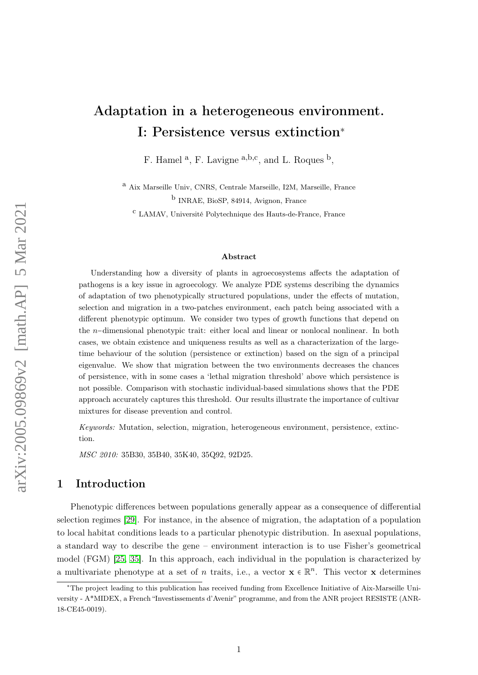# Adaptation in a heterogeneous environment. I: Persistence versus extinction<sup>∗</sup>

F. Hamel a, F. Lavigne a,b,c, and L. Roques b,

<sup>a</sup> Aix Marseille Univ, CNRS, Centrale Marseille, I2M, Marseille, France b INRAE, BioSP, 84914, Avignon, France

<sup>c</sup> LAMAV, Université Polytechnique des Hauts-de-France, France

#### Abstract

Understanding how a diversity of plants in agroecosystems affects the adaptation of pathogens is a key issue in agroecology. We analyze PDE systems describing the dynamics of adaptation of two phenotypically structured populations, under the effects of mutation, selection and migration in a two-patches environment, each patch being associated with a different phenotypic optimum. We consider two types of growth functions that depend on the <sup>n</sup>−dimensional phenotypic trait: either local and linear or nonlocal nonlinear. In both cases, we obtain existence and uniqueness results as well as a characterization of the largetime behaviour of the solution (persistence or extinction) based on the sign of a principal eigenvalue. We show that migration between the two environments decreases the chances of persistence, with in some cases a 'lethal migration threshold' above which persistence is not possible. Comparison with stochastic individual-based simulations shows that the PDE approach accurately captures this threshold. Our results illustrate the importance of cultivar mixtures for disease prevention and control.

Keywords: Mutation, selection, migration, heterogeneous environment, persistence, extinction.

MSC 2010: 35B30, 35B40, 35K40, 35Q92, 92D25.

## 1 Introduction

Phenotypic differences between populations generally appear as a consequence of differential selection regimes [\[29\]](#page-34-0). For instance, in the absence of migration, the adaptation of a population to local habitat conditions leads to a particular phenotypic distribution. In asexual populations, a standard way to describe the gene – environment interaction is to use Fisher's geometrical model (FGM) [\[25,](#page-34-1) [35\]](#page-34-2). In this approach, each individual in the population is characterized by a multivariate phenotype at a set of n traits, i.e., a vector  $\mathbf{x} \in \mathbb{R}^n$ . This vector  $\mathbf{x}$  determines

<sup>∗</sup>The project leading to this publication has received funding from Excellence Initiative of Aix-Marseille University - A\*MIDEX, a French "Investissements d'Avenir" programme, and from the ANR project RESISTE (ANR-18-CE45-0019).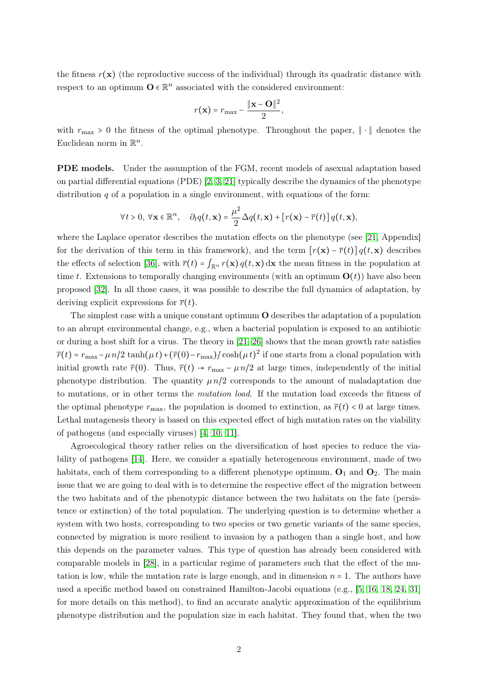the fitness  $r(\mathbf{x})$  (the reproductive success of the individual) through its quadratic distance with respect to an optimum  $\mathbf{O} \in \mathbb{R}^n$  associated with the considered environment:

$$
r(\mathbf{x}) = r_{\text{max}} - \frac{\|\mathbf{x} - \mathbf{O}\|^2}{2},
$$

with  $r_{\text{max}} > 0$  the fitness of the optimal phenotype. Throughout the paper,  $\|\cdot\|$  denotes the Euclidean norm in  $\mathbb{R}^n$ .

PDE models. Under the assumption of the FGM, recent models of asexual adaptation based on partial differential equations (PDE) [\[2,](#page-32-0) [3,](#page-32-1) [21\]](#page-33-0) typically describe the dynamics of the phenotype distribution  $q$  of a population in a single environment, with equations of the form:

$$
\forall t > 0, \ \forall \mathbf{x} \in \mathbb{R}^n, \quad \partial_t q(t, \mathbf{x}) = \frac{\mu^2}{2} \Delta q(t, \mathbf{x}) + \left[ r(\mathbf{x}) - \overline{r}(t) \right] q(t, \mathbf{x}),
$$

where the Laplace operator describes the mutation effects on the phenotype (see [\[21,](#page-33-0) Appendix]) for the derivation of this term in this framework), and the term  $[r(\mathbf{x}) - \overline{r}(t)] q(t, \mathbf{x})$  describes the effects of selection [\[36\]](#page-34-3), with  $\bar{r}(t) = \int_{\mathbb{R}^n} r(\mathbf{x}) q(t, \mathbf{x}) d\mathbf{x}$  the mean fitness in the population at time t. Extensions to temporally changing environments (with an optimum  $O(t)$ ) have also been proposed [\[32\]](#page-34-4). In all those cases, it was possible to describe the full dynamics of adaptation, by deriving explicit expressions for  $\bar{r}(t)$ .

The simplest case with a unique constant optimum O describes the adaptation of a population to an abrupt environmental change, e.g., when a bacterial population is exposed to an antibiotic or during a host shift for a virus. The theory in [\[21,](#page-33-0) [26\]](#page-34-5) shows that the mean growth rate satisfies  $\overline{r}(t) = r_{\text{max}} - \mu n/2 \tanh(\mu t) + (\overline{r}(0) - r_{\text{max}})/\cosh(\mu t)^2$  if one starts from a clonal population with initial growth rate  $\bar{r}(0)$ . Thus,  $\bar{r}(t) \rightarrow r_{\text{max}} - \mu n/2$  at large times, independently of the initial phenotype distribution. The quantity  $\mu n/2$  corresponds to the amount of maladaptation due to mutations, or in other terms the mutation load. If the mutation load exceeds the fitness of the optimal phenotype  $r_{\text{max}}$ , the population is doomed to extinction, as  $\bar{r}(t) < 0$  at large times. Lethal mutagenesis theory is based on this expected effect of high mutation rates on the viability of pathogens (and especially viruses) [\[4,](#page-32-2) [10,](#page-33-1) [11\]](#page-33-2).

Agroecological theory rather relies on the diversification of host species to reduce the viability of pathogens [\[14\]](#page-33-3). Here, we consider a spatially heterogeneous environment, made of two habitats, each of them corresponding to a different phenotype optimum,  $O_1$  and  $O_2$ . The main issue that we are going to deal with is to determine the respective effect of the migration between the two habitats and of the phenotypic distance between the two habitats on the fate (persistence or extinction) of the total population. The underlying question is to determine whether a system with two hosts, corresponding to two species or two genetic variants of the same species, connected by migration is more resilient to invasion by a pathogen than a single host, and how this depends on the parameter values. This type of question has already been considered with comparable models in [\[28\]](#page-34-6), in a particular regime of parameters such that the effect of the mutation is low, while the mutation rate is large enough, and in dimension  $n = 1$ . The authors have used a specific method based on constrained Hamilton-Jacobi equations (e.g., [\[5,](#page-33-4) [16,](#page-33-5) [18,](#page-33-6) [24,](#page-34-7) [31\]](#page-34-8) for more details on this method), to find an accurate analytic approximation of the equilibrium phenotype distribution and the population size in each habitat. They found that, when the two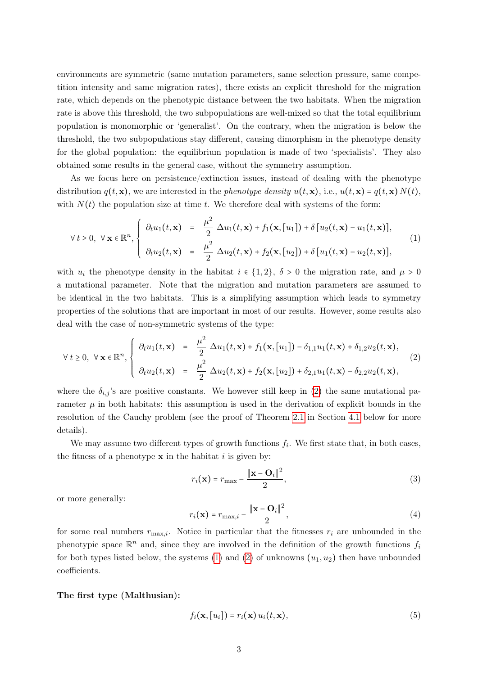environments are symmetric (same mutation parameters, same selection pressure, same competition intensity and same migration rates), there exists an explicit threshold for the migration rate, which depends on the phenotypic distance between the two habitats. When the migration rate is above this threshold, the two subpopulations are well-mixed so that the total equilibrium population is monomorphic or 'generalist'. On the contrary, when the migration is below the threshold, the two subpopulations stay different, causing dimorphism in the phenotype density for the global population: the equilibrium population is made of two 'specialists'. They also obtained some results in the general case, without the symmetry assumption.

As we focus here on persistence/extinction issues, instead of dealing with the phenotype distribution  $q(t, \mathbf{x})$ , we are interested in the phenotype density  $u(t, \mathbf{x})$ , i.e.,  $u(t, \mathbf{x}) = q(t, \mathbf{x}) N(t)$ , with  $N(t)$  the population size at time t. We therefore deal with systems of the form:

<span id="page-2-1"></span>
$$
\forall t \geq 0, \ \forall \mathbf{x} \in \mathbb{R}^n, \begin{cases} \partial_t u_1(t, \mathbf{x}) = \frac{\mu^2}{2} \Delta u_1(t, \mathbf{x}) + f_1(\mathbf{x}, [u_1]) + \delta [u_2(t, \mathbf{x}) - u_1(t, \mathbf{x})], \\ \partial_t u_2(t, \mathbf{x}) = \frac{\mu^2}{2} \Delta u_2(t, \mathbf{x}) + f_2(\mathbf{x}, [u_2]) + \delta [u_1(t, \mathbf{x}) - u_2(t, \mathbf{x})], \end{cases}
$$
(1)

with  $u_i$  the phenotype density in the habitat  $i \in \{1,2\}, \delta > 0$  the migration rate, and  $\mu > 0$ a mutational parameter. Note that the migration and mutation parameters are assumed to be identical in the two habitats. This is a simplifying assumption which leads to symmetry properties of the solutions that are important in most of our results. However, some results also deal with the case of non-symmetric systems of the type:

<span id="page-2-0"></span>
$$
\forall t \geq 0, \ \forall \mathbf{x} \in \mathbb{R}^n, \begin{cases} \partial_t u_1(t, \mathbf{x}) &= \frac{\mu^2}{2} \Delta u_1(t, \mathbf{x}) + f_1(\mathbf{x}, [u_1]) - \delta_{1,1} u_1(t, \mathbf{x}) + \delta_{1,2} u_2(t, \mathbf{x}), \\ \partial_t u_2(t, \mathbf{x}) &= \frac{\mu^2}{2} \Delta u_2(t, \mathbf{x}) + f_2(\mathbf{x}, [u_2]) + \delta_{2,1} u_1(t, \mathbf{x}) - \delta_{2,2} u_2(t, \mathbf{x}), \end{cases} \tag{2}
$$

where the  $\delta_{i,j}$ 's are positive constants. We however still keep in [\(2\)](#page-2-0) the same mutational parameter  $\mu$  in both habitats: this assumption is used in the derivation of explicit bounds in the resolution of the Cauchy problem (see the proof of Theorem [2.1](#page-6-0) in Section [4.1](#page-13-0) below for more details).

We may assume two different types of growth functions  $f_i$ . We first state that, in both cases, the fitness of a phenotype  $x$  in the habitat i is given by:

<span id="page-2-3"></span>
$$
r_i(\mathbf{x}) = r_{\text{max}} - \frac{\|\mathbf{x} - \mathbf{O}_i\|^2}{2},\tag{3}
$$

or more generally:

<span id="page-2-4"></span>
$$
r_i(\mathbf{x}) = r_{\text{max},i} - \frac{\|\mathbf{x} - \mathbf{O}_i\|^2}{2},\tag{4}
$$

for some real numbers  $r_{\text{max},i}$ . Notice in particular that the fitnesses  $r_i$  are unbounded in the phenotypic space  $\mathbb{R}^n$  and, since they are involved in the definition of the growth functions  $f_i$ for both types listed below, the systems [\(1\)](#page-2-1) and [\(2\)](#page-2-0) of unknowns  $(u_1, u_2)$  then have unbounded coefficients.

#### The first type (Malthusian):

<span id="page-2-2"></span>
$$
f_i(\mathbf{x}, [u_i]) = r_i(\mathbf{x}) u_i(t, \mathbf{x}), \qquad (5)
$$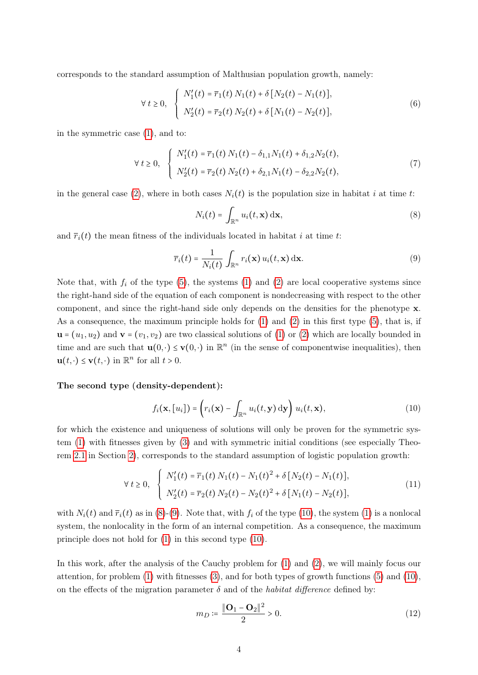corresponds to the standard assumption of Malthusian population growth, namely:

<span id="page-3-5"></span>
$$
\forall t \ge 0, \quad \begin{cases} N_1'(t) = \overline{r}_1(t) \, N_1(t) + \delta \left[ N_2(t) - N_1(t) \right], \\ N_2'(t) = \overline{r}_2(t) \, N_2(t) + \delta \left[ N_1(t) - N_2(t) \right], \end{cases} \tag{6}
$$

in the symmetric case [\(1\)](#page-2-1), and to:

<span id="page-3-4"></span>
$$
\forall t \geq 0, \quad \begin{cases} N_1'(t) = \overline{r}_1(t) \, N_1(t) - \delta_{1,1} N_1(t) + \delta_{1,2} N_2(t), \\ N_2'(t) = \overline{r}_2(t) \, N_2(t) + \delta_{2,1} N_1(t) - \delta_{2,2} N_2(t), \end{cases} \tag{7}
$$

in the general case [\(2\)](#page-2-0), where in both cases  $N_i(t)$  is the population size in habitat i at time t:

<span id="page-3-0"></span>
$$
N_i(t) = \int_{\mathbb{R}^n} u_i(t, \mathbf{x}) \, \mathrm{d}\mathbf{x},\tag{8}
$$

and  $\bar{r}_i(t)$  the mean fitness of the individuals located in habitat i at time t:

<span id="page-3-1"></span>
$$
\overline{r}_i(t) = \frac{1}{N_i(t)} \int_{\mathbb{R}^n} r_i(\mathbf{x}) u_i(t, \mathbf{x}) \, \mathrm{d}\mathbf{x}.\tag{9}
$$

Note that, with  $f_i$  of the type [\(5\)](#page-2-2), the systems [\(1\)](#page-2-1) and [\(2\)](#page-2-0) are local cooperative systems since the right-hand side of the equation of each component is nondecreasing with respect to the other component, and since the right-hand side only depends on the densities for the phenotype x. As a consequence, the maximum principle holds for [\(1\)](#page-2-1) and [\(2\)](#page-2-0) in this first type [\(5\)](#page-2-2), that is, if  $\mathbf{u} = (u_1, u_2)$  and  $\mathbf{v} = (v_1, v_2)$  are two classical solutions of [\(1\)](#page-2-1) or [\(2\)](#page-2-0) which are locally bounded in time and are such that  $\mathbf{u}(0, \cdot) \leq \mathbf{v}(0, \cdot)$  in  $\mathbb{R}^n$  (in the sense of componentwise inequalities), then  $\mathbf{u}(t, \cdot) \leq \mathbf{v}(t, \cdot)$  in  $\mathbb{R}^n$  for all  $t > 0$ .

#### The second type (density-dependent):

<span id="page-3-2"></span>
$$
f_i(\mathbf{x}, [u_i]) = \left(r_i(\mathbf{x}) - \int_{\mathbb{R}^n} u_i(t, \mathbf{y}) \, d\mathbf{y}\right) u_i(t, \mathbf{x}),\tag{10}
$$

for which the existence and uniqueness of solutions will only be proven for the symmetric system [\(1\)](#page-2-1) with fitnesses given by [\(3\)](#page-2-3) and with symmetric initial conditions (see especially Theorem [2.1](#page-6-0) in Section [2\)](#page-5-0), corresponds to the standard assumption of logistic population growth:

<span id="page-3-6"></span>
$$
\forall t \ge 0, \quad \begin{cases} N_1'(t) = \overline{r}_1(t) \, N_1(t) - N_1(t)^2 + \delta \left[ N_2(t) - N_1(t) \right], \\ N_2'(t) = \overline{r}_2(t) \, N_2(t) - N_2(t)^2 + \delta \left[ N_1(t) - N_2(t) \right], \end{cases} \tag{11}
$$

with  $N_i(t)$  and  $\overline{r}_i(t)$  as in [\(8\)](#page-3-0)-[\(9\)](#page-3-1). Note that, with  $f_i$  of the type [\(10\)](#page-3-2), the system [\(1\)](#page-2-1) is a nonlocal system, the nonlocality in the form of an internal competition. As a consequence, the maximum principle does not hold for [\(1\)](#page-2-1) in this second type [\(10\)](#page-3-2).

In this work, after the analysis of the Cauchy problem for [\(1\)](#page-2-1) and [\(2\)](#page-2-0), we will mainly focus our attention, for problem [\(1\)](#page-2-1) with fitnesses [\(3\)](#page-2-3), and for both types of growth functions [\(5\)](#page-2-2) and [\(10\)](#page-3-2), on the effects of the migration parameter  $\delta$  and of the *habitat difference* defined by:

<span id="page-3-3"></span>
$$
m_D := \frac{\|\mathbf{O}_1 - \mathbf{O}_2\|^2}{2} > 0.
$$
\n(12)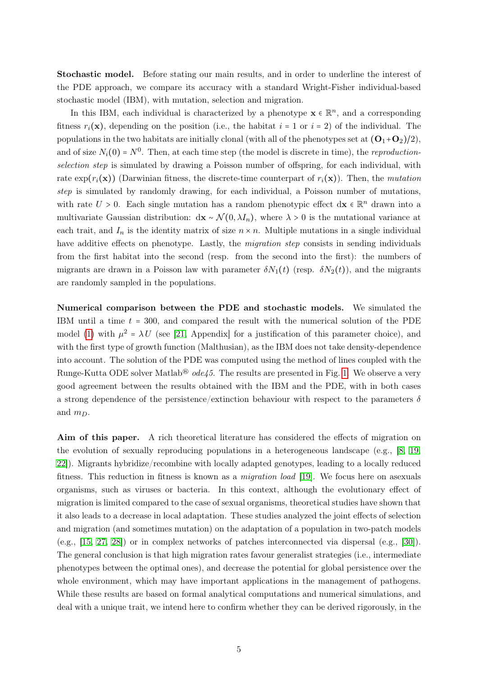Stochastic model. Before stating our main results, and in order to underline the interest of the PDE approach, we compare its accuracy with a standard Wright-Fisher individual-based stochastic model (IBM), with mutation, selection and migration.

In this IBM, each individual is characterized by a phenotype  $\mathbf{x} \in \mathbb{R}^n$ , and a corresponding fitness  $r_i(\mathbf{x})$ , depending on the position (i.e., the habitat  $i = 1$  or  $i = 2$ ) of the individual. The populations in the two habitats are initially clonal (with all of the phenotypes set at  $(O_1+O_2)/2$ ), and of size  $N_i(0) = N^0$ . Then, at each time step (the model is discrete in time), the *reproduction*selection step is simulated by drawing a Poisson number of offspring, for each individual, with rate  $\exp(r_i(\mathbf{x}))$  (Darwinian fitness, the discrete-time counterpart of  $r_i(\mathbf{x})$ ). Then, the mutation step is simulated by randomly drawing, for each individual, a Poisson number of mutations, with rate  $U > 0$ . Each single mutation has a random phenotypic effect  $d\mathbf{x} \in \mathbb{R}^n$  drawn into a multivariate Gaussian distribution:  $dx \sim \mathcal{N}(0, \lambda I_n)$ , where  $\lambda > 0$  is the mutational variance at each trait, and  $I_n$  is the identity matrix of size  $n \times n$ . Multiple mutations in a single individual have additive effects on phenotype. Lastly, the *migration step* consists in sending individuals from the first habitat into the second (resp. from the second into the first): the numbers of migrants are drawn in a Poisson law with parameter  $\delta N_1(t)$  (resp.  $\delta N_2(t)$ ), and the migrants are randomly sampled in the populations.

Numerical comparison between the PDE and stochastic models. We simulated the IBM until a time  $t = 300$ , and compared the result with the numerical solution of the PDE model [\(1\)](#page-2-1) with  $\mu^2 = \lambda U$  (see [\[21,](#page-33-0) Appendix] for a justification of this parameter choice), and with the first type of growth function (Malthusian), as the IBM does not take density-dependence into account. The solution of the PDE was computed using the method of lines coupled with the Runge-Kutta ODE solver Matlab<sup>®</sup>  $ode45$ . The results are presented in Fig. [1.](#page-5-1) We observe a very good agreement between the results obtained with the IBM and the PDE, with in both cases a strong dependence of the persistence/extinction behaviour with respect to the parameters  $\delta$ and  $m_D$ .

Aim of this paper. A rich theoretical literature has considered the effects of migration on the evolution of sexually reproducing populations in a heterogeneous landscape (e.g., [\[8,](#page-33-7) [19,](#page-33-8) [22\]](#page-34-9)). Migrants hybridize/recombine with locally adapted genotypes, leading to a locally reduced fitness. This reduction in fitness is known as a migration load [\[19\]](#page-33-8). We focus here on asexuals organisms, such as viruses or bacteria. In this context, although the evolutionary effect of migration is limited compared to the case of sexual organisms, theoretical studies have shown that it also leads to a decrease in local adaptation. These studies analyzed the joint effects of selection and migration (and sometimes mutation) on the adaptation of a population in two-patch models (e.g., [\[15,](#page-33-9) [27,](#page-34-10) [28\]](#page-34-6)) or in complex networks of patches interconnected via dispersal (e.g., [\[30\]](#page-34-11)). The general conclusion is that high migration rates favour generalist strategies (i.e., intermediate phenotypes between the optimal ones), and decrease the potential for global persistence over the whole environment, which may have important applications in the management of pathogens. While these results are based on formal analytical computations and numerical simulations, and deal with a unique trait, we intend here to confirm whether they can be derived rigorously, in the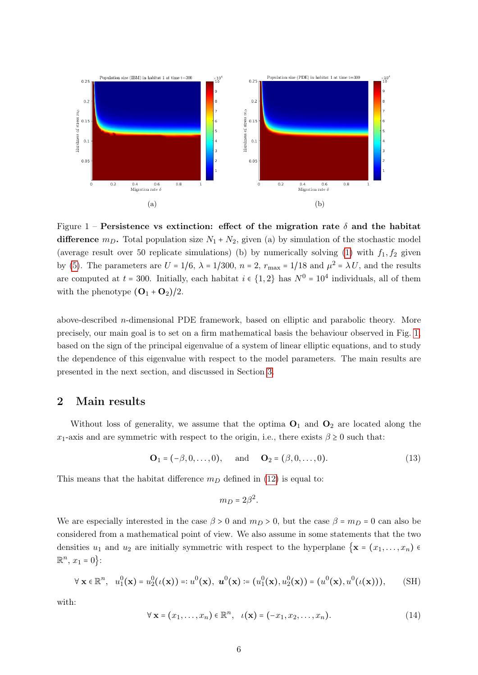<span id="page-5-1"></span>

Figure 1 – Persistence vs extinction: effect of the migration rate  $\delta$  and the habitat difference  $m_D$ . Total population size  $N_1 + N_2$ , given (a) by simulation of the stochastic model (average result over 50 replicate simulations) (b) by numerically solving [\(1\)](#page-2-1) with  $f_1, f_2$  given by [\(5\)](#page-2-2). The parameters are  $U = 1/6$ ,  $\lambda = 1/300$ ,  $n = 2$ ,  $r_{\text{max}} = 1/18$  and  $\mu^2 = \lambda U$ , and the results are computed at  $t = 300$ . Initially, each habitat  $i \in \{1, 2\}$  has  $N^0 = 10^4$  individuals, all of them with the phenotype  $({\bf O}_1 + {\bf O}_2)/2$ .

above-described n-dimensional PDE framework, based on elliptic and parabolic theory. More precisely, our main goal is to set on a firm mathematical basis the behaviour observed in Fig. [1,](#page-5-1) based on the sign of the principal eigenvalue of a system of linear elliptic equations, and to study the dependence of this eigenvalue with respect to the model parameters. The main results are presented in the next section, and discussed in Section [3.](#page-11-0)

## <span id="page-5-0"></span>2 Main results

Without loss of generality, we assume that the optima  $O_1$  and  $O_2$  are located along the x<sub>1</sub>-axis and are symmetric with respect to the origin, i.e., there exists  $\beta \ge 0$  such that:

<span id="page-5-4"></span>
$$
O_1 = (-\beta, 0, ..., 0), \text{ and } O_2 = (\beta, 0, ..., 0).
$$
 (13)

This means that the habitat difference  $m<sub>D</sub>$  defined in [\(12\)](#page-3-3) is equal to:

<span id="page-5-2"></span>
$$
m_D=2\beta^2.
$$

We are especially interested in the case  $\beta > 0$  and  $m_D > 0$ , but the case  $\beta = m_D = 0$  can also be considered from a mathematical point of view. We also assume in some statements that the two densities  $u_1$  and  $u_2$  are initially symmetric with respect to the hyperplane  $\{x = (x_1, \ldots, x_n) \in$  $\mathbb{R}^n$ ,  $x_1 = 0$  :

$$
\forall \mathbf{x} \in \mathbb{R}^n, \quad u_1^0(\mathbf{x}) = u_2^0(\iota(\mathbf{x})) =: u^0(\mathbf{x}), \ \mathbf{u}^0(\mathbf{x}) = (u_1^0(\mathbf{x}), u_2^0(\mathbf{x})) = (u^0(\mathbf{x}), u^0(\iota(\mathbf{x}))), \tag{SH}
$$

with:

<span id="page-5-3"></span>
$$
\forall \mathbf{x} = (x_1, \dots, x_n) \in \mathbb{R}^n, \quad \iota(\mathbf{x}) = (-x_1, x_2, \dots, x_n). \tag{14}
$$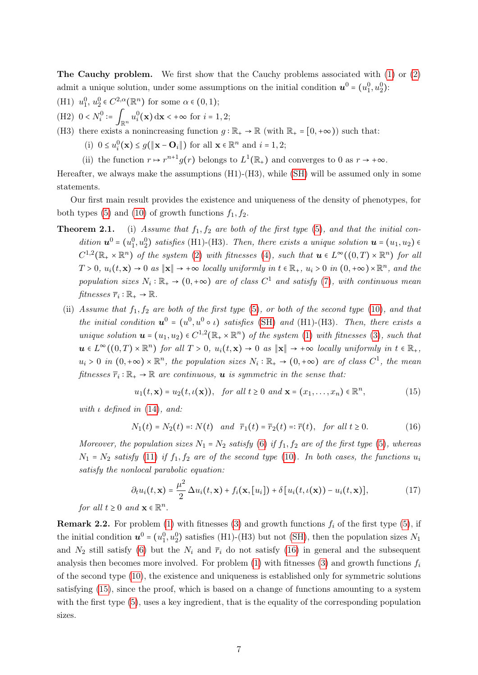The Cauchy problem. We first show that the Cauchy problems associated with [\(1\)](#page-2-1) or [\(2\)](#page-2-0) admit a unique solution, under some assumptions on the initial condition  $u^0 = (u_1^0, u_2^0)$ :

(H1)  $u_1^0, u_2^0 \in C^{2,\alpha}(\mathbb{R}^n)$  for some  $\alpha \in (0,1)$ ;

- (H2)  $0 < N_i^0 := \int_{\mathbb{R}^n} u_i^0(\mathbf{x}) \, d\mathbf{x} < +\infty$  for  $i = 1, 2;$
- (H3) there exists a nonincreasing function  $g : \mathbb{R}_+ \to \mathbb{R}$  (with  $\mathbb{R}_+ = [0, +\infty)$ ) such that:
	- (i)  $0 \le u_i^0(\mathbf{x}) \le g(\|\mathbf{x} \mathbf{O}_i\|)$  for all  $\mathbf{x} \in \mathbb{R}^n$  and  $i = 1, 2$ ;
	- (ii) the function  $r \mapsto r^{n+1}g(r)$  belongs to  $L^1(\mathbb{R}_+)$  and converges to 0 as  $r \to +\infty$ .

Hereafter, we always make the assumptions (H1)-(H3), while [\(SH\)](#page-5-2) will be assumed only in some statements.

Our first main result provides the existence and uniqueness of the density of phenotypes, for both types [\(5\)](#page-2-2) and [\(10\)](#page-3-2) of growth functions  $f_1, f_2$ .

- <span id="page-6-0"></span>**Theorem 2.1.** (i) Assume that  $f_1, f_2$  are both of the first type [\(5\)](#page-2-2), and that the initial condition  $\mathbf{u}^0 = (u_1^0, u_2^0)$  satisfies (H1)-(H3). Then, there exists a unique solution  $\mathbf{u} = (u_1, u_2) \in \mathbb{R}^3$  $C^{1,2}(\mathbb{R}_+ \times \mathbb{R}^n)$  of the system [\(2\)](#page-2-0) with fitnesses [\(4\)](#page-2-4), such that  $u \in L^{\infty}((0,T) \times \mathbb{R}^n)$  for all  $T > 0$ ,  $u_i(t, \mathbf{x}) \to 0$  as  $\|\mathbf{x}\| \to +\infty$  locally uniformly in  $t \in \mathbb{R}_+$ ,  $u_i > 0$  in  $(0, +\infty) \times \mathbb{R}^n$ , and the population sizes  $N_i : \mathbb{R}_+ \to (0, +\infty)$  are of class  $C^1$  and satisfy [\(7\)](#page-3-4), with continuous mean fitnesses  $\overline{r}_i : \mathbb{R}_+ \to \mathbb{R}$ .
	- (ii) Assume that  $f_1, f_2$  are both of the first type [\(5\)](#page-2-2), or both of the second type [\(10\)](#page-3-2), and that the initial condition  $u^0 = (u^0, u^0 \circ \iota)$  satisfies [\(SH\)](#page-5-2) and (H1)-(H3). Then, there exists a unique solution  $u = (u_1, u_2) \in C^{1,2}(\mathbb{R}_+ \times \mathbb{R}^n)$  of the system [\(1\)](#page-2-1) with fitnesses [\(3\)](#page-2-3), such that  $u \in L^{\infty}((0,T) \times \mathbb{R}^n)$  for all  $T > 0$ ,  $u_i(t, \mathbf{x}) \to 0$  as  $\|\mathbf{x}\| \to +\infty$  locally uniformly in  $t \in \mathbb{R}_+$ ,  $u_i > 0$  in  $(0, +\infty) \times \mathbb{R}^n$ , the population sizes  $N_i : \mathbb{R}_+ \to (0, +\infty)$  are of class  $C^1$ , the mean fitnesses  $\overline{r}_i : \mathbb{R}_+ \to \mathbb{R}$  are continuous, **u** is symmetric in the sense that:

<span id="page-6-2"></span>
$$
u_1(t, \mathbf{x}) = u_2(t, \iota(\mathbf{x})), \quad \text{for all } t \ge 0 \text{ and } \mathbf{x} = (x_1, \dots, x_n) \in \mathbb{R}^n,
$$
 (15)

with  $\iota$  defined in [\(14\)](#page-5-3), and:

<span id="page-6-1"></span>
$$
N_1(t) = N_2(t) =: N(t) \quad and \quad \overline{r}_1(t) = \overline{r}_2(t) =: \overline{r}(t), \quad \text{for all } t \ge 0. \tag{16}
$$

Moreover, the population sizes  $N_1 = N_2$  satisfy [\(6\)](#page-3-5) if  $f_1, f_2$  are of the first type [\(5\)](#page-2-2), whereas  $N_1 = N_2$  satisfy [\(11\)](#page-3-6) if  $f_1, f_2$  are of the second type [\(10\)](#page-3-2). In both cases, the functions  $u_i$ satisfy the nonlocal parabolic equation:

<span id="page-6-3"></span>
$$
\partial_t u_i(t, \mathbf{x}) = \frac{\mu^2}{2} \Delta u_i(t, \mathbf{x}) + f_i(\mathbf{x}, [u_i]) + \delta [u_i(t, \iota(\mathbf{x})) - u_i(t, \mathbf{x})], \tag{17}
$$

for all  $t \geq 0$  and  $\mathbf{x} \in \mathbb{R}^n$ .

<span id="page-6-4"></span>**Remark 2.2.** For problem [\(1\)](#page-2-1) with fitnesses [\(3\)](#page-2-3) and growth functions  $f_i$  of the first type [\(5\)](#page-2-2), if the initial condition  $u^0 = (u_1^0, u_2^0)$  satisfies (H1)-(H3) but not [\(SH\)](#page-5-2), then the population sizes  $N_1$ and  $N_2$  still satisfy [\(6\)](#page-3-5) but the  $N_i$  and  $\bar{r}_i$  do not satisfy [\(16\)](#page-6-1) in general and the subsequent analysis then becomes more involved. For problem  $(1)$  with fitnesses  $(3)$  and growth functions  $f_i$ of the second type [\(10\)](#page-3-2), the existence and uniqueness is established only for symmetric solutions satisfying [\(15\)](#page-6-2), since the proof, which is based on a change of functions amounting to a system with the first type  $(5)$ , uses a key ingredient, that is the equality of the corresponding population sizes.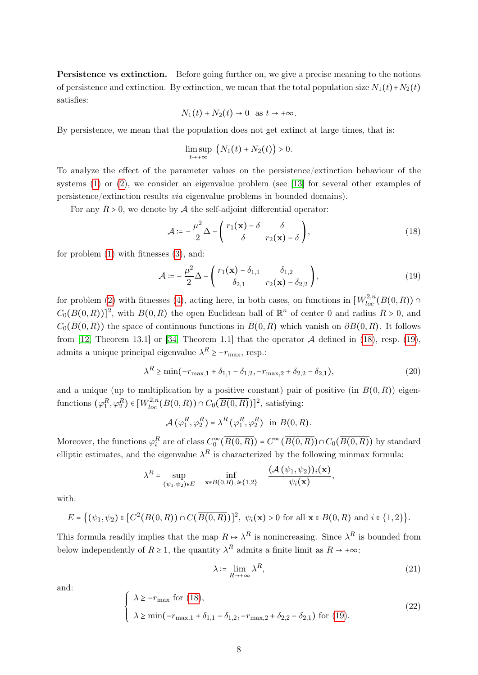Persistence vs extinction. Before going further on, we give a precise meaning to the notions of persistence and extinction. By extinction, we mean that the total population size  $N_1(t)+N_2(t)$ satisfies:

$$
N_1(t) + N_2(t) \to 0 \text{ as } t \to +\infty.
$$

By persistence, we mean that the population does not get extinct at large times, that is:

$$
\limsup_{t\to+\infty} (N_1(t)+N_2(t)) > 0.
$$

To analyze the effect of the parameter values on the persistence/extinction behaviour of the systems [\(1\)](#page-2-1) or [\(2\)](#page-2-0), we consider an eigenvalue problem (see [\[13\]](#page-33-10) for several other examples of persistence/extinction results via eigenvalue problems in bounded domains).

For any  $R > 0$ , we denote by A the self-adjoint differential operator:

<span id="page-7-0"></span>
$$
\mathcal{A} := -\frac{\mu^2}{2} \Delta - \begin{pmatrix} r_1(\mathbf{x}) - \delta & \delta \\ \delta & r_2(\mathbf{x}) - \delta \end{pmatrix},\tag{18}
$$

for problem [\(1\)](#page-2-1) with fitnesses [\(3\)](#page-2-3), and:

<span id="page-7-1"></span>
$$
\mathcal{A} \coloneqq -\frac{\mu^2}{2} \Delta - \begin{pmatrix} r_1(\mathbf{x}) - \delta_{1,1} & \delta_{1,2} \\ \delta_{2,1} & r_2(\mathbf{x}) - \delta_{2,2} \end{pmatrix},\tag{19}
$$

for problem [\(2\)](#page-2-0) with fitnesses [\(4\)](#page-2-4), acting here, in both cases, on functions in  $\left[W_{loc}^{2,n}(B(0,R))\cap \right]$  $C_0(\overline{B(0,R)})^2$ , with  $B(0,R)$  the open Euclidean ball of  $\mathbb{R}^n$  of center 0 and radius  $R > 0$ , and  $C_0(\overline{B(0,R)})$  the space of continuous functions in  $\overline{B(0,R)}$  which vanish on  $\partial B(0,R)$ . It follows from [\[12,](#page-33-11) Theorem 13.1] or [\[34,](#page-34-12) Theorem 1.1] that the operator  $A$  defined in [\(18\)](#page-7-0), resp. [\(19\)](#page-7-1), admits a unique principal eigenvalue  $\lambda^R \ge -r_{\text{max}}$ , resp.:

<span id="page-7-3"></span>
$$
\lambda^{R} \ge \min(-r_{\max,1} + \delta_{1,1} - \delta_{1,2}, -r_{\max,2} + \delta_{2,2} - \delta_{2,1}),
$$
\n(20)

and a unique (up to multiplication by a positive constant) pair of positive (in  $B(0, R)$ ) eigenfunctions  $(\varphi_1^R, \varphi_2^R) \in [W_{loc}^{2,n}(B(0,R)) \cap C_0(\overline{B(0,R)})]^2$ , satisfying:

$$
\mathcal{A}(\varphi_1^R, \varphi_2^R) = \lambda^R(\varphi_1^R, \varphi_2^R) \text{ in } B(0, R).
$$

Moreover, the functions  $\varphi_i^R$  are of class  $C_0^{\infty}(\overline{B(0,R)}) = C^{\infty}(\overline{B(0,R)}) \cap C_0(\overline{B(0,R)})$  by standard elliptic estimates, and the eigenvalue  $\lambda^R$  is characterized by the following minmax formula:

$$
\lambda^{R} = \sup_{(\psi_1,\psi_2)\in E} \quad \inf_{\mathbf{x}\in B(0,R),\,i\in\{1,2\}} \quad \frac{(\mathcal{A}(\psi_1,\psi_2))_i(\mathbf{x})}{\psi_i(\mathbf{x})},
$$

with:

$$
E = \{ (\psi_1, \psi_2) \in [C^2(B(0, R)) \cap C(\overline{B(0, R)})]^2, \ \psi_i(\mathbf{x}) > 0 \text{ for all } \mathbf{x} \in B(0, R) \text{ and } i \in \{1, 2\} \}.
$$

This formula readily implies that the map  $R \mapsto \lambda^R$  is nonincreasing. Since  $\lambda^R$  is bounded from below independently of  $R \geq 1$ , the quantity  $\lambda^R$  admits a finite limit as  $R \to +\infty$ :

<span id="page-7-2"></span>
$$
\lambda \coloneqq \lim_{R \to +\infty} \lambda^R,\tag{21}
$$

<span id="page-7-4"></span>and:

<span id="page-7-5"></span>
$$
\begin{cases} \lambda \geq -r_{\max} \text{ for (18)}, \\ \lambda \geq \min(-r_{\max,1} + \delta_{1,1} - \delta_{1,2}, -r_{\max,2} + \delta_{2,2} - \delta_{2,1}) \text{ for (19)}. \end{cases}
$$
(22)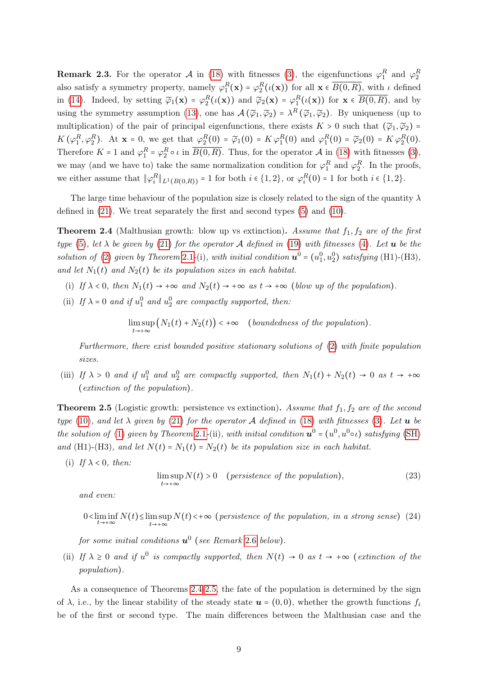**Remark 2.3.** For the operator  $\mathcal A$  in [\(18\)](#page-7-0) with fitnesses [\(3\)](#page-2-3), the eigenfunctions  $\varphi_1^R$  and  $\varphi_2^R$ also satisfy a symmetry property, namely  $\varphi_1^R(x) = \varphi_2^R(\iota(x))$  for all  $x \in \overline{B(0,R)}$ , with  $\iota$  defined in [\(14\)](#page-5-3). Indeed, by setting  $\widetilde{\varphi}_1(\mathbf{x}) = \varphi_2^R(\iota(\mathbf{x}))$  and  $\widetilde{\varphi}_2(\mathbf{x}) = \varphi_1^R(\iota(\mathbf{x}))$  for  $\mathbf{x} \in \overline{B(0,R)}$ , and by using the symmetry assumption [\(13\)](#page-5-4), one has  $\mathcal{A}(\tilde{\varphi}_1, \tilde{\varphi}_2) = \lambda^R(\tilde{\varphi}_1, \tilde{\varphi}_2)$ . By uniqueness (up to multiplication) of the pair of principal eigenfunctions, there exists  $K > 0$  such that  $(\tilde{\varphi}_1, \tilde{\varphi}_2)$  =  $K(\varphi_1^R, \varphi_2^R)$ . At  $\mathbf{x} = 0$ , we get that  $\varphi_1^R(0) = \widetilde{\varphi}_1(0) = K\varphi_1^R(0)$  and  $\varphi_1^R(0) = \widetilde{\varphi}_2(0) = K\varphi_2^R(0)$ . Therefore  $K = 1$  and  $\varphi_1^R = \varphi_2^R \circ \iota$  in  $\overline{B(0,R)}$ . Thus, for the operator  $\mathcal A$  in [\(18\)](#page-7-0) with fitnesses [\(3\)](#page-2-3), we may (and we have to) take the same normalization condition for  $\varphi_1^R$  and  $\varphi_2^R$ . In the proofs, we either assume that  $\|\varphi_i^R\|_{L^1(B(0,R))} = 1$  for both  $i \in \{1,2\}$ , or  $\varphi_i^R(0) = 1$  for both  $i \in \{1,2\}$ .

The large time behaviour of the population size is closely related to the sign of the quantity  $\lambda$ defined in [\(21\)](#page-7-2). We treat separately the first and second types [\(5\)](#page-2-2) and [\(10\)](#page-3-2).

<span id="page-8-0"></span>**Theorem 2.4** (Malthusian growth: blow up vs extinction). Assume that  $f_1, f_2$  are of the first type [\(5\)](#page-2-2), let  $\lambda$  be given by [\(21\)](#page-7-2) for the operator A defined in [\(19\)](#page-7-1) with fitnesses [\(4\)](#page-2-4). Let **u** be the solution of [\(2\)](#page-2-0) given by Theorem [2](#page-6-3).1-(i), with initial condition  $\mathbf{u}^0 = (u_1^0, u_2^0)$  satisfying (H1)-(H3), and let  $N_1(t)$  and  $N_2(t)$  be its population sizes in each habitat.

- (i) If  $\lambda < 0$ , then  $N_1(t) \rightarrow +\infty$  and  $N_2(t) \rightarrow +\infty$  as  $t \rightarrow +\infty$  (blow up of the population).
- (ii) If  $\lambda = 0$  and if  $u_1^0$  and  $u_2^0$  are compactly supported, then:

lim sup  $\limsup_{t\to+\infty} (N_1(t)+N_2(t)) < +\infty$  (boundedness of the population).

Furthermore, there exist bounded positive stationary solutions of [\(2\)](#page-2-0) with finite population sizes.

(iii) If  $\lambda > 0$  and if  $u_1^0$  and  $u_2^0$  are compactly supported, then  $N_1(t) + N_2(t) \rightarrow 0$  as  $t \rightarrow +\infty$ (extinction of the population).

<span id="page-8-1"></span>**Theorem 2.5** (Logistic growth: persistence vs extinction). Assume that  $f_1, f_2$  are of the second type [\(10\)](#page-3-2), and let  $\lambda$  given by [\(21\)](#page-7-2) for the operator A defined in [\(18\)](#page-7-0) with fitnesses [\(3\)](#page-2-3). Let  $\boldsymbol{u}$  be the solution of [\(1\)](#page-2-1) given by Theorem 2.[1](#page-6-3)-(ii), with initial condition  $\mathbf{u}^0 = (u^0, u^0 \circ \iota)$  satisfying [\(SH\)](#page-5-2) and (H1)-(H3), and let  $N(t) = N_1(t) = N_2(t)$  be its population size in each habitat.

(i) If  $\lambda < 0$ , then:

<span id="page-8-3"></span>
$$
\limsup_{t \to +\infty} N(t) > 0 \quad ( persistence \ of \ the \ population), \tag{23}
$$

and even:

<span id="page-8-2"></span>
$$
0 < \liminf_{t \to +\infty} N(t) \le \limsup_{t \to +\infty} N(t) < +\infty \text{ (}persistence \text{ of the population, in a strong sense)} \text{ (24)}
$$

for some initial conditions  $\boldsymbol{u}^0$  (see Remark [2](#page-9-0).6 below).

(ii) If  $\lambda \geq 0$  and if  $u^0$  is compactly supported, then  $N(t) \to 0$  as  $t \to +\infty$  (extinction of the population).

As a consequence of Theorems [2.4](#page-8-0)[-2.5,](#page-8-1) the fate of the population is determined by the sign of  $\lambda$ , i.e., by the linear stability of the steady state  $u = (0,0)$ , whether the growth functions  $f_i$ be of the first or second type. The main differences between the Malthusian case and the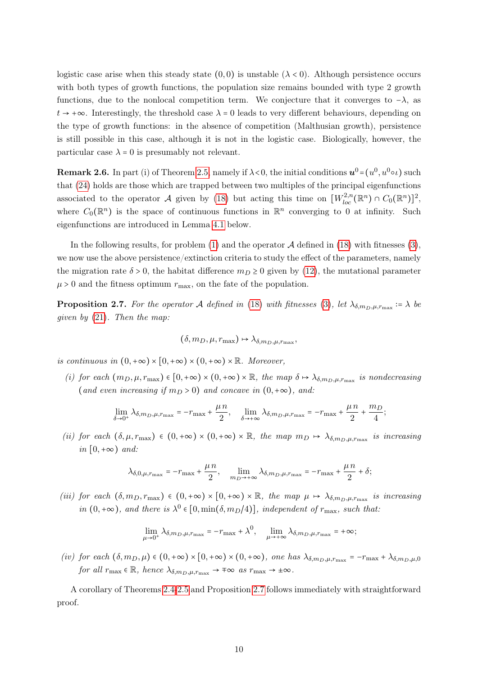logistic case arise when this steady state  $(0,0)$  is unstable  $(\lambda < 0)$ . Although persistence occurs with both types of growth functions, the population size remains bounded with type 2 growth functions, due to the nonlocal competition term. We conjecture that it converges to  $-\lambda$ , as  $t \to +\infty$ . Interestingly, the threshold case  $\lambda = 0$  leads to very different behaviours, depending on the type of growth functions: in the absence of competition (Malthusian growth), persistence is still possible in this case, although it is not in the logistic case. Biologically, however, the particular case  $\lambda = 0$  is presumably not relevant.

<span id="page-9-0"></span>**Remark [2](#page-8-1).6.** In part (i) of Theorem 2.5, namely if  $\lambda < 0$ , the initial conditions  $u^0 = (u^0, u^0 \circ \iota)$  such that [\(24\)](#page-8-2) holds are those which are trapped between two multiples of the principal eigenfunctions associated to the operator A given by [\(18\)](#page-7-0) but acting this time on  $[W_{loc}^{2,n}(\mathbb{R}^n) \cap C_0(\mathbb{R}^n)]^2$ , where  $C_0(\mathbb{R}^n)$  is the space of continuous functions in  $\mathbb{R}^n$  converging to 0 at infinity. Such eigenfunctions are introduced in Lemma [4.1](#page-18-0) below.

In the following results, for problem  $(1)$  and the operator  $A$  defined in  $(18)$  with fitnesses  $(3)$ , we now use the above persistence/extinction criteria to study the effect of the parameters, namely the migration rate  $\delta > 0$ , the habitat difference  $m_D \ge 0$  given by [\(12\)](#page-3-3), the mutational parameter  $\mu > 0$  and the fitness optimum  $r_{\text{max}}$ , on the fate of the population.

<span id="page-9-1"></span>**Proposition 2.7.** For the operator A defined in [\(18\)](#page-7-0) with fitnesses [\(3\)](#page-2-3), let  $\lambda_{\delta,m_D,\mu,r_{\max}} \coloneqq \lambda$  be given by [\(21\)](#page-7-2). Then the map:

$$
(\delta, m_D, \mu, r_{\max}) \mapsto \lambda_{\delta, m_D, \mu, r_{\max}},
$$

is continuous in  $(0, +\infty) \times [0, +\infty) \times (0, +\infty) \times \mathbb{R}$ . Moreover,

(i) for each  $(m_D, \mu, r_{\text{max}}) \in [0, +\infty) \times (0, +\infty) \times \mathbb{R}$ , the map  $\delta \mapsto \lambda_{\delta, m_D, \mu, r_{\text{max}}}$  is nondecreasing (and even increasing if  $m_D > 0$ ) and concave in  $(0, +\infty)$ , and:

$$
\lim_{\delta \to 0^+} \lambda_{\delta, m_D, \mu, r_{\max}} = -r_{\max} + \frac{\mu n}{2}, \quad \lim_{\delta \to +\infty} \lambda_{\delta, m_D, \mu, r_{\max}} = -r_{\max} + \frac{\mu n}{2} + \frac{m_D}{4};
$$

(ii) for each  $(\delta, \mu, r_{\max}) \in (0, +\infty) \times (0, +\infty) \times \mathbb{R}$ , the map  $m_D \mapsto \lambda_{\delta, m_D, \mu, r_{\max}}$  is increasing in  $[0, +\infty)$  and:

$$
\lambda_{\delta,0,\mu,r_{\max}} = -r_{\max} + \frac{\mu n}{2}, \quad \lim_{m_D \to +\infty} \lambda_{\delta,m_D,\mu,r_{\max}} = -r_{\max} + \frac{\mu n}{2} + \delta;
$$

(iii) for each  $(\delta, m_D, r_{\text{max}}) \in (0, +\infty) \times [0, +\infty) \times \mathbb{R}$ , the map  $\mu \mapsto \lambda_{\delta, m_D, \mu, r_{\text{max}}}$  is increasing in  $(0, +\infty)$ , and there is  $\lambda^0 \in [0, \min(\delta, m_D/4)]$ , independent of  $r_{\max}$ , such that:

$$
\lim_{\mu \to 0^+} \lambda_{\delta, m_D, \mu, r_{\max}} = -r_{\max} + \lambda^0, \quad \lim_{\mu \to +\infty} \lambda_{\delta, m_D, \mu, r_{\max}} = +\infty;
$$

(iv) for each  $(\delta, m_D, \mu) \in (0, +\infty) \times [0, +\infty) \times (0, +\infty)$ , one has  $\lambda_{\delta, m_D, \mu, r_{\max}} = -r_{\max} + \lambda_{\delta, m_D, \mu, 0}$ for all  $r_{\text{max}} \in \mathbb{R}$ , hence  $\lambda_{\delta, m_D, \mu, r_{\text{max}}} \to \pm \infty$  as  $r_{\text{max}} \to \pm \infty$ .

<span id="page-9-2"></span>A corollary of Theorems [2.4](#page-8-0)[-2.5](#page-8-1) and Proposition [2.7](#page-9-1) follows immediately with straightforward proof.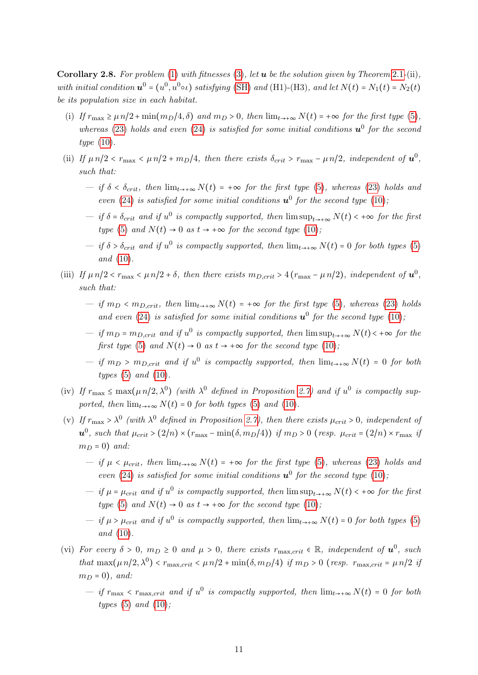Corollary 2.8. For problem [\(1\)](#page-2-1) with fitnesses [\(3\)](#page-2-3), let  $u$  be the solution given by Theorem [2](#page-6-3).1-(ii), with initial condition  $u^0 = (u^0, u^0 \circ \iota)$  satisfying [\(SH\)](#page-5-2) and (H1)-(H3), and let  $N(t) = N_1(t) = N_2(t)$ be its population size in each habitat.

- (i) If  $r_{\text{max}} \ge \mu n/2 + \min(m_D/4, \delta)$  and  $m_D > 0$ , then  $\lim_{t \to +\infty} N(t) = +\infty$  for the first type [\(5\)](#page-2-2), whereas [\(23\)](#page-8-3) holds and even [\(24\)](#page-8-2) is satisfied for some initial conditions  $u^0$  for the second type [\(10\)](#page-3-2).
- (ii) If  $\mu n/2 < r_{\text{max}} < \mu n/2 + m_D/4$ , then there exists  $\delta_{crit} > r_{\text{max}} \mu n/2$ , independent of  $\mathbf{u}^0$ , such that:
	- if  $\delta < \delta_{crit}$ , then  $\lim_{t\to+\infty} N(t) = +\infty$  for the first type [\(5\)](#page-2-2), whereas [\(23\)](#page-8-3) holds and even [\(24\)](#page-8-2) is satisfied for some initial conditions  $u^0$  for the second type [\(10\)](#page-3-2),
	- $\overline{u}$  is compactly supported, then  $\limsup_{t\to+\infty} N(t)$  < +∞ for the first type [\(5\)](#page-2-2) and  $N(t) \rightarrow 0$  as  $t \rightarrow +\infty$  for the second type [\(10\)](#page-3-2);
	- $− if δ > δ<sub>crit</sub> and if u<sup>0</sup> is compactly supported, then lim<sub>t→+∞</sub> N(t) = 0 for both types (5)$  $− if δ > δ<sub>crit</sub> and if u<sup>0</sup> is compactly supported, then lim<sub>t→+∞</sub> N(t) = 0 for both types (5)$ and [\(10\)](#page-3-2).
- (iii) If  $\mu n/2 < r_{\text{max}} < \mu n/2 + \delta$ , then there exists  $m_{D,crit} > 4(r_{\text{max}} \mu n/2)$ , independent of  $\mathbf{u}^0$ , such that:
	- if  $m_D < m_{D,\text{crit}}$ , then  $\lim_{t\to+\infty} N(t) = +\infty$  for the first type [\(5\)](#page-2-2), whereas [\(23\)](#page-8-3) holds and even [\(24\)](#page-8-2) is satisfied for some initial conditions  $u^0$  for the second type [\(10\)](#page-3-2),
	- $\mu$  if  $m_D$  =  $m_{D,crit}$  and if  $u^0$  is compactly supported, then  $\limsup_{t\to+\infty} N(t)$  < +∞ for the first type [\(5\)](#page-2-2) and  $N(t) \rightarrow 0$  as  $t \rightarrow +\infty$  for the second type [\(10\)](#page-3-2);
	- $\sum_{i=1}^{n}$  is compactly supported, then  $\lim_{t\to+\infty} N(t) = 0$  for both types  $(5)$  and  $(10)$ .
- (iv) If  $r_{\text{max}} \leq \max(\mu n/2, \lambda^0)$  (with  $\lambda^0$  defined in Proposition [2.7\)](#page-9-1) and if  $u^0$  is compactly supported, then  $\lim_{t\to+\infty} N(t) = 0$  for both types [\(5\)](#page-2-2) and [\(10\)](#page-3-2).
- (v) If  $r_{\text{max}} > \lambda^0$  (with  $\lambda^0$  defined in Proposition [2.7\)](#page-9-1), then there exists  $\mu_{crit} > 0$ , independent of  $u^0$ , such that  $\mu_{crit} > (2/n) \times (r_{\text{max}} - \min(\delta, m_D/4))$  if  $m_D > 0$  (resp.  $\mu_{crit} = (2/n) \times r_{\text{max}}$  if  $m_D = 0$ ) and:
	- if  $\mu < \mu_{crit}$ , then  $\lim_{t\to+\infty} N(t) = +\infty$  for the first type [\(5\)](#page-2-2), whereas [\(23\)](#page-8-3) holds and even [\(24\)](#page-8-2) is satisfied for some initial conditions  $u^0$  for the second type [\(10\)](#page-3-2),
	- $\frac{d}{dt}$  is compactly supported, then  $\limsup_{t\to+\infty} N(t)$  < +∞ for the first type [\(5\)](#page-2-2) and  $N(t) \rightarrow 0$  as  $t \rightarrow +\infty$  for the second type [\(10\)](#page-3-2);
	- $-$  if μ > μ<sub>crit</sub> and if u<sup>0</sup> is compactly supported, then  $\lim_{t\to+\infty} N(t) = 0$  for both types [\(5\)](#page-2-2) and  $(10)$ .
- (vi) For every  $\delta > 0$ ,  $m_D \ge 0$  and  $\mu > 0$ , there exists  $r_{\text{max,crit}} \in \mathbb{R}$ , independent of  $\mathbf{u}^0$ , such that  $\max(\mu n/2, \lambda^0) < r_{\max,crit} < \mu n/2 + \min(\delta, m_D/4)$  if  $m_D > 0$  (resp.  $r_{\max,crit} = \mu n/2$  if  $m_D = 0$ , and:
	- $\frac{1}{t}$  if  $r_{\text{max}} < r_{\text{max,crit}}$  and if  $u^0$  is compactly supported, then  $\lim_{t\to+\infty} N(t) = 0$  for both types  $(5)$  and  $(10)$ ;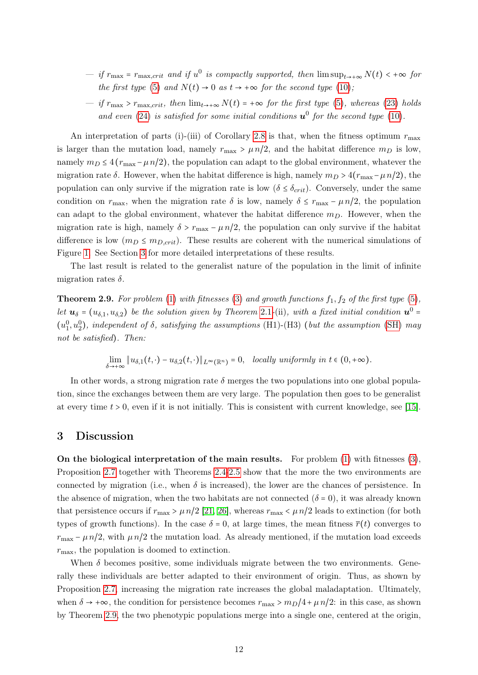- $\frac{d}{dt}$  if  $r_{\text{max,crit}}$  and if  $u^0$  is compactly supported, then  $\limsup_{t\to+\infty} N(t)$  < +∞ for the first type [\(5\)](#page-2-2) and  $N(t) \rightarrow 0$  as  $t \rightarrow +\infty$  for the second type [\(10\)](#page-3-2);
- if  $r_{\text{max}} > r_{\text{max,crit}}$ , then  $\lim_{t\to+\infty} N(t) = +\infty$  for the first type [\(5\)](#page-2-2), whereas [\(23\)](#page-8-3) holds and even [\(24\)](#page-8-2) is satisfied for some initial conditions  $u^0$  for the second type [\(10\)](#page-3-2).

An interpretation of parts (i)-(iii) of Corollary [2.8](#page-9-2) is that, when the fitness optimum  $r_{\text{max}}$ is larger than the mutation load, namely  $r_{\text{max}} > \mu n/2$ , and the habitat difference  $m_D$  is low, namely  $m_D \leq 4 (r_{\text{max}} - \mu n/2)$ , the population can adapt to the global environment, whatever the migration rate  $\delta$ . However, when the habitat difference is high, namely  $m_D > 4(r_{\text{max}} - \mu n/2)$ , the population can only survive if the migration rate is low  $(\delta \leq \delta_{crit})$ . Conversely, under the same condition on  $r_{\text{max}}$ , when the migration rate  $\delta$  is low, namely  $\delta \leq r_{\text{max}} - \mu n/2$ , the population can adapt to the global environment, whatever the habitat difference  $m<sub>D</sub>$ . However, when the migration rate is high, namely  $\delta > r_{\text{max}} - \mu n/2$ , the population can only survive if the habitat difference is low  $(m_D \leq m_{D,crit})$ . These results are coherent with the numerical simulations of Figure [1.](#page-5-1) See Section [3](#page-11-0) for more detailed interpretations of these results.

The last result is related to the generalist nature of the population in the limit of infinite migration rates  $\delta$ .

<span id="page-11-1"></span>**Theorem 2.9.** For problem [\(1\)](#page-2-1) with fitnesses [\(3\)](#page-2-3) and growth functions  $f_1, f_2$  of the first type [\(5\)](#page-2-2), let  $u_{\delta} = (u_{\delta,1}, u_{\delta,2})$  $u_{\delta} = (u_{\delta,1}, u_{\delta,2})$  $u_{\delta} = (u_{\delta,1}, u_{\delta,2})$  be the solution given by Theorem 2.1-(ii), with a fixed initial condition  $u^0$  $(u_1^0, u_2^0)$ , independent of  $\delta$ , satisfying the assumptions (H1)-(H3) (but the assumption [\(SH\)](#page-5-2) may not be satisfied). Then:

$$
\lim_{\delta \to +\infty} \|u_{\delta,1}(t,\cdot)-u_{\delta,2}(t,\cdot)\|_{L^\infty(\mathbb{R}^n)}=0, \quad locally \text{ uniformly in } t \in (0,+\infty).
$$

In other words, a strong migration rate  $\delta$  merges the two populations into one global population, since the exchanges between them are very large. The population then goes to be generalist at every time  $t > 0$ , even if it is not initially. This is consistent with current knowledge, see [\[15\]](#page-33-9).

## <span id="page-11-0"></span>3 Discussion

On the biological interpretation of the main results. For problem  $(1)$  with fitnesses  $(3)$ , Proposition [2.7](#page-9-1) together with Theorems [2.4](#page-8-0)[-2.5](#page-8-1) show that the more the two environments are connected by migration (i.e., when  $\delta$  is increased), the lower are the chances of persistence. In the absence of migration, when the two habitats are not connected  $(\delta = 0)$ , it was already known that persistence occurs if  $r_{\text{max}} > \mu n/2$  [\[21,](#page-33-0) [26\]](#page-34-5), whereas  $r_{\text{max}} < \mu n/2$  leads to extinction (for both types of growth functions). In the case  $\delta = 0$ , at large times, the mean fitness  $\bar{r}(t)$  converges to  $r_{\text{max}} - \mu n/2$ , with  $\mu n/2$  the mutation load. As already mentioned, if the mutation load exceeds  $r_{\text{max}}$ , the population is doomed to extinction.

When  $\delta$  becomes positive, some individuals migrate between the two environments. Generally these individuals are better adapted to their environment of origin. Thus, as shown by Proposition [2.7,](#page-9-1) increasing the migration rate increases the global maladaptation. Ultimately, when  $\delta \to +\infty$ , the condition for persistence becomes  $r_{\text{max}} > m_D/4 + \mu n/2$ : in this case, as shown by Theorem [2.9,](#page-11-1) the two phenotypic populations merge into a single one, centered at the origin,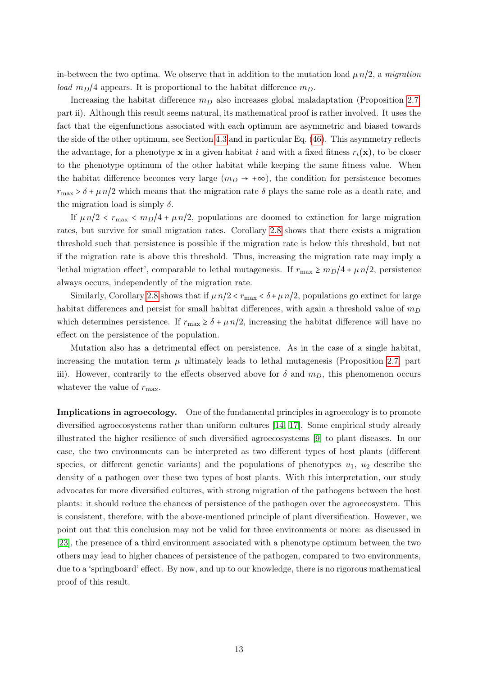in-between the two optima. We observe that in addition to the mutation load  $\mu n/2$ , a migration load  $m_D/4$  appears. It is proportional to the habitat difference  $m_D$ .

Increasing the habitat difference  $m<sub>D</sub>$  also increases global maladaptation (Proposition [2.7,](#page-9-1) part ii). Although this result seems natural, its mathematical proof is rather involved. It uses the fact that the eigenfunctions associated with each optimum are asymmetric and biased towards the side of the other optimum, see Section [4.3](#page-23-0) and in particular Eq. [\(46\)](#page-27-0). This asymmetry reflects the advantage, for a phenotype **x** in a given habitat i and with a fixed fitness  $r_i(\mathbf{x})$ , to be closer to the phenotype optimum of the other habitat while keeping the same fitness value. When the habitat difference becomes very large  $(m_D \rightarrow +\infty)$ , the condition for persistence becomes  $r_{\text{max}} > \delta + \mu n/2$  which means that the migration rate  $\delta$  plays the same role as a death rate, and the migration load is simply  $\delta$ .

If  $\mu n/2 < r_{\text{max}} < m_D/4 + \mu n/2$ , populations are doomed to extinction for large migration rates, but survive for small migration rates. Corollary [2.8](#page-9-2) shows that there exists a migration threshold such that persistence is possible if the migration rate is below this threshold, but not if the migration rate is above this threshold. Thus, increasing the migration rate may imply a 'lethal migration effect', comparable to lethal mutagenesis. If  $r_{\text{max}} \ge m_D/4 + \mu n/2$ , persistence always occurs, independently of the migration rate.

Similarly, Corollary [2.8](#page-9-2) shows that if  $\mu n/2 < r_{\text{max}} < \delta + \mu n/2$ , populations go extinct for large habitat differences and persist for small habitat differences, with again a threshold value of  $m_D$ which determines persistence. If  $r_{\text{max}} \ge \delta + \mu n/2$ , increasing the habitat difference will have no effect on the persistence of the population.

Mutation also has a detrimental effect on persistence. As in the case of a single habitat, increasing the mutation term  $\mu$  ultimately leads to lethal mutagenesis (Proposition [2.7,](#page-9-1) part iii). However, contrarily to the effects observed above for  $\delta$  and  $m_D$ , this phenomenon occurs whatever the value of  $r_{\text{max}}$ .

Implications in agroecology. One of the fundamental principles in agroecology is to promote diversified agroecosystems rather than uniform cultures [\[14,](#page-33-3) [17\]](#page-33-12). Some empirical study already illustrated the higher resilience of such diversified agroecosystems [\[9\]](#page-33-13) to plant diseases. In our case, the two environments can be interpreted as two different types of host plants (different species, or different genetic variants) and the populations of phenotypes  $u_1$ ,  $u_2$  describe the density of a pathogen over these two types of host plants. With this interpretation, our study advocates for more diversified cultures, with strong migration of the pathogens between the host plants: it should reduce the chances of persistence of the pathogen over the agroecosystem. This is consistent, therefore, with the above-mentioned principle of plant diversification. However, we point out that this conclusion may not be valid for three environments or more: as discussed in [\[23\]](#page-34-13), the presence of a third environment associated with a phenotype optimum between the two others may lead to higher chances of persistence of the pathogen, compared to two environments, due to a 'springboard' effect. By now, and up to our knowledge, there is no rigorous mathematical proof of this result.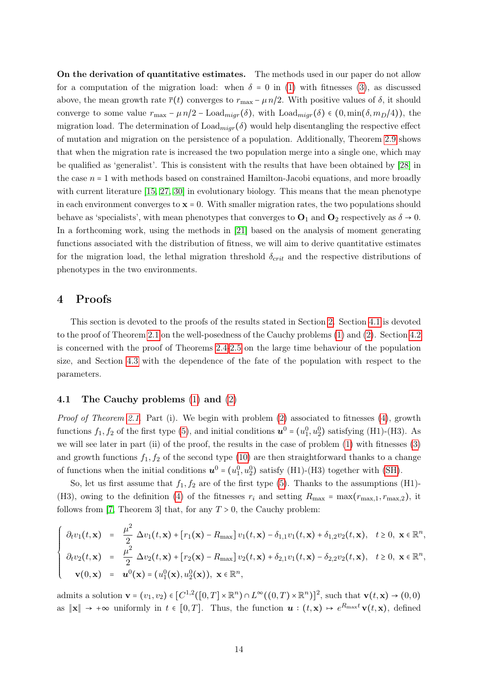On the derivation of quantitative estimates. The methods used in our paper do not allow for a computation of the migration load: when  $\delta = 0$  in [\(1\)](#page-2-1) with fitnesses [\(3\)](#page-2-3), as discussed above, the mean growth rate  $\bar{r}(t)$  converges to  $r_{\text{max}} - \mu n/2$ . With positive values of  $\delta$ , it should converge to some value  $r_{\text{max}} - \mu n/2 - \text{Load}_{migr}(\delta)$ , with  $\text{Load}_{migr}(\delta) \in (0, \min(\delta, m_D/4))$ , the migration load. The determination of  $\text{Load}_{\text{migr}}(\delta)$  would help disentangling the respective effect of mutation and migration on the persistence of a population. Additionally, Theorem [2.9](#page-11-1) shows that when the migration rate is increased the two population merge into a single one, which may be qualified as 'generalist'. This is consistent with the results that have been obtained by [\[28\]](#page-34-6) in the case  $n = 1$  with methods based on constrained Hamilton-Jacobi equations, and more broadly with current literature [\[15,](#page-33-9) [27,](#page-34-10) [30\]](#page-34-11) in evolutionary biology. This means that the mean phenotype in each environment converges to  $x = 0$ . With smaller migration rates, the two populations should behave as 'specialists', with mean phenotypes that converges to  $O_1$  and  $O_2$  respectively as  $\delta \to 0$ . In a forthcoming work, using the methods in [\[21\]](#page-33-0) based on the analysis of moment generating functions associated with the distribution of fitness, we will aim to derive quantitative estimates for the migration load, the lethal migration threshold  $\delta_{crit}$  and the respective distributions of phenotypes in the two environments.

## 4 Proofs

This section is devoted to the proofs of the results stated in Section [2.](#page-5-0) Section [4.1](#page-13-0) is devoted to the proof of Theorem [2.1](#page-6-3) on the well-posedness of the Cauchy problems [\(1\)](#page-2-1) and [\(2\)](#page-2-0). Section [4.2](#page-18-1) is concerned with the proof of Theorems [2.4-](#page-8-0)[2.5](#page-8-1) on the large time behaviour of the population size, and Section [4.3](#page-23-0) with the dependence of the fate of the population with respect to the parameters.

### <span id="page-13-0"></span>4.1 The Cauchy problems [\(1\)](#page-2-1) and [\(2\)](#page-2-0)

*Proof of Theorem [2.1](#page-6-3).* Part (i). We begin with problem  $(2)$  associated to fitnesses  $(4)$ , growth functions  $f_1, f_2$  of the first type [\(5\)](#page-2-2), and initial conditions  $u^0 = (u_1^0, u_2^0)$  satisfying (H1)-(H3). As we will see later in part (ii) of the proof, the results in the case of problem [\(1\)](#page-2-1) with fitnesses [\(3\)](#page-2-3) and growth functions  $f_1, f_2$  of the second type [\(10\)](#page-3-2) are then straightforward thanks to a change of functions when the initial conditions  $u^0 = (u_1^0, u_2^0)$  satisfy (H1)-(H3) together with [\(SH\)](#page-5-2).

So, let us first assume that  $f_1, f_2$  are of the first type [\(5\)](#page-2-2). Thanks to the assumptions (H1)-(H3), owing to the definition [\(4\)](#page-2-4) of the fitnesses  $r_i$  and setting  $R_{\text{max}} = \max(r_{\text{max},1}, r_{\text{max},2})$ , it follows from [\[7,](#page-33-14) Theorem 3] that, for any  $T > 0$ , the Cauchy problem:

$$
\begin{cases}\n\partial_t v_1(t, \mathbf{x}) = \frac{\mu^2}{2} \Delta v_1(t, \mathbf{x}) + [r_1(\mathbf{x}) - R_{\text{max}}] v_1(t, \mathbf{x}) - \delta_{1,1} v_1(t, \mathbf{x}) + \delta_{1,2} v_2(t, \mathbf{x}), \quad t \ge 0, \ \mathbf{x} \in \mathbb{R}^n, \\
\partial_t v_2(t, \mathbf{x}) = \frac{\mu^2}{2} \Delta v_2(t, \mathbf{x}) + [r_2(\mathbf{x}) - R_{\text{max}}] v_2(t, \mathbf{x}) + \delta_{2,1} v_1(t, \mathbf{x}) - \delta_{2,2} v_2(t, \mathbf{x}), \quad t \ge 0, \ \mathbf{x} \in \mathbb{R}^n, \\
\mathbf{v}(0, \mathbf{x}) = \mathbf{u}^0(\mathbf{x}) = (u_1^0(\mathbf{x}), u_2^0(\mathbf{x})), \ \mathbf{x} \in \mathbb{R}^n,\n\end{cases}
$$

admits a solution  $\mathbf{v} = (v_1, v_2) \in [C^{1,2}([0, T] \times \mathbb{R}^n) \cap L^{\infty}((0, T) \times \mathbb{R}^n)]^2$ , such that  $\mathbf{v}(t, \mathbf{x}) \to (0, 0)$ as  $\|\mathbf{x}\| \to +\infty$  uniformly in  $t \in [0,T]$ . Thus, the function  $\mathbf{u} : (t,\mathbf{x}) \mapsto e^{R_{\text{max}}t} \mathbf{v}(t,\mathbf{x})$ , defined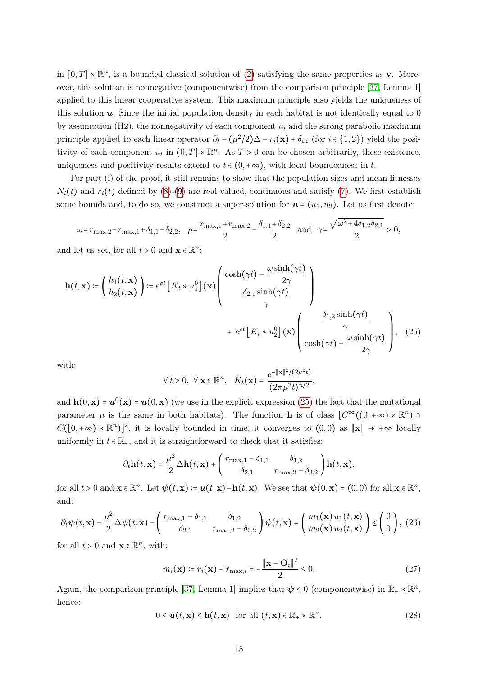in  $[0, T] \times \mathbb{R}^n$ , is a bounded classical solution of [\(2\)](#page-2-0) satisfying the same properties as **v**. Moreover, this solution is nonnegative (componentwise) from the comparison principle [\[37,](#page-34-14) Lemma 1] applied to this linear cooperative system. This maximum principle also yields the uniqueness of this solution  $\boldsymbol{u}$ . Since the initial population density in each habitat is not identically equal to 0 by assumption (H2), the nonnegativity of each component  $u_i$  and the strong parabolic maximum principle applied to each linear operator  $\partial_t - (\mu^2/2)\Delta - r_i(\mathbf{x}) + \delta_{i,i}$  (for  $i \in \{1,2\}$ ) yield the positivity of each component  $u_i$  in  $(0,T] \times \mathbb{R}^n$ . As  $T > 0$  can be chosen arbitrarily, these existence, uniqueness and positivity results extend to  $t \in (0, +\infty)$ , with local boundedness in t.

For part (i) of the proof, it still remains to show that the population sizes and mean fitnesses  $N_i(t)$  and  $\bar{r}_i(t)$  defined by [\(8\)](#page-3-0)-[\(9\)](#page-3-1) are real valued, continuous and satisfy [\(7\)](#page-3-4). We first establish some bounds and, to do so, we construct a super-solution for  $u = (u_1, u_2)$ . Let us first denote:

$$
\omega = r_{\max,2} - r_{\max,1} + \delta_{1,1} - \delta_{2,2}, \quad \rho = \frac{r_{\max,1} + r_{\max,2}}{2} - \frac{\delta_{1,1} + \delta_{2,2}}{2} \quad \text{and} \quad \gamma = \frac{\sqrt{\omega^2 + 4\delta_{1,2}\delta_{2,1}}}{2} > 0,
$$

and let us set, for all  $t > 0$  and  $\mathbf{x} \in \mathbb{R}^n$ :

$$
\mathbf{h}(t, \mathbf{x}) \coloneqq \left(\begin{array}{c} h_1(t, \mathbf{x}) \\ h_2(t, \mathbf{x}) \end{array}\right) \coloneqq e^{\rho t} \left[K_t * u_1^0\right](\mathbf{x}) \left(\begin{array}{c} \cosh(\gamma t) - \frac{\omega \sinh(\gamma t)}{2\gamma} \\ \frac{\delta_{2,1} \sinh(\gamma t)}{\gamma} \\ + e^{\rho t} \left[K_t * u_2^0\right](\mathbf{x}) \left(\begin{array}{c} \frac{\delta_{1,2} \sinh(\gamma t)}{\gamma} \\ \frac{\delta_{1,2} \sinh(\gamma t)}{\gamma} \\ \cosh(\gamma t) + \frac{\omega \sinh(\gamma t)}{2\gamma} \end{array}\right), \tag{25}
$$

with:

<span id="page-14-0"></span>
$$
\forall t > 0, \ \forall \mathbf{x} \in \mathbb{R}^n, \ \ K_t(\mathbf{x}) = \frac{e^{-\|\mathbf{x}\|^2/(2\mu^2 t)}}{(2\pi\mu^2 t)^{n/2}},
$$

and  $h(0, x) = u^0(x) = u(0, x)$  (we use in the explicit expression [\(25\)](#page-14-0) the fact that the mutational parameter  $\mu$  is the same in both habitats). The function **h** is of class  $[C^{\infty}((0, +\infty) \times \mathbb{R}^{n}) \cap$  $C([0, +\infty) \times \mathbb{R}^n)^2$ , it is locally bounded in time, it converges to  $(0, 0)$  as  $\|\mathbf{x}\| \to +\infty$  locally uniformly in  $t \in \mathbb{R}_+$ , and it is straightforward to check that it satisfies:

$$
\partial_t \mathbf{h}(t, \mathbf{x}) = \frac{\mu^2}{2} \Delta \mathbf{h}(t, \mathbf{x}) + \begin{pmatrix} r_{\text{max},1} - \delta_{1,1} & \delta_{1,2} \\ \delta_{2,1} & r_{\text{max},2} - \delta_{2,2} \end{pmatrix} \mathbf{h}(t, \mathbf{x}),
$$

for all  $t > 0$  and  $\mathbf{x} \in \mathbb{R}^n$ . Let  $\psi(t, \mathbf{x}) \coloneq \mathbf{u}(t, \mathbf{x}) - \mathbf{h}(t, \mathbf{x})$ . We see that  $\psi(0, \mathbf{x}) = (0, 0)$  for all  $\mathbf{x} \in \mathbb{R}^n$ , and:

<span id="page-14-1"></span>
$$
\partial_t \psi(t, \mathbf{x}) - \frac{\mu^2}{2} \Delta \psi(t, \mathbf{x}) - \begin{pmatrix} r_{\text{max},1} - \delta_{1,1} & \delta_{1,2} \\ \delta_{2,1} & r_{\text{max},2} - \delta_{2,2} \end{pmatrix} \psi(t, \mathbf{x}) = \begin{pmatrix} m_1(\mathbf{x}) u_1(t, \mathbf{x}) \\ m_2(\mathbf{x}) u_2(t, \mathbf{x}) \end{pmatrix} \leq \begin{pmatrix} 0 \\ 0 \end{pmatrix}, (26)
$$

for all  $t > 0$  and  $\mathbf{x} \in \mathbb{R}^n$ , with:

<span id="page-14-3"></span>
$$
m_i(\mathbf{x}) \coloneqq r_i(\mathbf{x}) - r_{\text{max},i} = -\frac{\|\mathbf{x} - \mathbf{O}_i\|^2}{2} \le 0. \tag{27}
$$

Again, the comparison principle [\[37,](#page-34-14) Lemma 1] implies that  $\psi \leq 0$  (componentwise) in  $\mathbb{R}_+ \times \mathbb{R}^n$ , hence:

<span id="page-14-2"></span>
$$
0 \leq \mathbf{u}(t, \mathbf{x}) \leq \mathbf{h}(t, \mathbf{x}) \quad \text{for all } (t, \mathbf{x}) \in \mathbb{R}_+ \times \mathbb{R}^n. \tag{28}
$$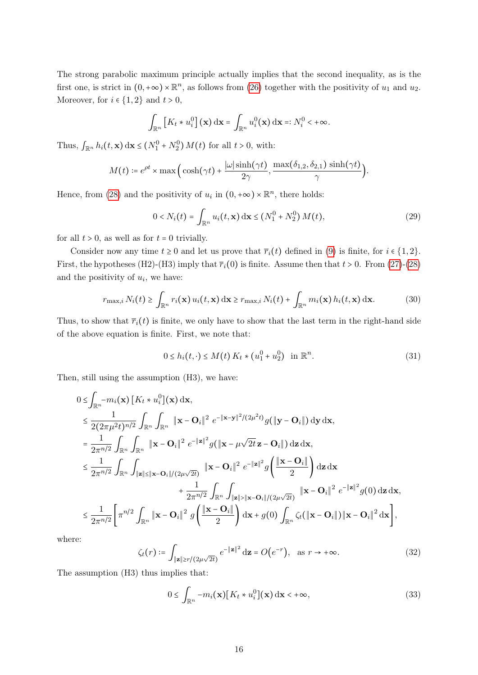The strong parabolic maximum principle actually implies that the second inequality, as is the first one, is strict in  $(0, +\infty) \times \mathbb{R}^n$ , as follows from [\(26\)](#page-14-1) together with the positivity of  $u_1$  and  $u_2$ . Moreover, for  $i \in \{1,2\}$  and  $t > 0$ ,

$$
\int_{\mathbb{R}^n} \left[ K_t * u_i^0 \right] (\mathbf{x}) \, \mathrm{d} \mathbf{x} = \int_{\mathbb{R}^n} u_i^0 (\mathbf{x}) \, \mathrm{d} \mathbf{x} =: N_i^0 < +\infty.
$$

Thus,  $\int_{\mathbb{R}^n} h_i(t, \mathbf{x}) dx \le (N_1^0 + N_2^0) M(t)$  for all  $t > 0$ , with:

$$
M(t) \coloneqq e^{\rho t} \times \max\left(\cosh(\gamma t) + \frac{|\omega| \sinh(\gamma t)}{2\gamma}, \frac{\max(\delta_{1,2}, \delta_{2,1}) \sinh(\gamma t)}{\gamma}\right).
$$

Hence, from [\(28\)](#page-14-2) and the positivity of  $u_i$  in  $(0, +\infty) \times \mathbb{R}^n$ , there holds:

$$
0 < N_i(t) = \int_{\mathbb{R}^n} u_i(t, \mathbf{x}) \, \mathrm{d}\mathbf{x} \le (N_1^0 + N_2^0) \, M(t),\tag{29}
$$

for all  $t > 0$ , as well as for  $t = 0$  trivially.

Consider now any time  $t \ge 0$  and let us prove that  $\overline{r}_i(t)$  defined in [\(9\)](#page-3-1) is finite, for  $i \in \{1,2\}$ . First, the hypotheses (H2)-(H3) imply that  $\overline{r}_i(0)$  is finite. Assume then that  $t > 0$ . From [\(27\)](#page-14-3)-[\(28\)](#page-14-2) and the positivity of  $u_i$ , we have:

<span id="page-15-2"></span>
$$
r_{\max,i} N_i(t) \ge \int_{\mathbb{R}^n} r_i(\mathbf{x}) u_i(t, \mathbf{x}) \, \mathrm{d}\mathbf{x} \ge r_{\max,i} N_i(t) + \int_{\mathbb{R}^n} m_i(\mathbf{x}) h_i(t, \mathbf{x}) \, \mathrm{d}\mathbf{x}.\tag{30}
$$

Thus, to show that  $\overline{r_i}(t)$  is finite, we only have to show that the last term in the right-hand side of the above equation is finite. First, we note that:

<span id="page-15-1"></span>
$$
0 \le h_i(t, \cdot) \le M(t) \, K_t \ast (u_1^0 + u_2^0) \quad \text{in } \mathbb{R}^n. \tag{31}
$$

Then, still using the assumption (H3), we have:

$$
0 \leq \int_{\mathbb{R}^n} -m_i(\mathbf{x}) \left[K_t * u_i^0\right](\mathbf{x}) d\mathbf{x},
$$
  
\n
$$
\leq \frac{1}{2(2\pi\mu^2 t)^{n/2}} \int_{\mathbb{R}^n} \int_{\mathbb{R}^n} \|\mathbf{x} - \mathbf{O}_i\|^2 e^{-\|\mathbf{x} - \mathbf{y}\|^2/(2\mu^2 t)} g(\|\mathbf{y} - \mathbf{O}_i\|) d\mathbf{y} d\mathbf{x},
$$
  
\n
$$
= \frac{1}{2\pi^{n/2}} \int_{\mathbb{R}^n} \int_{\mathbb{R}^n} \|\mathbf{x} - \mathbf{O}_i\|^2 e^{-\|\mathbf{z}\|^2} g(\|\mathbf{x} - \mu\sqrt{2t}\mathbf{z} - \mathbf{O}_i\|) d\mathbf{z} d\mathbf{x},
$$
  
\n
$$
\leq \frac{1}{2\pi^{n/2}} \int_{\mathbb{R}^n} \int_{\|\mathbf{z}\| \leq \|\mathbf{x} - \mathbf{O}_i\|/(2\mu\sqrt{2t})} \|\mathbf{x} - \mathbf{O}_i\|^2 e^{-\|\mathbf{z}\|^2} g(\frac{\|\mathbf{x} - \mathbf{O}_i\|}{2}) d\mathbf{z} d\mathbf{x} + \frac{1}{2\pi^{n/2}} \int_{\mathbb{R}^n} \int_{\|\mathbf{z}\| > \|\mathbf{x} - \mathbf{O}_i\|/(2\mu\sqrt{2t})} \|\mathbf{x} - \mathbf{O}_i\|^2 e^{-\|\mathbf{z}\|^2} g(0) d\mathbf{z} d\mathbf{x},
$$
  
\n
$$
\leq \frac{1}{2\pi^{n/2}} \left[ \pi^{n/2} \int_{\mathbb{R}^n} \|\mathbf{x} - \mathbf{O}_i\|^2 g(\frac{\|\mathbf{x} - \mathbf{O}_i\|}{2}) d\mathbf{x} + g(0) \int_{\mathbb{R}^n} \zeta_t(\|\mathbf{x} - \mathbf{O}_i\|) \|\mathbf{x} - \mathbf{O}_i\|^2 d\mathbf{x} \right],
$$

where:

<span id="page-15-3"></span>
$$
\zeta_t(r) \coloneqq \int_{\|\mathbf{z}\| \ge r/(2\mu\sqrt{2t})} e^{-\|\mathbf{z}\|^2} \, \mathrm{d}\mathbf{z} = O\big(e^{-r}\big), \quad \text{as } r \to +\infty. \tag{32}
$$

The assumption (H3) thus implies that:

<span id="page-15-0"></span>
$$
0 \le \int_{\mathbb{R}^n} -m_i(\mathbf{x}) \left[ K_t * u_i^0 \right](\mathbf{x}) \, \mathrm{d}\mathbf{x} < +\infty,\tag{33}
$$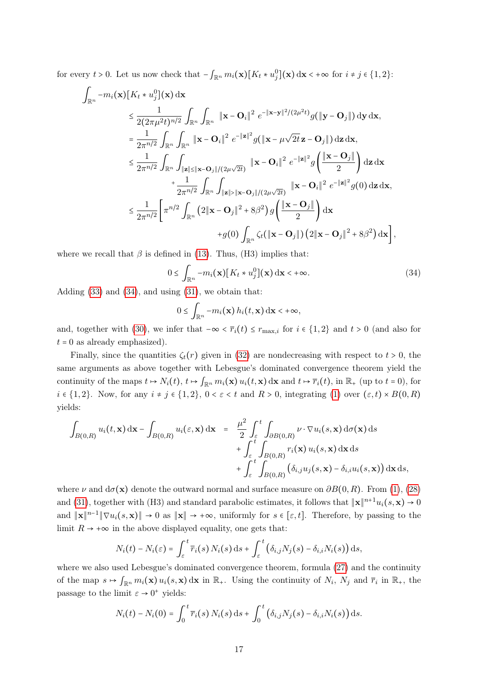for every  $t > 0$ . Let us now check that  $-\int_{\mathbb{R}^n} m_i(\mathbf{x}) [K_t * u_j^0](\mathbf{x}) d\mathbf{x} < +\infty$  for  $i \neq j \in \{1, 2\}$ :

$$
\int_{\mathbb{R}^n} -m_i(\mathbf{x}) \left[ K_t * u_j^0 \right](\mathbf{x}) d\mathbf{x} \n\leq \frac{1}{2(2\pi\mu^2 t)^{n/2}} \int_{\mathbb{R}^n} \int_{\mathbb{R}^n} \|\mathbf{x} - \mathbf{O}_i\|^2 e^{-\|\mathbf{x} - \mathbf{y}\|^2/(2\mu^2 t)} g(\|\mathbf{y} - \mathbf{O}_j\|) d\mathbf{y} d\mathbf{x}, \n= \frac{1}{2\pi^{n/2}} \int_{\mathbb{R}^n} \int_{\mathbb{R}^n} \|\mathbf{x} - \mathbf{O}_i\|^2 e^{-\|\mathbf{z}\|^2} g(\|\mathbf{x} - \mu \sqrt{2t} \mathbf{z} - \mathbf{O}_j\|) d\mathbf{z} d\mathbf{x}, \n\leq \frac{1}{2\pi^{n/2}} \int_{\mathbb{R}^n} \int_{\|\mathbf{z}\| \leq \|\mathbf{x} - \mathbf{O}_j\|/(2\mu\sqrt{2t})} \|\mathbf{x} - \mathbf{O}_i\|^2 e^{-\|\mathbf{z}\|^2} g(\frac{\|\mathbf{x} - \mathbf{O}_j\|}{2}) d\mathbf{z} d\mathbf{x} \n+ \frac{1}{2\pi^{n/2}} \int_{\mathbb{R}^n} \int_{\|\mathbf{z}\| > \|\mathbf{x} - \mathbf{O}_j\|/(2\mu\sqrt{2t})} \|\mathbf{x} - \mathbf{O}_i\|^2 e^{-\|\mathbf{z}\|^2} g(0) d\mathbf{z} d\mathbf{x}, \n\leq \frac{1}{2\pi^{n/2}} \left[ \pi^{n/2} \int_{\mathbb{R}^n} (2\|\mathbf{x} - \mathbf{O}_j\|^2 + 8\beta^2) g(\frac{\|\mathbf{x} - \mathbf{O}_j\|}{2}) d\mathbf{x} \n+ g(0) \int_{\mathbb{R}^n} \zeta_t(\|\mathbf{x} - \mathbf{O}_j\|)(2\|\mathbf{x} - \mathbf{O}_j\|^2 + 8\beta^2) d\mathbf{x} \right],
$$

where we recall that  $\beta$  is defined in [\(13\)](#page-5-4). Thus, (H3) implies that:

<span id="page-16-0"></span>
$$
0 \le \int_{\mathbb{R}^n} -m_i(\mathbf{x}) \left[ K_t * u_j^0 \right](\mathbf{x}) \, d\mathbf{x} < +\infty. \tag{34}
$$

Adding  $(33)$  and  $(34)$ , and using  $(31)$ , we obtain that:

$$
0 \leq \int_{\mathbb{R}^n} -m_i(\mathbf{x}) h_i(t, \mathbf{x}) \, \mathrm{d}\mathbf{x} < +\infty,
$$

and, together with [\(30\)](#page-15-2), we infer that  $-\infty < \overline{r_i}(t) \leq r_{\text{max},i}$  for  $i \in \{1,2\}$  and  $t > 0$  (and also for  $t = 0$  as already emphasized).

Finally, since the quantities  $\zeta_t(r)$  given in [\(32\)](#page-15-3) are nondecreasing with respect to  $t > 0$ , the same arguments as above together with Lebesgue's dominated convergence theorem yield the continuity of the maps  $t \mapsto N_i(t)$ ,  $t \mapsto \int_{\mathbb{R}^n} m_i(\mathbf{x}) u_i(t, \mathbf{x}) d\mathbf{x}$  and  $t \mapsto \overline{r}_i(t)$ , in  $\mathbb{R}_+$  (up to  $t = 0$ ), for  $i \in \{1,2\}$ . Now, for any  $i \neq j \in \{1,2\}$ ,  $0 \lt \varepsilon \lt t$  and  $R > 0$ , integrating [\(1\)](#page-2-1) over  $(\varepsilon, t) \times B(0, R)$ yields:

$$
\int_{B(0,R)} u_i(t, \mathbf{x}) d\mathbf{x} - \int_{B(0,R)} u_i(\varepsilon, \mathbf{x}) d\mathbf{x} = \frac{\mu^2}{2} \int_{\varepsilon}^t \int_{\partial B(0,R)} \nu \cdot \nabla u_i(s, \mathbf{x}) d\sigma(\mathbf{x}) ds \n+ \int_{\varepsilon}^t \int_{B(0,R)} r_i(\mathbf{x}) u_i(s, \mathbf{x}) d\mathbf{x} ds \n+ \int_{\varepsilon}^t \int_{B(0,R)} (\delta_{i,j} u_j(s, \mathbf{x}) - \delta_{i,i} u_i(s, \mathbf{x})) d\mathbf{x} ds,
$$

where  $\nu$  and  $d\sigma(\mathbf{x})$  denote the outward normal and surface measure on  $\partial B(0,R)$ . From [\(1\)](#page-2-1), [\(28\)](#page-14-2) and [\(31\)](#page-15-1), together with (H3) and standard parabolic estimates, it follows that  $\|\mathbf{x}\|^{n+1}u_i(s,\mathbf{x}) \to 0$ and  $\|\mathbf{x}\|^{n-1} \|\nabla u_i(s, \mathbf{x})\| \to 0$  as  $\|\mathbf{x}\| \to +\infty$ , uniformly for  $s \in [\varepsilon, t]$ . Therefore, by passing to the limit  $R \to +\infty$  in the above displayed equality, one gets that:

$$
N_i(t) - N_i(\varepsilon) = \int_{\varepsilon}^t \overline{r}_i(s) N_i(s) \, \mathrm{d} s + \int_{\varepsilon}^t \left( \delta_{i,j} N_j(s) - \delta_{i,i} N_i(s) \right) \mathrm{d} s,
$$

where we also used Lebesgue's dominated convergence theorem, formula [\(27\)](#page-14-3) and the continuity of the map  $s \mapsto \int_{\mathbb{R}^n} m_i(\mathbf{x}) u_i(s, \mathbf{x}) d\mathbf{x}$  in  $\mathbb{R}_+$ . Using the continuity of  $N_i$ ,  $N_j$  and  $\overline{r}_i$  in  $\mathbb{R}_+$ , the passage to the limit  $\varepsilon \to 0^+$  yields:

$$
N_i(t) - N_i(0) = \int_0^t \overline{r}_i(s) N_i(s) \, ds + \int_0^t \left( \delta_{i,j} N_j(s) - \delta_{i,i} N_i(s) \right) ds.
$$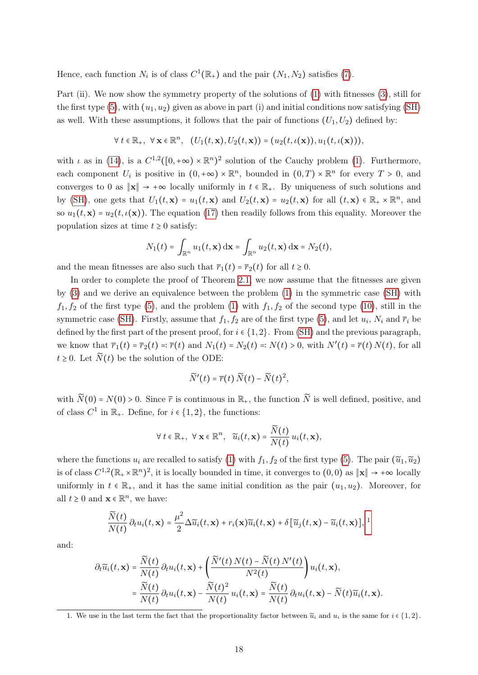Hence, each function  $N_i$  is of class  $C^1(\mathbb{R}_+)$  and the pair  $(N_1, N_2)$  satisfies [\(7\)](#page-3-4).

Part (ii). We now show the symmetry property of the solutions of [\(1\)](#page-2-1) with fitnesses [\(3\)](#page-2-3), still for the first type [\(5\)](#page-2-2), with  $(u_1, u_2)$  given as above in part (i) and initial conditions now satisfying [\(SH\)](#page-5-2) as well. With these assumptions, it follows that the pair of functions  $(U_1, U_2)$  defined by:

$$
\forall t \in \mathbb{R}_+, \ \forall \mathbf{x} \in \mathbb{R}^n, \ \ (U_1(t, \mathbf{x}), U_2(t, \mathbf{x})) = (u_2(t, \iota(\mathbf{x})), u_1(t, \iota(\mathbf{x}))),
$$

with  $\iota$  as in [\(14\)](#page-5-3), is a  $C^{1,2}([0, +\infty) \times \mathbb{R}^n)^2$  solution of the Cauchy problem [\(1\)](#page-2-1). Furthermore,  $\frac{1}{2}$ each component  $U_i$  is positive in  $(0, +\infty) \times \mathbb{R}^n$ , bounded in  $(0, T) \times \mathbb{R}^n$  for every  $T > 0$ , and converges to 0 as  $\|\mathbf{x}\| \to +\infty$  locally uniformly in  $t \in \mathbb{R}_+$ . By uniqueness of such solutions and by [\(SH\)](#page-5-2), one gets that  $U_1(t, \mathbf{x}) = u_1(t, \mathbf{x})$  and  $U_2(t, \mathbf{x}) = u_2(t, \mathbf{x})$  for all  $(t, \mathbf{x}) \in \mathbb{R}_+ \times \mathbb{R}^n$ , and so  $u_1(t, \mathbf{x}) = u_2(t, \iota(\mathbf{x}))$ . The equation [\(17\)](#page-6-3) then readily follows from this equality. Moreover the population sizes at time  $t \geq 0$  satisfy:

$$
N_1(t) = \int_{\mathbb{R}^n} u_1(t, \mathbf{x}) \, \mathrm{d}\mathbf{x} = \int_{\mathbb{R}^n} u_2(t, \mathbf{x}) \, \mathrm{d}\mathbf{x} = N_2(t),
$$

and the mean fitnesses are also such that  $\overline{r}_1(t) = \overline{r}_2(t)$  for all  $t \geq 0$ .

In order to complete the proof of Theorem [2.1,](#page-6-3) we now assume that the fitnesses are given by [\(3\)](#page-2-3) and we derive an equivalence between the problem [\(1\)](#page-2-1) in the symmetric case [\(SH\)](#page-5-2) with  $f_1, f_2$  of the first type [\(5\)](#page-2-2), and the problem [\(1\)](#page-2-1) with  $f_1, f_2$  of the second type [\(10\)](#page-3-2), still in the symmetric case [\(SH\)](#page-5-2). Firstly, assume that  $f_1, f_2$  are of the first type [\(5\)](#page-2-2), and let  $u_i$ ,  $N_i$  and  $\overline{r}_i$  be defined by the first part of the present proof, for  $i \in \{1,2\}$ . From [\(SH\)](#page-5-2) and the previous paragraph, we know that  $\overline{r}_1(t) = \overline{r}_2(t) =: \overline{r}(t)$  and  $N_1(t) = N_2(t) =: N(t) > 0$ , with  $N'(t) = \overline{r}(t) N(t)$ , for all  $t \geq 0$ . Let  $\widetilde{N}(t)$  be the solution of the ODE:

$$
\widetilde{N}'(t) = \overline{r}(t) \widetilde{N}(t) - \widetilde{N}(t)^2,
$$

with  $\widetilde{N}(0) = N(0) > 0$ . Since  $\overline{r}$  is continuous in  $\mathbb{R}_+$ , the function  $\widetilde{N}$  is well defined, positive, and of class  $C^1$  in  $\mathbb{R}_+$ . Define, for  $i \in \{1, 2\}$ , the functions:

$$
\forall t \in \mathbb{R}_+, \ \forall \mathbf{x} \in \mathbb{R}^n, \ \ \widetilde{u}_i(t, \mathbf{x}) = \frac{\widetilde{N}(t)}{N(t)} u_i(t, \mathbf{x}),
$$

where the functions  $u_i$  are recalled to satisfy [\(1\)](#page-2-1) with  $f_1, f_2$  of the first type [\(5\)](#page-2-2). The pair  $(\tilde{u}_1, \tilde{u}_2)$ is of class  $C^{1,2}(\mathbb{R}_+ \times \mathbb{R}^n)^2$ , it is locally bounded in time, it converges to  $(0,0)$  as  $\|\mathbf{x}\| \to +\infty$  locally uniformly in  $t \in \mathbb{R}_+$ , and it has the same initial condition as the pair  $(u_1, u_2)$ . Moreover, for all  $t \geq 0$  and  $\mathbf{x} \in \mathbb{R}^n$ , we have:

$$
\frac{\widetilde{N}(t)}{N(t)} \partial_t u_i(t, \mathbf{x}) = \frac{\mu^2}{2} \Delta \widetilde{u}_i(t, \mathbf{x}) + r_i(\mathbf{x}) \widetilde{u}_i(t, \mathbf{x}) + \delta \left[ \widetilde{u}_j(t, \mathbf{x}) - \widetilde{u}_i(t, \mathbf{x}) \right], \,^1
$$

and:

$$
\partial_t \widetilde{u}_i(t, \mathbf{x}) = \frac{\widetilde{N}(t)}{N(t)} \partial_t u_i(t, \mathbf{x}) + \left( \frac{\widetilde{N}'(t) N(t) - \widetilde{N}(t) N'(t)}{N^2(t)} \right) u_i(t, \mathbf{x}),
$$
  
= 
$$
\frac{\widetilde{N}(t)}{N(t)} \partial_t u_i(t, \mathbf{x}) - \frac{\widetilde{N}(t)^2}{N(t)} u_i(t, \mathbf{x}) = \frac{\widetilde{N}(t)}{N(t)} \partial_t u_i(t, \mathbf{x}) - \widetilde{N}(t) \widetilde{u}_i(t, \mathbf{x}).
$$

<span id="page-17-0"></span><sup>1.</sup> We use in the last term the fact that the proportionality factor between  $\widetilde{u}_i$  and  $u_i$  is the same for  $i \in \{1,2\}$ .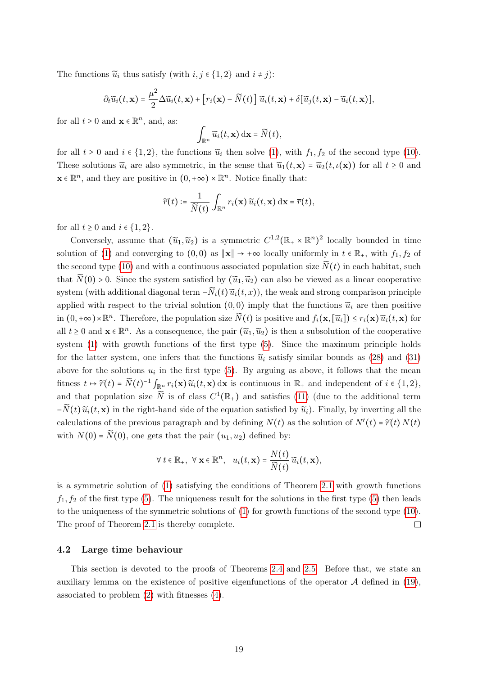The functions  $\widetilde{u}_i$  thus satisfy (with  $i, j \in \{1, 2\}$  and  $i \neq j$ ):

$$
\partial_t \widetilde{u}_i(t,\mathbf{x}) = \frac{\mu^2}{2} \Delta \widetilde{u}_i(t,\mathbf{x}) + \left[ r_i(\mathbf{x}) - \widetilde{N}(t) \right] \widetilde{u}_i(t,\mathbf{x}) + \delta[\widetilde{u}_j(t,\mathbf{x}) - \widetilde{u}_i(t,\mathbf{x})],
$$

for all  $t \geq 0$  and  $\mathbf{x} \in \mathbb{R}^n$ , and, as:

$$
\int_{\mathbb{R}^n} \widetilde{u}_i(t,\mathbf{x}) \, \mathrm{d}\mathbf{x} = \widetilde{N}(t),
$$

for all  $t \ge 0$  and  $i \in \{1,2\}$ , the functions  $\tilde{u}_i$  then solve [\(1\)](#page-2-1), with  $f_1, f_2$  of the second type [\(10\)](#page-3-2). These solutions  $\tilde{u}_i$  are also symmetric, in the sense that  $\tilde{u}_1(t,\mathbf{x}) = \tilde{u}_2(t,\iota(\mathbf{x}))$  for all  $t \geq 0$  and  $\mathbf{x} \in \mathbb{R}^n$ , and they are positive in  $(0, +\infty) \times \mathbb{R}^n$ . Notice finally that:

$$
\widetilde{r}(t) \coloneqq \frac{1}{\widetilde{N}(t)} \int_{\mathbb{R}^n} r_i(\mathbf{x}) \widetilde{u}_i(t, \mathbf{x}) \, \mathrm{d}\mathbf{x} = \overline{r}(t),
$$

for all  $t \geq 0$  and  $i \in \{1, 2\}$ .

Conversely, assume that  $(\tilde{u}_1, \tilde{u}_2)$  is a symmetric  $C^{1,2}(\mathbb{R}_+ \times \mathbb{R}^n)^2$  locally bounded in time solution of [\(1\)](#page-2-1) and converging to  $(0,0)$  as  $\|\mathbf{x}\| \to +\infty$  locally uniformly in  $t \in \mathbb{R}_+$ , with  $f_1, f_2$  of the second type [\(10\)](#page-3-2) and with a continuous associated population size  $N(t)$  in each habitat, such that  $\widetilde{N}(0) > 0$ . Since the system satisfied by  $(\widetilde{u}_1, \widetilde{u}_2)$  can also be viewed as a linear cooperative system (with additional diagonal term  $-\widetilde{N}_i(t)\widetilde{u}_i(t,x)$ ), the weak and strong comparison principle applied with respect to the trivial solution  $(0,0)$  imply that the functions  $\widetilde{u}_i$  are then positive in  $(0, +\infty) \times \mathbb{R}^n$ . Therefore, the population size  $\widetilde{N}(t)$  is positive and  $f_i(\mathbf{x}, [\widetilde{u}_i]) \le r_i(\mathbf{x}) \widetilde{u}_i(t, \mathbf{x})$  for all  $t \geq 0$  and  $\mathbf{x} \in \mathbb{R}^n$ . As a consequence, the pair  $(\widetilde{u}_1, \widetilde{u}_2)$  is then a subsolution of the cooperative system [\(1\)](#page-2-1) with growth functions of the first type [\(5\)](#page-2-2). Since the maximum principle holds for the latter system, one infers that the functions  $\tilde{u}_i$  satisfy similar bounds as [\(28\)](#page-14-2) and [\(31\)](#page-15-1) above for the solutions  $u_i$  in the first type [\(5\)](#page-2-2). By arguing as above, it follows that the mean fitness  $t \mapsto \widetilde{r}(t) = \widetilde{N}(t)^{-1} \int_{\mathbb{R}^n} r_i(\mathbf{x}) \widetilde{u}_i(t, \mathbf{x}) d\mathbf{x}$  is continuous in  $\mathbb{R}_+$  and independent of  $i \in \{1, 2\}$ , and that population size  $\widetilde{N}$  is of class  $C^1(\mathbb{R}_+)$  and satisfies [\(11\)](#page-3-6) (due to the additional term  $-\widetilde{N}(t)\widetilde{u}_i(t,\mathbf{x})$  in the right-hand side of the equation satisfied by  $\widetilde{u}_i$ ). Finally, by inverting all the calculations of the previous paragraph and by defining  $N(t)$  as the solution of  $N'(t) = \tilde{r}(t) N(t)$ with  $N(0) = \widetilde{N}(0)$ , one gets that the pair  $(u_1, u_2)$  defined by:

$$
\forall t \in \mathbb{R}_+, \ \forall \mathbf{x} \in \mathbb{R}^n, \ u_i(t, \mathbf{x}) = \frac{N(t)}{\widetilde{N}(t)} \widetilde{u}_i(t, \mathbf{x}),
$$

is a symmetric solution of [\(1\)](#page-2-1) satisfying the conditions of Theorem [2.1](#page-6-3) with growth functions  $f_1, f_2$  of the first type [\(5\)](#page-2-2). The uniqueness result for the solutions in the first type (5) then leads to the uniqueness of the symmetric solutions of [\(1\)](#page-2-1) for growth functions of the second type [\(10\)](#page-3-2). The proof of Theorem [2.1](#page-6-3) is thereby complete.  $\Box$ 

#### <span id="page-18-1"></span>4.2 Large time behaviour

<span id="page-18-0"></span>This section is devoted to the proofs of Theorems [2.4](#page-8-0) and [2.5.](#page-8-1) Before that, we state an auxiliary lemma on the existence of positive eigenfunctions of the operator  $A$  defined in [\(19\)](#page-7-1), associated to problem [\(2\)](#page-2-0) with fitnesses [\(4\)](#page-2-4).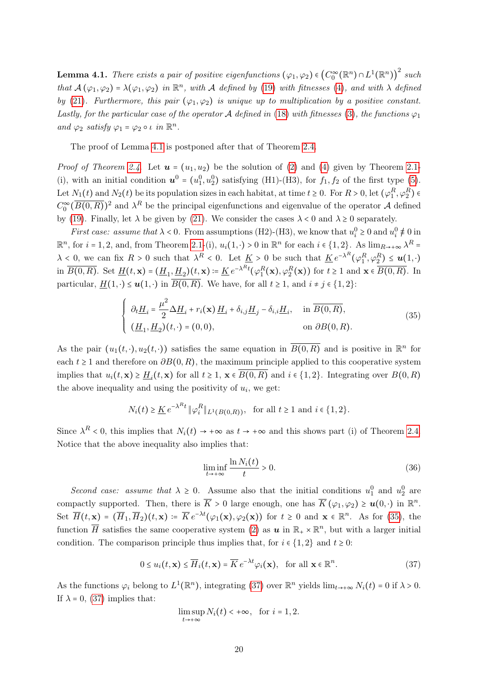**Lemma 4.1.** There exists a pair of positive eigenfunctions  $(\varphi_1, \varphi_2) \in (C_0^{\infty}(\mathbb{R}^n) \cap L^1(\mathbb{R}^n))^2$  such **EXECUTE:** There exists a pair of positive eigenfunctions  $(\varphi_1, \varphi_2) \in (C_0 \text{ (in } f \cap L \text{ (in } f))$  such that  $A(\varphi_1, \varphi_2) = \lambda(\varphi_1, \varphi_2)$  in  $\mathbb{R}^n$ , with A defined by [\(19\)](#page-7-1) with fitnesses [\(4\)](#page-2-4), and with  $\lambda$  defined by [\(21\)](#page-7-2). Furthermore, this pair  $(\varphi_1, \varphi_2)$  is unique up to multiplication by a positive constant. Lastly, for the particular case of the operator A defined in [\(18\)](#page-7-0) with fitnesses [\(3\)](#page-2-3), the functions  $\varphi_1$ and  $\varphi_2$  satisfy  $\varphi_1 = \varphi_2 \circ \iota$  in  $\mathbb{R}^n$ .

The proof of Lemma [4.1](#page-18-0) is postponed after that of Theorem [2.4.](#page-8-0)

*Proof of Theorem [2.4](#page-8-0).* Let  $u = (u_1, u_2)$  be the solution of [\(2\)](#page-2-0) and [\(4\)](#page-2-4) given by Theorem [2.1-](#page-6-3) (i), with an initial condition  $u^0 = (u_1^0, u_2^0)$  satisfying (H1)-(H3), for  $f_1, f_2$  of the first type [\(5\)](#page-2-2). Let  $N_1(t)$  and  $N_2(t)$  be its population sizes in each habitat, at time  $t \ge 0$ . For  $R > 0$ , let  $(\varphi_1^R, \varphi_2^R) \in$  $C_0^{\infty}(\overline{B(0,R)})^2$  and  $\lambda^R$  be the principal eigenfunctions and eigenvalue of the operator A defined by [\(19\)](#page-7-1). Finally, let  $\lambda$  be given by [\(21\)](#page-7-2). We consider the cases  $\lambda < 0$  and  $\lambda \ge 0$  separately.

*First case: assume that*  $\lambda < 0$ . From assumptions (H2)-(H3), we know that  $u_i^0 \ge 0$  and  $u_i^0 \ne 0$  in  $\mathbb{R}^n$ , for  $i = 1, 2$ , and, from Theorem [2.1-](#page-6-3)(i),  $u_i(1, \cdot) > 0$  in  $\mathbb{R}^n$  for each  $i \in \{1, 2\}$ . As  $\lim_{R \to +\infty} \lambda^R$  $\overline{\phantom{a}}$  $\lambda \leq 0$ , we can fix  $R > 0$  such that  $\lambda^R < 0$ . Let  $\underline{K} > 0$  be such that  $\underline{K}e^{-\lambda^R}(\varphi_1^R, \varphi_2^R) \leq u(1, \cdot)$ in  $\overline{B(0,R)}$ . Set  $\underline{H}(t,\mathbf{x}) = (\underline{H}_1, \underline{H}_2)(t,\mathbf{x}) := \underline{K} e^{-\lambda^R t} (\varphi_1^R(\mathbf{x}), \varphi_2^R(\mathbf{x}))$  for  $t \ge 1$  and  $\mathbf{x} \in \overline{B(0,R)}$ . In particular,  $\underline{H}(1, \cdot) \leq \mathbf{u}(1, \cdot)$  in  $\overline{B(0, R)}$ . We have, for all  $t \geq 1$ , and  $i \neq j \in \{1, 2\}$ :

<span id="page-19-0"></span>
$$
\begin{cases}\n\partial_t \underline{H}_i = \frac{\mu^2}{2} \Delta \underline{H}_i + r_i(\mathbf{x}) \underline{H}_i + \delta_{i,j} \underline{H}_j - \delta_{i,i} \underline{H}_i, & \text{in } \overline{B(0,R)}, \\
(\underline{H}_1, \underline{H}_2)(t, \cdot) = (0,0), & \text{on } \partial B(0,R).\n\end{cases}
$$
\n(35)

As the pair  $(u_1(t, \cdot), u_2(t, \cdot))$  satisfies the same equation in  $\overline{B(0,R)}$  and is positive in  $\mathbb{R}^n$  for each  $t \geq 1$  and therefore on  $\partial B(0,R)$ , the maximum principle applied to this cooperative system implies that  $u_i(t, \mathbf{x}) \ge \underline{H}_i(t, \mathbf{x})$  for all  $t \ge 1$ ,  $\mathbf{x} \in B(0, R)$  and  $i \in \{1, 2\}$ . Integrating over  $B(0, R)$ the above inequality and using the positivity of  $u_i$ , we get:

$$
N_i(t) \geq \underline{K} e^{-\lambda^R t} \|\varphi_i^R\|_{L^1(B(0,R))}, \text{ for all } t \geq 1 \text{ and } i \in \{1,2\}.
$$

Since  $\lambda^R$  < 0, this implies that  $N_i(t) \to +\infty$  as  $t \to +\infty$  and this shows part (i) of Theorem [2.4.](#page-8-0) Notice that the above inequality also implies that:

<span id="page-19-2"></span>
$$
\liminf_{t \to +\infty} \frac{\ln N_i(t)}{t} > 0. \tag{36}
$$

Second case: assume that  $\lambda \geq 0$ . Assume also that the initial conditions  $u_1^0$  and  $u_2^0$  are compactly supported. Then, there is  $\overline{K} > 0$  large enough, one has  $\overline{K} (\varphi_1, \varphi_2) \geq u(0, \cdot)$  in  $\mathbb{R}^n$ . Set  $\overline{H}(t, \mathbf{x}) = (\overline{H}_1, \overline{H}_2)(t, \mathbf{x}) = \overline{K} e^{-\lambda t}(\varphi_1(\mathbf{x}), \varphi_2(\mathbf{x}))$  for  $t \ge 0$  and  $\mathbf{x} \in \mathbb{R}^n$ . As for [\(35\)](#page-19-0), the function  $\overline{H}$  satisfies the same cooperative system [\(2\)](#page-2-0) as  $u$  in  $\mathbb{R}_+ \times \mathbb{R}^n$ , but with a larger initial condition. The comparison principle thus implies that, for  $i \in \{1,2\}$  and  $t \geq 0$ :

<span id="page-19-1"></span>
$$
0 \le u_i(t, \mathbf{x}) \le \overline{H}_i(t, \mathbf{x}) = \overline{K} e^{-\lambda t} \varphi_i(\mathbf{x}), \text{ for all } \mathbf{x} \in \mathbb{R}^n.
$$
 (37)

As the functions  $\varphi_i$  belong to  $L^1(\mathbb{R}^n)$ , integrating [\(37\)](#page-19-1) over  $\mathbb{R}^n$  yields  $\lim_{t\to+\infty} N_i(t) = 0$  if  $\lambda > 0$ . If  $\lambda = 0$ , [\(37\)](#page-19-1) implies that:

$$
\limsup_{t \to +\infty} N_i(t) < +\infty, \quad \text{for } i = 1, 2.
$$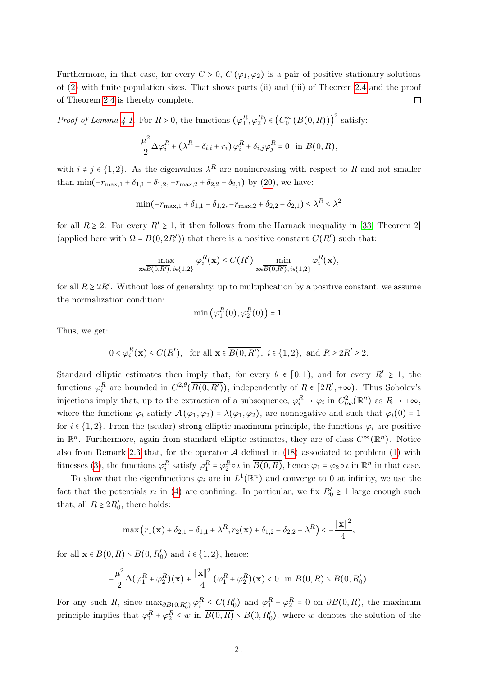Furthermore, in that case, for every  $C > 0$ ,  $C(\varphi_1, \varphi_2)$  is a pair of positive stationary solutions of [\(2\)](#page-2-0) with finite population sizes. That shows parts (ii) and (iii) of Theorem [2.4](#page-8-0) and the proof of Theorem [2.4](#page-8-0) is thereby complete.  $\Box$ 

*Proof of Lemma [4.1.](#page-18-0)* For  $R > 0$ , the functions  $(\varphi_1^R, \varphi_2^R) \in (C_0^{\infty}(\overline{B(0,R)}))^2$  satisfy:

$$
\frac{\mu^2}{2}\Delta\varphi_i^R + \left(\lambda^R - \delta_{i,i} + r_i\right)\varphi_i^R + \delta_{i,j}\varphi_j^R = 0 \text{ in } \overline{B(0,R)},
$$

with  $i \neq j \in \{1, 2\}$ . As the eigenvalues  $\lambda^R$  are nonincreasing with respect to R and not smaller than min( $-r_{\text{max},1} + \delta_{1,1} - \delta_{1,2}$ ,  $-r_{\text{max},2} + \delta_{2,2} - \delta_{2,1}$ ) by [\(20\)](#page-7-3), we have:

$$
\min(-r_{\max,1} + \delta_{1,1} - \delta_{1,2}, -r_{\max,2} + \delta_{2,2} - \delta_{2,1}) \le \lambda^R \le \lambda^2
$$

for all  $R \ge 2$ . For every  $R' \ge 1$ , it then follows from the Harnack inequality in [\[33,](#page-34-15) Theorem 2] (applied here with  $\Omega = B(0, 2R')$ ) that there is a positive constant  $C(R')$  such that:

$$
\max_{\mathbf{x}\in B(0,R'),i\in\{1,2\}}\varphi_i^R(\mathbf{x}) \le C(R')\min_{\mathbf{x}\in B(0,R'),i\in\{1,2\}}\varphi_i^R(\mathbf{x}),
$$

for all  $R \geq 2R'$ . Without loss of generality, up to multiplication by a positive constant, we assume the normalization condition:

$$
\min\left(\varphi_1^R(0), \varphi_2^R(0)\right) = 1.
$$

Thus, we get:

$$
0 < \varphi_i^R(\mathbf{x}) \le C(R'), \text{ for all } \mathbf{x} \in \overline{B(0,R')}, \ i \in \{1,2\}, \text{ and } R \ge 2R' \ge 2.
$$

Standard elliptic estimates then imply that, for every  $\theta \in [0,1)$ , and for every  $R' \ge 1$ , the functions  $\varphi_i^R$  are bounded in  $C^{2,\theta}(\overline{B(0,R')})$ , independently of  $R \in [2R', +\infty)$ . Thus Sobolev's injections imply that, up to the extraction of a subsequence,  $\varphi_i^R \to \varphi_i$  in  $C_{loc}^2(\mathbb{R}^n)$  as  $R \to +\infty$ , where the functions  $\varphi_i$  satisfy  $\mathcal{A}(\varphi_1, \varphi_2) = \lambda(\varphi_1, \varphi_2)$ , are nonnegative and such that  $\varphi_i(0) = 1$ for  $i \in \{1, 2\}$ . From the (scalar) strong elliptic maximum principle, the functions  $\varphi_i$  are positive in  $\mathbb{R}^n$ . Furthermore, again from standard elliptic estimates, they are of class  $C^{\infty}(\mathbb{R}^n)$ . Notice also from Remark [2.3](#page-7-4) that, for the operator  $A$  defined in [\(18\)](#page-7-0) associated to problem [\(1\)](#page-2-1) with fitnesses [\(3\)](#page-2-3), the functions  $\varphi_i^R$  satisfy  $\varphi_1^R = \varphi_2^R \circ \iota$  in  $\overline{B(0,R)}$ , hence  $\varphi_1 = \varphi_2 \circ \iota$  in  $\mathbb{R}^n$  in that case.

To show that the eigenfunctions  $\varphi_i$  are in  $L^1(\mathbb{R}^n)$  and converge to 0 at infinity, we use the fact that the potentials  $r_i$  in [\(4\)](#page-2-4) are confining. In particular, we fix  $R'_0 \ge 1$  large enough such that, all  $R \geq 2R'_0$ , there holds:

$$
\max(r_1(\mathbf{x}) + \delta_{2,1} - \delta_{1,1} + \lambda^R, r_2(\mathbf{x}) + \delta_{1,2} - \delta_{2,2} + \lambda^R) < -\frac{\|\mathbf{x}\|^2}{4},
$$

for all  $\mathbf{x} \in B(0, R) \setminus B(0, R'_0)$  and  $i \in \{1, 2\}$ , hence:

$$
-\frac{\mu^2}{2}\Delta(\varphi_1^R+\varphi_2^R)(\mathbf{x})+\frac{\|\mathbf{x}\|^2}{4}(\varphi_1^R+\varphi_2^R)(\mathbf{x})<0 \ \ \text{in} \ \overline{B(0,R)}\setminus B(0,R_0').
$$

For any such R, since  $\max_{\partial B(0,R'_0)} \varphi_i^R \leq C(R'_0)$  and  $\varphi_1^R + \varphi_2^R = 0$  on  $\partial B(0,R)$ , the maximum principle implies that  $\varphi_1^R + \varphi_2^R \leq w$  in  $\overline{B(0,R)} \setminus B(0,R'_0)$ , where w denotes the solution of the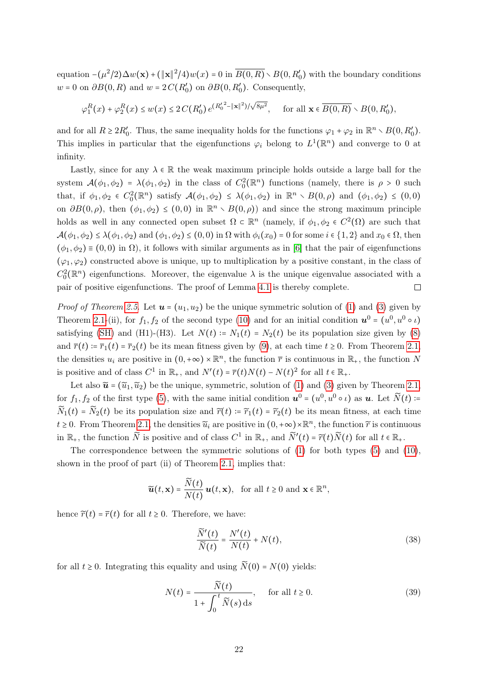equation  $-(\mu^2/2)\Delta w(\mathbf{x}) + (\|\mathbf{x}\|^2/4)w(x) = 0$  in  $\overline{B(0,R)} \setminus B(0,R'_0)$  with the boundary conditions  $w = 0$  on  $\partial B(0, R)$  and  $w = 2 C(R'_0)$  on  $\partial B(0, R'_0)$ . Consequently,

$$
\varphi_1^R(x) + \varphi_2^R(x) \le w(x) \le 2C(R'_0) e^{(R'_0^2 - ||\mathbf{x}||^2)/\sqrt{8\mu^2}}, \quad \text{for all } \mathbf{x} \in \overline{B(0,R)} \setminus B(0,R'_0),
$$

and for all  $R \geq 2R'_0$ . Thus, the same inequality holds for the functions  $\varphi_1 + \varphi_2$  in  $\mathbb{R}^n \setminus B(0, R'_0)$ . This implies in particular that the eigenfunctions  $\varphi_i$  belong to  $L^1(\mathbb{R}^n)$  and converge to 0 at infinity.

Lastly, since for any  $\lambda \in \mathbb{R}$  the weak maximum principle holds outside a large ball for the system  $\mathcal{A}(\phi_1, \phi_2) = \lambda(\phi_1, \phi_2)$  in the class of  $C_0^2(\mathbb{R}^n)$  functions (namely, there is  $\rho > 0$  such that, if  $\phi_1, \phi_2 \in C_0^2(\mathbb{R}^n)$  satisfy  $\mathcal{A}(\phi_1, \phi_2) \leq \lambda(\phi_1, \phi_2)$  in  $\mathbb{R}^n \setminus B(0, \rho)$  and  $(\phi_1, \phi_2) \leq (0, 0)$ on  $\partial B(0, \rho)$ , then  $(\phi_1, \phi_2) \leq (0, 0)$  in  $\mathbb{R}^n \setminus B(0, \rho)$  and since the strong maximum principle holds as well in any connected open subset  $\Omega \subset \mathbb{R}^n$  (namely, if  $\phi_1, \phi_2 \in C^2(\Omega)$  are such that  $\mathcal{A}(\phi_1, \phi_2) \leq \lambda(\phi_1, \phi_2)$  and  $(\phi_1, \phi_2) \leq (0, 0)$  in  $\Omega$  with  $\phi_i(x_0) = 0$  for some  $i \in \{1, 2\}$  and  $x_0 \in \Omega$ , then  $(\phi_1, \phi_2) \equiv (0, 0)$  in  $\Omega$ ), it follows with similar arguments as in [\[6\]](#page-33-15) that the pair of eigenfunctions  $(\varphi_1, \varphi_2)$  constructed above is unique, up to multiplication by a positive constant, in the class of  $C_0^2(\mathbb{R}^n)$  eigenfunctions. Moreover, the eigenvalue  $\lambda$  is the unique eigenvalue associated with a pair of positive eigenfunctions. The proof of Lemma [4.1](#page-18-0) is thereby complete.

*Proof of Theorem [2.5](#page-8-1).* Let  $u = (u_1, u_2)$  be the unique symmetric solution of [\(1\)](#page-2-1) and [\(3\)](#page-2-3) given by Theorem [2.1-](#page-6-3)(ii), for  $f_1, f_2$  of the second type [\(10\)](#page-3-2) and for an initial condition  $u^0 = (u^0, u^0 \circ \iota)$ satisfying [\(SH\)](#page-5-2) and (H1)-(H3). Let  $N(t) = N_1(t) = N_2(t)$  be its population size given by [\(8\)](#page-3-0) and  $\overline{r}(t) = \overline{r}_1(t) = \overline{r}_2(t)$  be its mean fitness given by [\(9\)](#page-3-1), at each time  $t \ge 0$ . From Theorem [2.1,](#page-6-3) the densities  $u_i$  are positive in  $(0, +\infty) \times \mathbb{R}^n$ , the function  $\overline{r}$  is continuous in  $\mathbb{R}_+$ , the function N is positive and of class  $C^1$  in  $\mathbb{R}_+$ , and  $N'(t) = \overline{r}(t)N(t) - N(t)^2$  for all  $t \in \mathbb{R}_+$ .

Let also  $\widetilde{\mathbf{u}} = (\widetilde{u}_1, \widetilde{u}_2)$  be the unique, symmetric, solution of [\(1\)](#page-2-1) and [\(3\)](#page-2-3) given by Theorem [2.1,](#page-6-3) for  $f_1, f_2$  of the first type [\(5\)](#page-2-2), with the same initial condition  $u^0 = (u^0, u^0 \circ \iota)$  as  $u$ . Let  $\widetilde{N}(t) = \widetilde{N}(t)$ .  $\widetilde{N}_1(t) = \widetilde{N}_2(t)$  be its population size and  $\widetilde{r}(t) = \widetilde{r}_1(t) = \widetilde{r}_2(t)$  be its mean fitness, at each time  $t \geq 0$ . From Theorem [2.1,](#page-6-3) the densities  $\widetilde{u}_i$  are positive in  $(0, +\infty) \times \mathbb{R}^n$ , the function  $\widetilde{r}$  is continuous in  $\mathbb{R}_+$ , the function  $\widetilde{N}$  is positive and of class  $C^1$  in  $\mathbb{R}_+$ , and  $\widetilde{N}'(t) = \widetilde{r}(t)\widetilde{N}(t)$  for all  $t \in \mathbb{R}_+$ .

The correspondence between the symmetric solutions of [\(1\)](#page-2-1) for both types [\(5\)](#page-2-2) and [\(10\)](#page-3-2), shown in the proof of part (ii) of Theorem [2.1,](#page-6-3) implies that:

$$
\widetilde{\boldsymbol{u}}(t,\mathbf{x}) = \frac{\widetilde{N}(t)}{N(t)} \boldsymbol{u}(t,\mathbf{x}), \text{ for all } t \ge 0 \text{ and } \mathbf{x} \in \mathbb{R}^n,
$$

hence  $\tilde{r}(t) = \overline{r}(t)$  for all  $t \geq 0$ . Therefore, we have:

<span id="page-21-1"></span>
$$
\frac{N'(t)}{\widetilde{N}(t)} = \frac{N'(t)}{N(t)} + N(t),\tag{38}
$$

for all  $t \geq 0$ . Integrating this equality and using  $\widetilde{N}(0) = N(0)$  yields:

<span id="page-21-0"></span>
$$
N(t) = \frac{\widetilde{N}(t)}{1 + \int_0^t \widetilde{N}(s) \, ds}, \quad \text{for all } t \ge 0.
$$
 (39)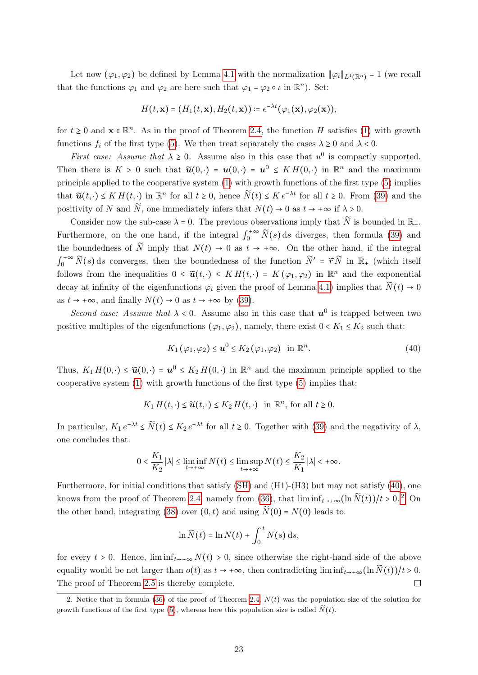Let now  $(\varphi_1, \varphi_2)$  be defined by Lemma [4.1](#page-18-0) with the normalization  $\|\varphi_i\|_{L^1(\mathbb{R}^n)} = 1$  (we recall that the functions  $\varphi_1$  and  $\varphi_2$  are here such that  $\varphi_1 = \varphi_2 \circ \iota$  in  $\mathbb{R}^n$ ). Set:

$$
H(t,\mathbf{x})=(H_1(t,\mathbf{x}),H_2(t,\mathbf{x}))\coloneqq e^{-\lambda t}(\varphi_1(\mathbf{x}),\varphi_2(\mathbf{x})),
$$

for  $t \geq 0$  and  $\mathbf{x} \in \mathbb{R}^n$ . As in the proof of Theorem [2.4,](#page-8-0) the function H satisfies [\(1\)](#page-2-1) with growth functions  $f_i$  of the first type [\(5\)](#page-2-2). We then treat separately the cases  $\lambda \geq 0$  and  $\lambda < 0$ .

*First case:* Assume that  $\lambda \geq 0$ . Assume also in this case that  $u^0$  is compactly supported. Then there is  $K > 0$  such that  $\tilde{u}(0, \cdot) = u(0, \cdot) = u^0 \leq KH(0, \cdot)$  in  $\mathbb{R}^n$  and the maximum principle applied to the cooperative system [\(1\)](#page-2-1) with growth functions of the first type [\(5\)](#page-2-2) implies that  $\widetilde{u}(t, \cdot) \leq K H(t, \cdot)$  in  $\mathbb{R}^n$  for all  $t \geq 0$ , hence  $\widetilde{N}(t) \leq K e^{-\lambda t}$  for all  $t \geq 0$ . From [\(39\)](#page-21-0) and the positivity of N and  $\widetilde{N}$ , one immediately infers that  $N(t) \rightarrow 0$  as  $t \rightarrow +\infty$  if  $\lambda > 0$ .

Consider now the sub-case  $\lambda = 0$ . The previous observations imply that  $\widetilde{N}$  is bounded in  $\mathbb{R}_{+}$ . Furthermore, on the one hand, if the integral  $\int_0^{+\infty} N(s) ds$  diverges, then formula [\(39\)](#page-21-0) and the boundedness of  $\tilde{N}$  imply that  $N(t) \rightarrow 0$  as  $t \rightarrow +\infty$ . On the other hand, if the integral follows from the inequalities  $0 \leq \tilde{u}(t, \cdot) \leq KH(t, \cdot) = K(\varphi_1, \varphi_2)$  in  $\mathbb{R}^n$  and the exponential <sup>+∞</sup>  $\widetilde{N}(s)$  ds converges, then the boundedness of the function  $\widetilde{N}' = \widetilde{r} \widetilde{N}$  in  $\mathbb{R}_+$  (which itself decay at infinity of the eigenfunctions  $\varphi_i$  given the proof of Lemma [4.1\)](#page-18-0) implies that  $\widetilde{N}(t) \to 0$ as  $t \to +\infty$ , and finally  $N(t) \to 0$  as  $t \to +\infty$  by [\(39\)](#page-21-0).

Second case: Assume that  $\lambda < 0$ . Assume also in this case that  $u^0$  is trapped between two positive multiples of the eigenfunctions  $(\varphi_1, \varphi_2)$ , namely, there exist  $0 < K_1 \leq K_2$  such that:

<span id="page-22-0"></span>
$$
K_1(\varphi_1, \varphi_2) \le \boldsymbol{u}^0 \le K_2(\varphi_1, \varphi_2) \quad \text{in } \mathbb{R}^n.
$$

Thus,  $K_1 H(0, \cdot) \leq \tilde{u}(0, \cdot) = u^0 \leq K_2 H(0, \cdot)$  in  $\mathbb{R}^n$  and the maximum principle applied to the cooperative system [\(1\)](#page-2-1) with growth functions of the first type [\(5\)](#page-2-2) implies that:

$$
K_1 H(t,\cdot) \le \widetilde{u}(t,\cdot) \le K_2 H(t,\cdot) \quad \text{in } \mathbb{R}^n, \text{ for all } t \ge 0.
$$

In particular,  $K_1 e^{-\lambda t} \le \widetilde{N}(t) \le K_2 e^{-\lambda t}$  for all  $t \ge 0$ . Together with [\(39\)](#page-21-0) and the negativity of  $\lambda$ , one concludes that:

$$
0 < \frac{K_1}{K_2} |\lambda| \le \liminf_{t \to +\infty} N(t) \le \limsup_{t \to +\infty} N(t) \le \frac{K_2}{K_1} |\lambda| < +\infty.
$$

Furthermore, for initial conditions that satisfy [\(SH\)](#page-5-2) and (H1)-(H3) but may not satisfy [\(40\)](#page-22-0), one knows from the proof of Theorem [2.4,](#page-8-0) namely from [\(36\)](#page-19-2), that  $\liminf_{t\to+\infty}(\ln \widetilde{N}(t))/t > 0.$ <sup>[2](#page-22-1)</sup> On the other hand, integrating [\(38\)](#page-21-1) over  $(0, t)$  and using  $\widetilde{N}(0) = N(0)$  leads to:

$$
\ln \widetilde{N}(t) = \ln N(t) + \int_0^t N(s) \, \mathrm{d}s,
$$

for every  $t > 0$ . Hence,  $\liminf_{t\to+\infty} N(t) > 0$ , since otherwise the right-hand side of the above equality would be not larger than  $o(t)$  as  $t \to +\infty$ , then contradicting lim  $\inf_{t\to+\infty} (\ln \tilde{N}(t))/t > 0$ .<br>The proof of Theorem 2.5 is thereby complete. The proof of Theorem [2.5](#page-8-1) is thereby complete.

<span id="page-22-1"></span><sup>2.</sup> Notice that in formula [\(36\)](#page-19-2) of the proof of Theorem [2.4,](#page-8-0)  $N(t)$  was the population size of the solution for growth functions of the first type [\(5\)](#page-2-2), whereas here this population size is called  $\widetilde{N}(t)$ .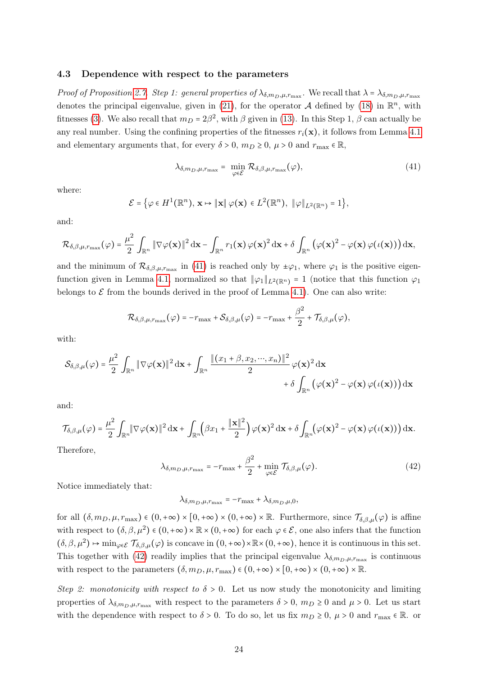#### <span id="page-23-0"></span>4.3 Dependence with respect to the parameters

Proof of Proposition [2.7](#page-9-1). Step 1: general properties of  $\lambda_{\delta,m_D,\mu,r_{\max}}$ . We recall that  $\lambda = \lambda_{\delta,m_D,\mu,r_{\max}}$ denotes the principal eigenvalue, given in [\(21\)](#page-7-2), for the operator  $A$  defined by [\(18\)](#page-7-0) in  $\mathbb{R}^n$ , with fitnesses [\(3\)](#page-2-3). We also recall that  $m_D = 2\beta^2$ , with  $\beta$  given in [\(13\)](#page-5-4). In this Step 1,  $\beta$  can actually be any real number. Using the confining properties of the fitnesses  $r_i(\mathbf{x})$ , it follows from Lemma [4.1](#page-18-0) and elementary arguments that, for every  $\delta > 0$ ,  $m_D \ge 0$ ,  $\mu > 0$  and  $r_{\text{max}} \in \mathbb{R}$ ,

<span id="page-23-1"></span>
$$
\lambda_{\delta, m_D, \mu, r_{\max}} = \min_{\varphi \in \mathcal{E}} \mathcal{R}_{\delta, \beta, \mu, r_{\max}}(\varphi), \tag{41}
$$

where:

$$
\mathcal{E} = \left\{ \varphi \in H^1(\mathbb{R}^n), \, \mathbf{x} \mapsto \|\mathbf{x}\| \, \varphi(\mathbf{x}) \in L^2(\mathbb{R}^n), \, \|\varphi\|_{L^2(\mathbb{R}^n)} = 1 \right\},\
$$

and:

$$
\mathcal{R}_{\delta,\beta,\mu,r_{\max}}(\varphi) = \frac{\mu^2}{2} \int_{\mathbb{R}^n} \| \nabla \varphi(\mathbf{x}) \|^2 \, \mathrm{d}\mathbf{x} - \int_{\mathbb{R}^n} r_1(\mathbf{x}) \, \varphi(\mathbf{x})^2 \, \mathrm{d}\mathbf{x} + \delta \int_{\mathbb{R}^n} \big( \varphi(\mathbf{x})^2 - \varphi(\mathbf{x}) \, \varphi(\iota(\mathbf{x})) \big) \, \mathrm{d}\mathbf{x},
$$

and the minimum of  $\mathcal{R}_{\delta,\beta,\mu,r_{\text{max}}}$  in [\(41\)](#page-23-1) is reached only by  $\pm \varphi_1$ , where  $\varphi_1$  is the positive eigen-function given in Lemma [4.1,](#page-18-0) normalized so that  $\|\varphi_1\|_{L^2(\mathbb{R}^n)} = 1$  (notice that this function  $\varphi_1$ belongs to  $\mathcal E$  from the bounds derived in the proof of Lemma [4.1\)](#page-18-0). One can also write:

$$
\mathcal{R}_{\delta,\beta,\mu,r_{\max}}(\varphi)=-r_{\max}+\mathcal{S}_{\delta,\beta,\mu}(\varphi)=-r_{\max}+\frac{\beta^2}{2}+\mathcal{T}_{\delta,\beta,\mu}(\varphi),
$$

with:

$$
\mathcal{S}_{\delta,\beta,\mu}(\varphi) = \frac{\mu^2}{2} \int_{\mathbb{R}^n} \|\nabla \varphi(\mathbf{x})\|^2 \, \mathrm{d}\mathbf{x} + \int_{\mathbb{R}^n} \frac{\|(x_1 + \beta, x_2, \cdots, x_n)\|^2}{2} \, \varphi(\mathbf{x})^2 \, \mathrm{d}\mathbf{x} + \delta \int_{\mathbb{R}^n} \big(\varphi(\mathbf{x})^2 - \varphi(\mathbf{x}) \, \varphi(\iota(\mathbf{x}))\big) \, \mathrm{d}\mathbf{x}
$$

and:

$$
\mathcal{T}_{\delta,\beta,\mu}(\varphi) = \frac{\mu^2}{2} \int_{\mathbb{R}^n} \|\nabla \varphi(\mathbf{x})\|^2 \, \mathrm{d}\mathbf{x} + \int_{\mathbb{R}^n} \left(\beta x_1 + \frac{\|\mathbf{x}\|^2}{2}\right) \varphi(\mathbf{x})^2 \, \mathrm{d}\mathbf{x} + \delta \int_{\mathbb{R}^n} \left(\varphi(\mathbf{x})^2 - \varphi(\mathbf{x})\,\varphi(\iota(\mathbf{x}))\right) \mathrm{d}\mathbf{x}.
$$

Therefore,

<span id="page-23-2"></span>
$$
\lambda_{\delta, m_D, \mu, r_{\text{max}}} = -r_{\text{max}} + \frac{\beta^2}{2} + \min_{\varphi \in \mathcal{E}} \mathcal{T}_{\delta, \beta, \mu}(\varphi). \tag{42}
$$

Notice immediately that:

$$
\lambda_{\delta, m_D, \mu, r_{\text{max}}} = -r_{\text{max}} + \lambda_{\delta, m_D, \mu, 0},
$$

for all  $(\delta, m_D, \mu, r_{\max}) \in (0, +\infty) \times [0, +\infty) \times (0, +\infty) \times \mathbb{R}$ . Furthermore, since  $\mathcal{T}_{\delta, \beta, \mu}(\varphi)$  is affine with respect to  $(\delta, \beta, \mu^2) \in (0, +\infty) \times \mathbb{R} \times (0, +\infty)$  for each  $\varphi \in \mathcal{E}$ , one also infers that the function  $(\delta, \beta, \mu^2) \mapsto \min_{\varphi \in \mathcal{E}} \mathcal{T}_{\delta, \beta, \mu}(\varphi)$  is concave in  $(0, +\infty) \times \mathbb{R} \times (0, +\infty)$ , hence it is continuous in this set. This together with [\(42\)](#page-23-2) readily implies that the principal eigenvalue  $\lambda_{\delta,m_D,\mu,r_{\max}}$  is continuous with respect to the parameters  $(\delta, m_D, \mu, r_{\text{max}}) \in (0, +\infty) \times [0, +\infty) \times (0, +\infty) \times \mathbb{R}$ .

Step 2: monotonicity with respect to  $\delta > 0$ . Let us now study the monotonicity and limiting properties of  $\lambda_{\delta,m_D,\mu,r_{\max}}$  with respect to the parameters  $\delta > 0$ ,  $m_D \ge 0$  and  $\mu > 0$ . Let us start with the dependence with respect to  $\delta > 0$ . To do so, let us fix  $m_D \geq 0$ ,  $\mu > 0$  and  $r_{\text{max}} \in \mathbb{R}$ . or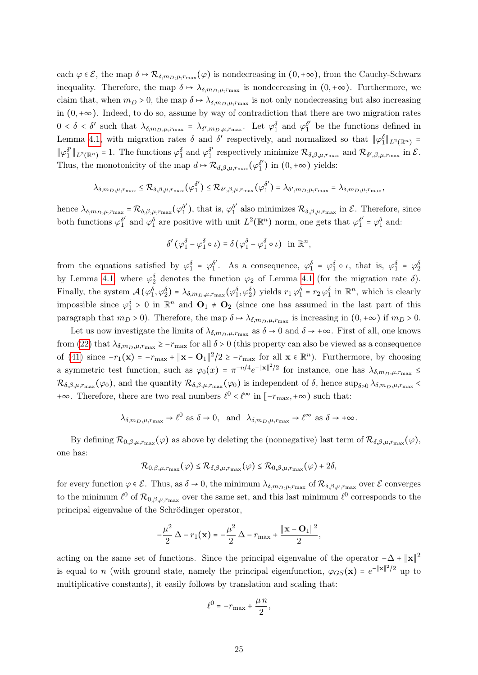each  $\varphi \in \mathcal{E}$ , the map  $\delta \mapsto \mathcal{R}_{\delta,m_D,\mu,r_{\max}}(\varphi)$  is nondecreasing in  $(0,+\infty)$ , from the Cauchy-Schwarz inequality. Therefore, the map  $\delta \mapsto \lambda_{\delta,m_D,\mu,r_{\max}}$  is nondecreasing in  $(0,+\infty)$ . Furthermore, we claim that, when  $m_D > 0$ , the map  $\delta \mapsto \lambda_{\delta, m_D, \mu, r_{\text{max}}}$  is not only nondecreasing but also increasing in (0,+∞). Indeed, to do so, assume by way of contradiction that there are two migration rates  $0 < \delta < \delta'$  such that  $\lambda_{\delta,m_D,\mu,r_{\max}} = \lambda_{\delta',m_D,\mu,r_{\max}}$ . Let  $\varphi_1^{\delta}$  and  $\varphi_1^{\delta'}$  be the functions defined in Lemma [4.1,](#page-18-0) with migration rates  $\delta$  and  $\delta'$  respectively, and normalized so that  $\|\varphi_1^{\delta}\|_{L^2(\mathbb{R}^n)} =$  $\|\varphi_1^{\delta'}\|$  $\int_1^{\delta'} \| L^2(\mathbb{R}^n) = 1$ . The functions  $\varphi_1^{\delta}$  and  $\varphi_1^{\delta'}$ <sup>δ'</sup> respectively minimize  $\mathcal{R}_{\delta,\beta,\mu,r_{\text{max}}}$  and  $\mathcal{R}_{\delta',\beta,\mu,r_{\text{max}}}$  in  $\mathcal{E}$ . Thus, the monotonicity of the map  $d \mapsto \mathcal{R}_{d,\beta,\mu,r_\text{max}}(\varphi_1^{\delta'})$  $j_1^{\delta'}$ ) in  $(0, +\infty)$  yields:

$$
\lambda_{\delta,m_D,\mu,r_{\max}} \leq \mathcal{R}_{\delta,\beta,\mu,r_{\max}}(\varphi_1^{\delta'}) \leq \mathcal{R}_{\delta',\beta,\mu,r_{\max}}(\varphi_1^{\delta'}) = \lambda_{\delta',m_D,\mu,r_{\max}} = \lambda_{\delta,m_D,\mu,r_{\max}},
$$

hence  $\lambda_{\delta,m_D,\mu,r_{\max}} = \mathcal{R}_{\delta,\beta,\mu,r_{\max}}(\varphi_1^{\delta})$  $j_1^{\delta'}$ ), that is,  $\varphi_1^{\delta'}$ <sup>o'</sup> also minimizes  $\mathcal{R}_{\delta,\beta,\mu,r_{\max}}$  in  $\mathcal{E}$ . Therefore, since both functions  $\varphi_1^{\delta'}$  $\delta'$  and  $\varphi_1^{\delta}$  are positive with unit  $L^2(\mathbb{R}^n)$  norm, one gets that  $\varphi_1^{\delta'} = \varphi_1^{\delta}$  and:

$$
\delta'(\varphi_1^{\delta}-\varphi_1^{\delta}\circ\iota)\equiv\delta(\varphi_1^{\delta}-\varphi_1^{\delta}\circ\iota)\quad\text{in }\mathbb{R}^n,
$$

from the equations satisfied by  $\varphi_1^{\delta} = \varphi_1^{\delta'}$  $\phi_1^{\delta'}$ . As a consequence,  $\varphi_1^{\delta} = \varphi_1^{\delta} \circ \iota$ , that is,  $\varphi_1^{\delta} = \varphi_2^{\delta}$ by Lemma [4.1,](#page-18-0) where  $\varphi_2^{\delta}$  denotes the function  $\varphi_2$  of Lemma [4.1](#page-18-0) (for the migration rate  $\delta$ ). Finally, the system  $\mathcal{A}(\varphi_1^{\delta}, \varphi_2^{\delta}) = \lambda_{\delta, m_D, \mu, r_{\max}}(\varphi_1^{\delta}, \varphi_2^{\delta})$  yields  $r_1 \varphi_1^{\delta} = r_2 \varphi_1^{\delta}$  in  $\mathbb{R}^n$ , which is clearly impossible since  $\varphi_1^{\delta} > 0$  in  $\mathbb{R}^n$  and  $\mathbf{O}_1 \neq \mathbf{O}_2$  (since one has assumed in the last part of this paragraph that  $m_D > 0$ ). Therefore, the map  $\delta \mapsto \lambda_{\delta, m_D, \mu, r_{\max}}$  is increasing in  $(0, +\infty)$  if  $m_D > 0$ .

Let us now investigate the limits of  $\lambda_{\delta,m_D,\mu,r_{\max}}$  as  $\delta \to 0$  and  $\delta \to +\infty$ . First of all, one knows from [\(22\)](#page-7-5) that  $\lambda_{\delta,m_D,\mu,r_{\max}} \geq -r_{\max}$  for all  $\delta > 0$  (this property can also be viewed as a consequence of [\(41\)](#page-23-1) since  $-r_1(\mathbf{x}) = -r_{\text{max}} + \|\mathbf{x} - \mathbf{O}_1\|^2/2 \ge -r_{\text{max}}$  for all  $\mathbf{x} \in \mathbb{R}^n$ . Furthermore, by choosing a symmetric test function, such as  $\varphi_0(x) = \pi^{-n/4} e^{-\|x\|^2/2}$  for instance, one has  $\lambda_{\delta,m_D,\mu,r_{\max}} \le$  $\mathcal{R}_{\delta,\beta,\mu,r_{\text{max}}}(\varphi_0)$ , and the quantity  $\mathcal{R}_{\delta,\beta,\mu,r_{\text{max}}}(\varphi_0)$  is independent of  $\delta$ , hence  $\sup_{\delta>0} \lambda_{\delta,m_D,\mu,r_{\text{max}}}$ +∞. Therefore, there are two real numbers  $\ell^0 < \ell^{\infty}$  in  $[-r_{\text{max}}, +\infty)$  such that:

$$
\lambda_{\delta, m_D, \mu, r_{\text{max}}} \to \ell^0 \text{ as } \delta \to 0, \text{ and } \lambda_{\delta, m_D, \mu, r_{\text{max}}} \to \ell^{\infty} \text{ as } \delta \to +\infty.
$$

By defining  $\mathcal{R}_{0,\beta,\mu,r_{\max}}(\varphi)$  as above by deleting the (nonnegative) last term of  $\mathcal{R}_{\delta,\beta,\mu,r_{\max}}(\varphi)$ , one has:

$$
\mathcal{R}_{0,\beta,\mu,r_{\max}}(\varphi) \leq \mathcal{R}_{\delta,\beta,\mu,r_{\max}}(\varphi) \leq \mathcal{R}_{0,\beta,\mu,r_{\max}}(\varphi) + 2\delta,
$$

for every function  $\varphi \in \mathcal{E}$ . Thus, as  $\delta \to 0$ , the minimum  $\lambda_{\delta,m_D,\mu,r_{\max}}$  of  $\mathcal{R}_{\delta,\beta,\mu,r_{\max}}$  over  $\mathcal{E}$  converges to the minimum  $\ell^0$  of  $\mathcal{R}_{0,\beta,\mu,r_{\max}}$  over the same set, and this last minimum  $\ell^0$  corresponds to the principal eigenvalue of the Schrödinger operator,

$$
-\frac{\mu^2}{2}\Delta - r_1(\mathbf{x}) = -\frac{\mu^2}{2}\Delta - r_{\text{max}} + \frac{\|\mathbf{x} - \mathbf{O}_1\|^2}{2},
$$

acting on the same set of functions. Since the principal eigenvalue of the operator  $-\Delta + ||\mathbf{x}||^2$ is equal to n (with ground state, namely the principal eigenfunction,  $\varphi_{GS}(\mathbf{x}) = e^{-\|\mathbf{x}\|^2/2}$  up to multiplicative constants), it easily follows by translation and scaling that:

$$
\ell^0=-r_{\max}+\frac{\mu\,n}{2},
$$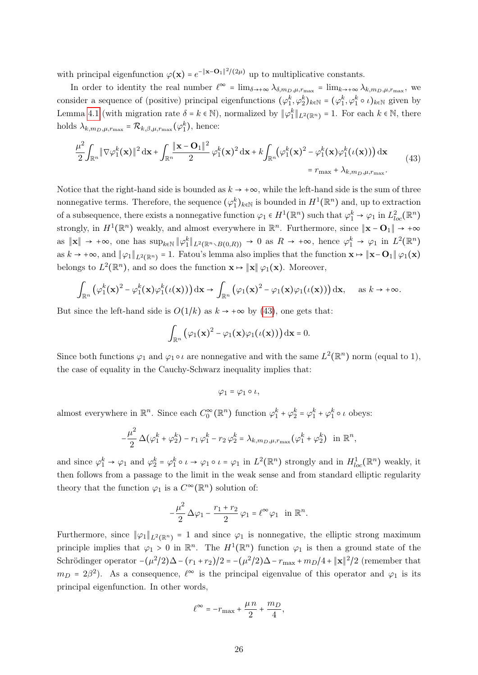with principal eigenfunction  $\varphi(\mathbf{x}) = e^{-\|\mathbf{x} - \mathbf{O}_1\|^2/(2\mu)}$  up to multiplicative constants.

In order to identity the real number  $\ell^{\infty} = \lim_{\delta \to +\infty} \lambda_{\delta, m_D, \mu, r_{\text{max}}} = \lim_{k \to +\infty} \lambda_{k, m_D, \mu, r_{\text{max}}}$ , we consider a sequence of (positive) principal eigenfunctions  $(\varphi_1^k, \varphi_2^k)_{k \in \mathbb{N}} = (\varphi_1^k, \varphi_1^k \circ \iota)_{k \in \mathbb{N}}$  given by Lemma [4.1](#page-18-0) (with migration rate  $\delta = k \in \mathbb{N}$ ), normalized by  $\|\varphi_1^k\|_{L^2(\mathbb{R}^n)} = 1$ . For each  $k \in \mathbb{N}$ , there holds  $\lambda_{k,m_D,\mu,r_{\max}} = \mathcal{R}_{k,\beta,\mu,r_{\max}}(\varphi_1^k)$ , hence:

<span id="page-25-0"></span>
$$
\frac{\mu^2}{2} \int_{\mathbb{R}^n} \|\nabla \varphi_1^k(\mathbf{x})\|^2 d\mathbf{x} + \int_{\mathbb{R}^n} \frac{\|\mathbf{x} - \mathbf{O}_1\|^2}{2} \varphi_1^k(\mathbf{x})^2 d\mathbf{x} + k \int_{\mathbb{R}^n} (\varphi_1^k(\mathbf{x})^2 - \varphi_1^k(\mathbf{x}) \varphi_1^k(\iota(\mathbf{x}))) d\mathbf{x}
$$
\n
$$
= r_{\text{max}} + \lambda_{k, m_D, \mu, r_{\text{max}}}.
$$
\n(43)

Notice that the right-hand side is bounded as  $k \to +\infty$ , while the left-hand side is the sum of three nonnegative terms. Therefore, the sequence  $(\varphi_1^k)_{k \in \mathbb{N}}$  is bounded in  $H^1(\mathbb{R}^n)$  and, up to extraction of a subsequence, there exists a nonnegative function  $\varphi_1 \in H^1(\mathbb{R}^n)$  such that  $\varphi_1^k \to \varphi_1$  in  $L^2_{loc}(\mathbb{R}^n)$ strongly, in  $H^1(\mathbb{R}^n)$  weakly, and almost everywhere in  $\mathbb{R}^n$ . Furthermore, since  $\|\mathbf{x} - \mathbf{O}_1\| \to +\infty$ as  $\|\mathbf{x}\| \to +\infty$ , one has  $\sup_{k \in \mathbb{N}} \|\varphi_1^k\|_{L^2(\mathbb{R}^n \setminus B(0,R))} \to 0$  as  $R \to +\infty$ , hence  $\varphi_1^k \to \varphi_1$  in  $L^2(\mathbb{R}^n)$ as  $k \to +\infty$ , and  $\|\varphi_1\|_{L^2(\mathbb{R}^n)} = 1$ . Fatou's lemma also implies that the function  $\mathbf{x} \mapsto \|\mathbf{x} - \mathbf{O}_1\| \varphi_1(\mathbf{x})$ belongs to  $L^2(\mathbb{R}^n)$ , and so does the function  $\mathbf{x} \mapsto \|\mathbf{x}\| \varphi_1(\mathbf{x})$ . Moreover,

$$
\int_{\mathbb{R}^n} \left( \varphi_1^k(\mathbf{x})^2 - \varphi_1^k(\mathbf{x}) \varphi_1^k(\iota(\mathbf{x})) \right) \mathrm{d}\mathbf{x} \to \int_{\mathbb{R}^n} \left( \varphi_1(\mathbf{x})^2 - \varphi_1(\mathbf{x}) \varphi_1(\iota(\mathbf{x})) \right) \mathrm{d}\mathbf{x}, \quad \text{as } k \to +\infty.
$$

But since the left-hand side is  $O(1/k)$  as  $k \to +\infty$  by [\(43\)](#page-25-0), one gets that:

$$
\int_{\mathbb{R}^n} (\varphi_1(\mathbf{x})^2 - \varphi_1(\mathbf{x})\varphi_1(\iota(\mathbf{x}))) \, \mathrm{d}\mathbf{x} = 0.
$$

Since both functions  $\varphi_1$  and  $\varphi_1 \circ \iota$  are nonnegative and with the same  $L^2(\mathbb{R}^n)$  norm (equal to 1), the case of equality in the Cauchy-Schwarz inequality implies that:

$$
\varphi_1 = \varphi_1 \circ \iota,
$$

almost everywhere in  $\mathbb{R}^n$ . Since each  $C_0^{\infty}(\mathbb{R}^n)$  function  $\varphi_1^k + \varphi_2^k = \varphi_1^k + \varphi_1^k \circ \iota$  obeys:

$$
-\frac{\mu^2}{2}\Delta(\varphi_1^k+\varphi_2^k)-r_1\varphi_1^k-r_2\varphi_2^k=\lambda_{k,m_D,\mu,r_{\max}}(\varphi_1^k+\varphi_2^k)\quad\text{in }\mathbb{R}^n,
$$

and since  $\varphi_1^k \to \varphi_1$  and  $\varphi_2^k = \varphi_1^k \circ \iota \to \varphi_1 \circ \iota = \varphi_1$  in  $L^2(\mathbb{R}^n)$  strongly and in  $H_{loc}^1(\mathbb{R}^n)$  weakly, it then follows from a passage to the limit in the weak sense and from standard elliptic regularity theory that the function  $\varphi_1$  is a  $C^{\infty}(\mathbb{R}^n)$  solution of:

$$
-\frac{\mu^2}{2}\,\Delta\varphi_1-\frac{r_1+r_2}{2}\,\varphi_1=\ell^\infty\varphi_1\quad\text{in }\mathbb{R}^n.
$$

Furthermore, since  $\|\varphi_1\|_{L^2(\mathbb{R}^n)} = 1$  and since  $\varphi_1$  is nonnegative, the elliptic strong maximum principle implies that  $\varphi_1 > 0$  in  $\mathbb{R}^n$ . The  $H^1(\mathbb{R}^n)$  function  $\varphi_1$  is then a ground state of the Schrödinger operator  $-(\mu^2/2)\Delta - (r_1 + r_2)/2 = -(\mu^2/2)\Delta - r_{\text{max}} + m_D/4 + ||\mathbf{x}||^2/2$  (remember that  $m_D = 2\beta^2$ ). As a consequence,  $\ell^{\infty}$  is the principal eigenvalue of this operator and  $\varphi_1$  is its principal eigenfunction. In other words,

$$
\ell^{\infty} = -r_{\text{max}} + \frac{\mu n}{2} + \frac{m_D}{4},
$$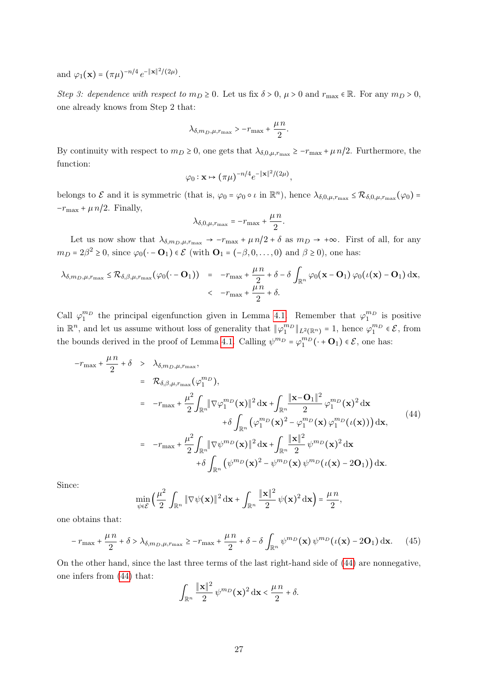and  $\varphi_1(\mathbf{x}) = (\pi \mu)^{-n/4} e^{-\|\mathbf{x}\|^2/(2\mu)}$ .

Step 3: dependence with respect to  $m_D \ge 0$ . Let us fix  $\delta > 0$ ,  $\mu > 0$  and  $r_{\text{max}} \in \mathbb{R}$ . For any  $m_D > 0$ , one already knows from Step 2 that:

$$
\lambda_{\delta,m_D,\mu,r_{\max}}>-r_{\max}+\frac{\mu\,n}{2}.
$$

By continuity with respect to  $m_D \ge 0$ , one gets that  $\lambda_{\delta, 0, \mu, r_{\max}} \ge -r_{\max} + \mu n/2$ . Furthermore, the function:

$$
\varphi_0: \mathbf{x} \mapsto (\pi \mu)^{-n/4} e^{-\|\mathbf{x}\|^2/(2\mu)},
$$

belongs to  $\mathcal E$  and it is symmetric (that is,  $\varphi_0 = \varphi_0 \circ \iota$  in  $\mathbb R^n$ ), hence  $\lambda_{\delta,0,\mu,r_{\max}} \leq \mathcal R_{\delta,0,\mu,r_{\max}}(\varphi_0) =$  $-r_{\text{max}} + \mu n/2$ . Finally,

$$
\lambda_{\delta,0,\mu,r_{\max}} = -r_{\max} + \frac{\mu n}{2}.
$$

Let us now show that  $\lambda_{\delta,m_D,\mu,r_{\max}} \to -r_{\max} + \mu n/2 + \delta$  as  $m_D \to +\infty$ . First of all, for any  $m_D = 2\beta^2 \ge 0$ , since  $\varphi_0(\cdot - \mathbf{O}_1) \in \mathcal{E}$  (with  $\mathbf{O}_1 = (-\beta, 0, \dots, 0)$  and  $\beta \ge 0$ ), one has:

$$
\lambda_{\delta,m_D,\mu,r_{\max}} \leq \mathcal{R}_{\delta,\beta,\mu,r_{\max}}(\varphi_0(\cdot-\mathbf{O}_1)) = -r_{\max} + \frac{\mu n}{2} + \delta - \delta \int_{\mathbb{R}^n} \varphi_0(\mathbf{x}-\mathbf{O}_1) \varphi_0(\iota(\mathbf{x})-\mathbf{O}_1) d\mathbf{x},
$$
  

$$
< -r_{\max} + \frac{\mu n}{2} + \delta.
$$

Call  $\varphi_1^{m_D}$  the principal eigenfunction given in Lemma [4.1.](#page-18-0) Remember that  $\varphi_1^{m_D}$  is positive in  $\mathbb{R}^n$ , and let us assume without loss of generality that  $\|\varphi_1^{m_D}\|_{L^2(\mathbb{R}^n)} = 1$ , hence  $\varphi_1^{m_D} \in \mathcal{E}$ , from the bounds derived in the proof of Lemma [4.1.](#page-18-0) Calling  $\psi^{m} = \varphi_1^{m}(\cdot + \mathbf{O}_1) \in \mathcal{E}$ , one has:

<span id="page-26-0"></span>
$$
-r_{\max} + \frac{\mu n}{2} + \delta > \lambda_{\delta, m_D, \mu, r_{\max}},
$$
  
\n
$$
= \mathcal{R}_{\delta, \beta, \mu, r_{\max}}(\varphi_1^{m_D}),
$$
  
\n
$$
= -r_{\max} + \frac{\mu^2}{2} \int_{\mathbb{R}^n} ||\nabla \varphi_1^{m_D}(\mathbf{x})||^2 d\mathbf{x} + \int_{\mathbb{R}^n} \frac{|\mathbf{x} - \mathbf{O}_1||^2}{2} \varphi_1^{m_D}(\mathbf{x})^2 d\mathbf{x} + \delta \int_{\mathbb{R}^n} (\varphi_1^{m_D}(\mathbf{x})^2 - \varphi_1^{m_D}(\mathbf{x}) \varphi_1^{m_D}(\iota(\mathbf{x}))) d\mathbf{x},
$$
  
\n
$$
= -r_{\max} + \frac{\mu^2}{2} \int_{\mathbb{R}^n} ||\nabla \psi^{m_D}(\mathbf{x})||^2 d\mathbf{x} + \int_{\mathbb{R}^n} \frac{|\mathbf{x}||^2}{2} \psi^{m_D}(\mathbf{x})^2 d\mathbf{x} + \delta \int_{\mathbb{R}^n} (\psi^{m_D}(\mathbf{x})^2 - \psi^{m_D}(\mathbf{x}) \psi^{m_D}(\iota(\mathbf{x}) - 2\mathbf{O}_1)) d\mathbf{x}.
$$
  
\n(44)

Since:

$$
\min_{\psi \in \mathcal{E}} \left( \frac{\mu^2}{2} \int_{\mathbb{R}^n} \|\nabla \psi(\mathbf{x})\|^2 d\mathbf{x} + \int_{\mathbb{R}^n} \frac{\|\mathbf{x}\|^2}{2} \psi(\mathbf{x})^2 d\mathbf{x} \right) = \frac{\mu n}{2},
$$

one obtains that:

<span id="page-26-1"></span>
$$
-r_{\max} + \frac{\mu n}{2} + \delta > \lambda_{\delta, m_D, \mu, r_{\max}} \geq -r_{\max} + \frac{\mu n}{2} + \delta - \delta \int_{\mathbb{R}^n} \psi^{m_D}(\mathbf{x}) \psi^{m_D}(\iota(\mathbf{x}) - 2\mathbf{O}_1) \, \mathrm{d}\mathbf{x}.
$$
 (45)

On the other hand, since the last three terms of the last right-hand side of [\(44\)](#page-26-0) are nonnegative, one infers from [\(44\)](#page-26-0) that:

$$
\int_{\mathbb{R}^n} \frac{\|\mathbf{x}\|^2}{2} \,\psi^{m_D}(\mathbf{x})^2 \,\mathrm{d}\mathbf{x} < \frac{\mu\,n}{2} + \delta.
$$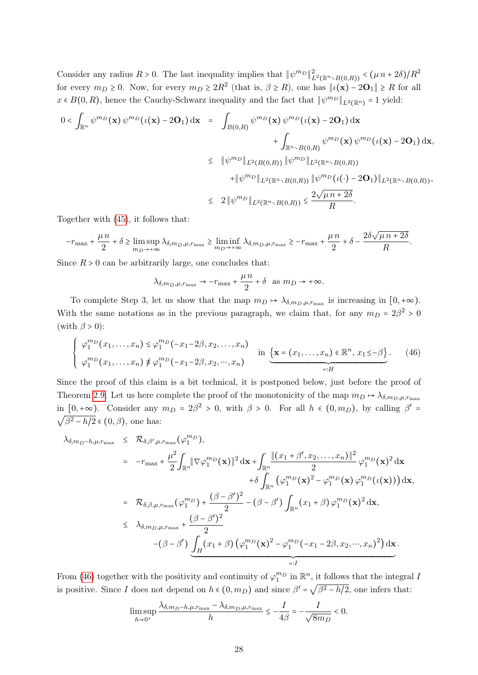Consider any radius  $R > 0$ . The last inequality implies that  $\|\psi^{m_D}\|_{L^2(\mathbb{R}^n \setminus B(0,R))}^2 < (\mu n + 2\delta)/R^2$ for every  $m_D \ge 0$ . Now, for every  $m_D \ge 2R^2$  (that is,  $\beta \ge R$ ), one has  $||\iota(\mathbf{x}) - 2\mathbf{O}_1|| \ge R$  for all  $x \in B(0,R)$ , hence the Cauchy-Schwarz inequality and the fact that  $\|\psi^{m_D}\|_{L^2(\mathbb{R}^n)} = 1$  yield:

$$
0 < \int_{\mathbb{R}^n} \psi^{m_D}(\mathbf{x}) \psi^{m_D}(\iota(\mathbf{x}) - 2\mathbf{O}_1) d\mathbf{x} = \int_{B(0,R)} \psi^{m_D}(\mathbf{x}) \psi^{m_D}(\iota(\mathbf{x}) - 2\mathbf{O}_1) d\mathbf{x} + \int_{\mathbb{R}^n \times B(0,R)} \psi^{m_D}(\mathbf{x}) \psi^{m_D}(\iota(\mathbf{x}) - 2\mathbf{O}_1) d\mathbf{x}, \leq \|\psi^{m_D}\|_{L^2(B(0,R))} \|\psi^{m_D}\|_{L^2(\mathbb{R}^n \times B(0,R))} + \|\psi^{m_D}\|_{L^2(\mathbb{R}^n \times B(0,R))} \|\psi^{m_D}(\iota(\cdot) - 2\mathbf{O}_1)\|_{L^2(\mathbb{R}^n \times B(0,R))}, \leq 2 \|\psi^{m_D}\|_{L^2(\mathbb{R}^n \times B(0,R))} \leq \frac{2\sqrt{\mu n + 2\delta}}{R}.
$$

Together with [\(45\)](#page-26-1), it follows that:

$$
-r_{\max} + \frac{\mu n}{2} + \delta \ge \limsup_{m_D \to +\infty} \lambda_{\delta, m_D, \mu, r_{\max}} \ge \liminf_{m_D \to +\infty} \lambda_{\delta, m_D, \mu, r_{\max}} \ge -r_{\max} + \frac{\mu n}{2} + \delta - \frac{2\delta\sqrt{\mu n + 2\delta}}{R}.
$$

Since  $R > 0$  can be arbitrarily large, one concludes that:

$$
\lambda_{\delta, m_D, \mu, r_{\text{max}}} \to -r_{\text{max}} + \frac{\mu n}{2} + \delta \text{ as } m_D \to +\infty.
$$

To complete Step 3, let us show that the map  $m_D \mapsto \lambda_{\delta,m_D,\mu,r_{\max}}$  is increasing in  $[0,+\infty)$ . With the same notations as in the previous paragraph, we claim that, for any  $m_D = 2\beta^2 > 0$ (with  $\beta > 0$ ):

<span id="page-27-0"></span>
$$
\begin{cases}\n\varphi_1^{m_D}(x_1,\ldots,x_n) \leq \varphi_1^{m_D}(-x_1-2\beta,x_2,\ldots,x_n) & \text{in } \{\mathbf{x}=(x_1,\ldots,x_n)\in\mathbb{R}^n,\,x_1\leq-\beta\} \\
\varphi_1^{m_D}(x_1,\ldots,x_n) \neq \varphi_1^{m_D}(-x_1-2\beta,x_2,\cdots,x_n) & \text{in } \{\mathbf{x}=(x_1,\ldots,x_n)\in\mathbb{R}^n,\,x_1\leq-\beta\}.\n\end{cases}
$$
\n(46)

Since the proof of this claim is a bit technical, it is postponed below, just before the proof of Theorem [2.9.](#page-11-1) Let us here complete the proof of the monotonicity of the map  $m_D \mapsto \lambda_{\delta,m_D,\mu,r_{\max}}$ in  $[0, +\infty)$ . Consider any  $m_D = 2\beta^2 > 0$ , with  $\beta > 0$ . For all  $h \in (0, m_D)$ , by calling  $\beta' = \sqrt{\beta^2 - h/2} \in (0, \beta)$  one has:  $\beta^2 - h/2 \in (0, \beta)$ , one has:

$$
\lambda_{\delta,m_D-h,\mu,r_{\max}} \leq \mathcal{R}_{\delta,\beta',\mu,r_{\max}}(\varphi_1^{m_D}),
$$
\n
$$
= -r_{\max} + \frac{\mu^2}{2} \int_{\mathbb{R}^n} \|\nabla \varphi_1^{m_D}(\mathbf{x})\|^2 d\mathbf{x} + \int_{\mathbb{R}^n} \frac{\|(x_1 + \beta', x_2, \dots, x_n)\|^2}{2} \varphi_1^{m_D}(\mathbf{x})^2 d\mathbf{x} + \delta \int_{\mathbb{R}^n} (\varphi_1^{m_D}(\mathbf{x})^2 - \varphi_1^{m_D}(\mathbf{x}) \varphi_1^{m_D}(\iota(\mathbf{x}))) d\mathbf{x},
$$
\n
$$
= \mathcal{R}_{\delta,\beta,\mu,r_{\max}}(\varphi_1^{m_D}) + \frac{(\beta - \beta')^2}{2} - (\beta - \beta') \int_{\mathbb{R}^n} (x_1 + \beta) \varphi_1^{m_D}(\mathbf{x})^2 d\mathbf{x},
$$
\n
$$
\leq \lambda_{\delta,m_D,\mu,r_{\max}} + \frac{(\beta - \beta')^2}{2}
$$
\n
$$
-(\beta - \beta') \underbrace{\int_H (x_1 + \beta) (\varphi_1^{m_D}(\mathbf{x})^2 - \varphi_1^{m_D}(-x_1 - 2\beta, x_2, \dots, x_n)^2)}_{=:I} d\mathbf{x}.
$$

From [\(46\)](#page-27-0) together with the positivity and continuity of  $\varphi_1^{m_D}$  in  $\mathbb{R}^n$ , it follows that the integral I is positive. Since I does not depend on  $h \in (0, m_D)$  and since  $\beta' = \sqrt{\beta^2 - h/2}$ , one infers that:

$$
\limsup_{h \to 0^+} \frac{\lambda_{\delta, m_D - h, \mu, r_{\max}} - \lambda_{\delta, m_D, \mu, r_{\max}}}{h} \le -\frac{I}{4\beta} = -\frac{I}{\sqrt{8m_D}} < 0.
$$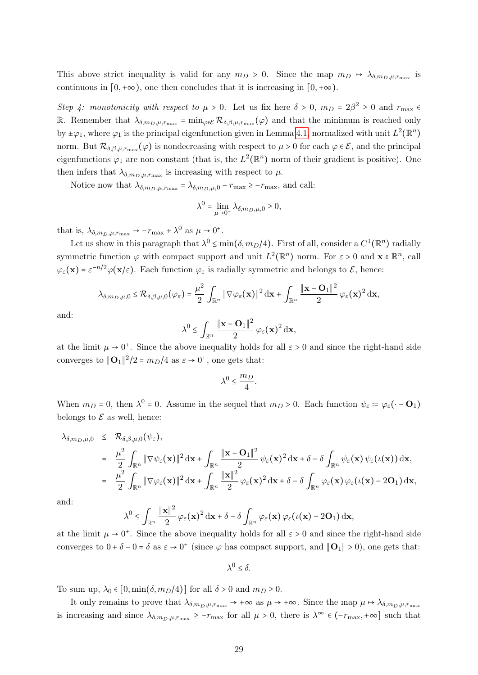This above strict inequality is valid for any  $m_D > 0$ . Since the map  $m_D \mapsto \lambda_{\delta, m_D, \mu, r_{\max}}$  is continuous in  $[0, +\infty)$ , one then concludes that it is increasing in  $[0, +\infty)$ .

Step 4: monotonicity with respect to  $\mu > 0$ . Let us fix here  $\delta > 0$ ,  $m_D = 2\beta^2 \ge 0$  and  $r_{\text{max}} \in$ R. Remember that  $\lambda_{\delta,m_D,\mu,r_{\max}} = \min_{\varphi \in \mathcal{E}} \mathcal{R}_{\delta,\beta,\mu,r_{\max}}(\varphi)$  and that the minimum is reached only by  $\pm \varphi_1$ , where  $\varphi_1$  is the principal eigenfunction given in Lemma [4.1,](#page-18-0) normalized with unit  $L^2(\mathbb{R}^n)$ norm. But  $\mathcal{R}_{\delta,\beta,\mu,r_{\text{max}}}(\varphi)$  is nondecreasing with respect to  $\mu > 0$  for each  $\varphi \in \mathcal{E}$ , and the principal eigenfunctions  $\varphi_1$  are non constant (that is, the  $L^2(\mathbb{R}^n)$  norm of their gradient is positive). One then infers that  $\lambda_{\delta,m_D,\mu,r_{\max}}$  is increasing with respect to  $\mu$ .

Notice now that  $\lambda_{\delta, m_D, \mu, r_{\text{max}}} = \lambda_{\delta, m_D, \mu, 0} - r_{\text{max}} \geq -r_{\text{max}}$ , and call:

$$
\lambda^0 = \lim_{\mu \to 0^+} \lambda_{\delta, m_D, \mu, 0} \ge 0,
$$

that is,  $\lambda_{\delta, m_D, \mu, r_{\text{max}}} \to -r_{\text{max}} + \lambda^0$  as  $\mu \to 0^+$ .

Let us show in this paragraph that  $\lambda^0 \le \min(\delta, m_D/4)$ . First of all, consider a  $C^1(\mathbb{R}^n)$  radially symmetric function  $\varphi$  with compact support and unit  $L^2(\mathbb{R}^n)$  norm. For  $\varepsilon > 0$  and  $\mathbf{x} \in \mathbb{R}^n$ , call  $\varphi_{\varepsilon}(\mathbf{x}) = \varepsilon^{-n/2} \varphi(\mathbf{x}/\varepsilon)$ . Each function  $\varphi_{\varepsilon}$  is radially symmetric and belongs to  $\mathcal{E}$ , hence:

$$
\lambda_{\delta,m_D,\mu,0} \leq \mathcal{R}_{\delta,\beta,\mu,0}(\varphi_{\varepsilon}) = \frac{\mu^2}{2} \int_{\mathbb{R}^n} \|\nabla \varphi_{\varepsilon}(\mathbf{x})\|^2 d\mathbf{x} + \int_{\mathbb{R}^n} \frac{\|\mathbf{x}-\mathbf{O}_1\|^2}{2} \varphi_{\varepsilon}(\mathbf{x})^2 d\mathbf{x},
$$

and:

$$
\lambda^0 \leq \int_{\mathbb{R}^n} \frac{\|\mathbf{x} - \mathbf{O}_1\|^2}{2} \,\varphi_{\varepsilon}(\mathbf{x})^2 \,\mathrm{d}\mathbf{x},
$$

at the limit  $\mu \to 0^+$ . Since the above inequality holds for all  $\varepsilon > 0$  and since the right-hand side converges to  $\|\mathbf{O}_1\|^2/2 = m_D/4$  as  $\varepsilon \to 0^+$ , one gets that:

$$
\lambda^0 \le \frac{m_D}{4}.
$$

When  $m_D = 0$ , then  $\lambda^0 = 0$ . Assume in the sequel that  $m_D > 0$ . Each function  $\psi_{\varepsilon} := \varphi_{\varepsilon}(\cdot - \mathbf{O}_1)$ belongs to  $\mathcal E$  as well, hence:

$$
\lambda_{\delta,m_D,\mu,0} \leq \mathcal{R}_{\delta,\beta,\mu,0}(\psi_{\varepsilon}),
$$
\n
$$
= \frac{\mu^2}{2} \int_{\mathbb{R}^n} \|\nabla \psi_{\varepsilon}(\mathbf{x})\|^2 d\mathbf{x} + \int_{\mathbb{R}^n} \frac{\|\mathbf{x} - \mathbf{O}_1\|^2}{2} \psi_{\varepsilon}(\mathbf{x})^2 d\mathbf{x} + \delta - \delta \int_{\mathbb{R}^n} \psi_{\varepsilon}(\mathbf{x}) \psi_{\varepsilon}(\iota(\mathbf{x})) d\mathbf{x},
$$
\n
$$
= \frac{\mu^2}{2} \int_{\mathbb{R}^n} \|\nabla \varphi_{\varepsilon}(\mathbf{x})\|^2 d\mathbf{x} + \int_{\mathbb{R}^n} \frac{\|\mathbf{x}\|^2}{2} \varphi_{\varepsilon}(\mathbf{x})^2 d\mathbf{x} + \delta - \delta \int_{\mathbb{R}^n} \varphi_{\varepsilon}(\mathbf{x}) \varphi_{\varepsilon}(\iota(\mathbf{x}) - 2\mathbf{O}_1) d\mathbf{x},
$$

and:

$$
\lambda^0 \leq \int_{\mathbb{R}^n} \frac{\|\mathbf{x}\|^2}{2} \varphi_{\varepsilon}(\mathbf{x})^2 d\mathbf{x} + \delta - \delta \int_{\mathbb{R}^n} \varphi_{\varepsilon}(\mathbf{x}) \varphi_{\varepsilon}(\iota(\mathbf{x}) - 2\mathbf{O}_1) d\mathbf{x},
$$

at the limit  $\mu \to 0^+$ . Since the above inequality holds for all  $\varepsilon > 0$  and since the right-hand side converges to  $0 + \delta - 0 = \delta$  as  $\varepsilon \to 0^+$  (since  $\varphi$  has compact support, and  $\|\mathbf{O}_1\| > 0$ ), one gets that:

 $\lambda^0 \leq \delta$ .

To sum up,  $\lambda_0 \in [0, \min(\delta, m_D/4)]$  for all  $\delta > 0$  and  $m_D \ge 0$ .

It only remains to prove that  $\lambda_{\delta,m_D,\mu,r_{\max}} \to +\infty$  as  $\mu \to +\infty$ . Since the map  $\mu \to \lambda_{\delta,m_D,\mu,r_{\max}}$ is increasing and since  $\lambda_{\delta,m_D,\mu,r_{\max}} \geq -r_{\max}$  for all  $\mu > 0$ , there is  $\lambda^{\infty} \in (-r_{\max}, +\infty]$  such that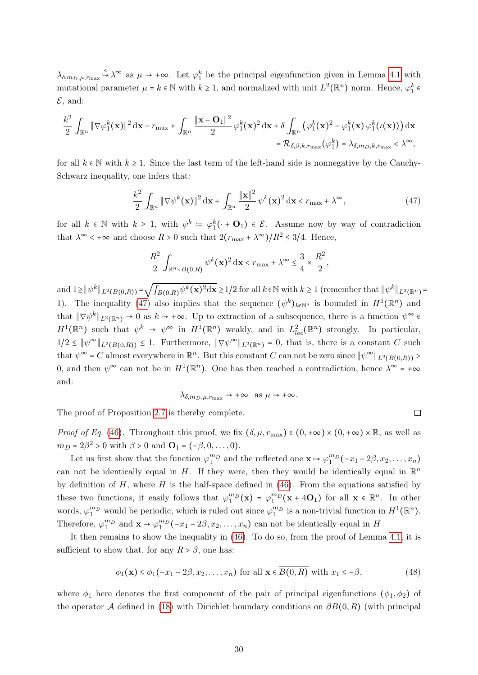$\lambda_{\delta,m_D,\mu,r_{\max}} \stackrel{\leq}{\rightarrow} \lambda^{\infty}$  as  $\mu \rightarrow +\infty$ . Let  $\varphi_1^k$  be the principal eigenfunction given in Lemma [4.1](#page-18-0) with mutational parameter  $\mu = k \in \mathbb{N}$  with  $k \ge 1$ , and normalized with unit  $L^2(\mathbb{R}^n)$  norm. Hence,  $\varphi_1^k \in \mathbb{N}$  $\mathcal{E}$ , and:

$$
\frac{k^2}{2}\int_{\mathbb{R}^n}\|\nabla\varphi_1^k(\mathbf{x})\|^2\,\mathrm{d}\mathbf{x}-r_{\max}+\int_{\mathbb{R}^n}\frac{\|\mathbf{x}-\mathbf{O}_1\|^2}{2}\,\varphi_1^k(\mathbf{x})^2\,\mathrm{d}\mathbf{x}+\delta\int_{\mathbb{R}^n}\big(\varphi_1^k(\mathbf{x})^2-\varphi_1^k(\mathbf{x})\,\varphi_1^k(\iota(\mathbf{x}))\big)\,\mathrm{d}\mathbf{x}\\=\mathcal{R}_{\delta,\beta,k,r_{\max}}(\varphi_1^k)=\lambda_{\delta,m_D,k,r_{\max}}<\lambda^{\infty},
$$

for all  $k \in \mathbb{N}$  with  $k \geq 1$ . Since the last term of the left-hand side is nonnegative by the Cauchy-Schwarz inequality, one infers that:

<span id="page-29-0"></span>
$$
\frac{k^2}{2} \int_{\mathbb{R}^n} \|\nabla \psi^k(\mathbf{x})\|^2 \, \mathrm{d}\mathbf{x} + \int_{\mathbb{R}^n} \frac{\|\mathbf{x}\|^2}{2} \, \psi^k(\mathbf{x})^2 \, \mathrm{d}\mathbf{x} < r_{\text{max}} + \lambda^\infty,\tag{47}
$$

for all  $k \in \mathbb{N}$  with  $k \geq 1$ , with  $\psi^k := \varphi_1^k(\cdot + \mathbf{O}_1) \in \mathcal{E}$ . Assume now by way of contradiction that  $\lambda^{\infty} < +\infty$  and choose  $R > 0$  such that  $2(r_{\text{max}} + \lambda^{\infty})/R^2 \leq 3/4$ . Hence,

$$
\frac{R^2}{2} \int_{\mathbb{R}^n \times B(0,R)} \psi^k(\mathbf{x})^2 d\mathbf{x} < r_{\text{max}} + \lambda^{\infty} \le \frac{3}{4} \times \frac{R^2}{2},
$$

and  $1 \geq ||\psi^k||_{L^2(B(0,R))} =$  $\sqrt{\int_{B(0,R)} \psi^k(\mathbf{x})^2 d\mathbf{x}} \ge 1/2$  for all  $k \in \mathbb{N}$  with  $k \ge 1$  (remember that  $\|\psi^k\|_{L^2(\mathbb{R}^n)} =$ 1). The inequality [\(47\)](#page-29-0) also implies that the sequence  $(\psi^k)_{k \in \mathbb{N}^*}$  is bounded in  $H^1(\mathbb{R}^n)$  and that  $\|\nabla \psi^k\|_{L^2(\mathbb{R}^n)} \to 0$  as  $k \to +\infty$ . Up to extraction of a subsequence, there is a function  $\psi^{\infty} \in \mathbb{R}^n$  $H^1(\mathbb{R}^n)$  such that  $\psi^k \to \psi^{\infty}$  in  $H^1(\mathbb{R}^n)$  weakly, and in  $L^2_{loc}(\mathbb{R}^n)$  strongly. In particular,  $1/2 \leq \|\psi^{\infty}\|_{L^2(B(0,R))} \leq 1$ . Furthermore,  $\|\nabla \psi^{\infty}\|_{L^2(\mathbb{R}^n)} = 0$ , that is, there is a constant C such that  $\psi^{\infty} = C$  almost everywhere in  $\mathbb{R}^{n}$ . But this constant C can not be zero since  $\|\psi^{\infty}\|_{L^{2}(B(0,R))}$ 0, and then  $\psi^{\infty}$  can not be in  $H^1(\mathbb{R}^n)$ . One has then reached a contradiction, hence  $\lambda^{\infty} = +\infty$ and:

$$
\lambda_{\delta,m_D,\mu,r_{\max}} \to +\infty \text{ as } \mu \to +\infty.
$$

 $\Box$ 

The proof of Proposition [2.7](#page-9-1) is thereby complete.

*Proof of Eq.* [\(46\)](#page-27-0). Throughout this proof, we fix  $(\delta, \mu, r_{\text{max}}) \in (0, +\infty) \times (0, +\infty) \times \mathbb{R}$ , as well as  $m_D = 2\beta^2 > 0$  with  $\beta > 0$  and  $\mathbf{O}_1 = (-\beta, 0, \dots, 0).$ 

Let us first show that the function  $\varphi_1^{m_D}$  and the reflected one  $\mathbf{x} \mapsto \varphi_1^{m_D}(-x_1 - 2\beta, x_2, \dots, x_n)$ can not be identically equal in H. If they were, then they would be identically equal in  $\mathbb{R}^n$ by definition of  $H$ , where  $H$  is the half-space defined in [\(46\)](#page-27-0). From the equations satisfied by these two functions, it easily follows that  $\varphi_1^{m}(\mathbf{x}) = \varphi_1^{m}(\mathbf{x} + 4\mathbf{O}_1)$  for all  $\mathbf{x} \in \mathbb{R}^n$ . In other words,  $\varphi_1^{m_D}$  would be periodic, which is ruled out since  $\varphi_1^{m_D}$  is a non-trivial function in  $H^1(\mathbb{R}^n)$ . Therefore,  $\varphi_1^{m_D}$  and  $\mathbf{x} \mapsto \varphi_1^{m_D}(-x_1 - 2\beta, x_2, \dots, x_n)$  can not be identically equal in H

It then remains to show the inequality in [\(46\)](#page-27-0). To do so, from the proof of Lemma [4.1,](#page-18-0) it is sufficient to show that, for any  $R > \beta$ , one has:

<span id="page-29-1"></span>
$$
\phi_1(\mathbf{x}) \le \phi_1(-x_1 - 2\beta, x_2, \dots, x_n) \text{ for all } \mathbf{x} \in \overline{B(0, R)} \text{ with } x_1 \le -\beta,
$$
\n(48)

where  $\phi_1$  here denotes the first component of the pair of principal eigenfunctions  $(\phi_1, \phi_2)$  of the operator A defined in [\(18\)](#page-7-0) with Dirichlet boundary conditions on  $\partial B(0,R)$  (with principal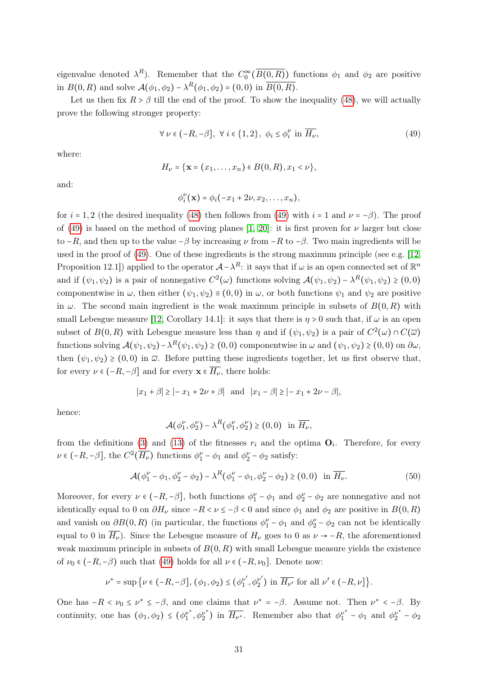eigenvalue denoted  $\lambda^R$ ). Remember that the  $C_0^{\infty}(\overline{B(0,R)})$  functions  $\phi_1$  and  $\phi_2$  are positive in  $B(0, R)$  and solve  $\mathcal{A}(\phi_1, \phi_2) - \lambda^R(\phi_1, \phi_2) = (0, 0)$  in  $\overline{B(0, R)}$ .

Let us then fix  $R > \beta$  till the end of the proof. To show the inequality [\(48\)](#page-29-1), we will actually prove the following stronger property:

<span id="page-30-0"></span>
$$
\forall \nu \in (-R, -\beta], \ \forall \ i \in \{1, 2\}, \ \phi_i \le \phi_i^{\nu} \ \text{in} \ \overline{H_{\nu}}, \tag{49}
$$

where:

$$
H_{\nu} = \{ \mathbf{x} = (x_1, \dots, x_n) \in B(0,R), x_1 < \nu \},\
$$

and:

$$
\phi_i^{\nu}(\mathbf{x}) = \phi_i(-x_1 + 2\nu, x_2, \dots, x_n),
$$

for  $i = 1, 2$  (the desired inequality [\(48\)](#page-29-1) then follows from [\(49\)](#page-30-0) with  $i = 1$  and  $\nu = -\beta$ ). The proof of [\(49\)](#page-30-0) is based on the method of moving planes [\[1,](#page-32-3) [20\]](#page-33-16): it is first proven for  $\nu$  larger but close to  $-R$ , and then up to the value  $-\beta$  by increasing  $\nu$  from  $-R$  to  $-\beta$ . Two main ingredients will be used in the proof of [\(49\)](#page-30-0). One of these ingredients is the strong maximum principle (see e.g. [\[12,](#page-33-11) Proposition 12.1) applied to the operator  $\mathcal{A} - \lambda^R$ : it says that if  $\omega$  is an open connected set of  $\mathbb{R}^n$ and if  $(\psi_1, \psi_2)$  is a pair of nonnegative  $C^2(\omega)$  functions solving  $\mathcal{A}(\psi_1, \psi_2) - \lambda^R(\psi_1, \psi_2) \geq (0, 0)$ componentwise in  $\omega$ , then either  $(\psi_1, \psi_2) \equiv (0, 0)$  in  $\omega$ , or both functions  $\psi_1$  and  $\psi_2$  are positive in  $\omega$ . The second main ingredient is the weak maximum principle in subsets of  $B(0, R)$  with small Lebesgue measure [\[12,](#page-33-11) Corollary 14.1]: it says that there is  $\eta > 0$  such that, if  $\omega$  is an open subset of  $B(0,R)$  with Lebesgue measure less than  $\eta$  and if  $(\psi_1, \psi_2)$  is a pair of  $C^2(\omega) \cap C(\overline{\omega})$ functions solving  $\mathcal{A}(\psi_1, \psi_2) - \lambda^R(\psi_1, \psi_2) \ge (0, 0)$  componentwise in  $\omega$  and  $(\psi_1, \psi_2) \ge (0, 0)$  on  $\partial \omega$ , then  $(\psi_1, \psi_2) \ge (0, 0)$  in  $\overline{\omega}$ . Before putting these ingredients together, let us first observe that, for every  $\nu \in (-R, -\beta]$  and for every  $\mathbf{x} \in \overline{H_{\nu}}$ , there holds:

$$
|x_1 + \beta| \ge |-x_1 + 2\nu + \beta|
$$
 and  $|x_1 - \beta| \ge |-x_1 + 2\nu - \beta|$ ,

hence:

$$
\mathcal{A}(\phi_1^{\nu}, \phi_2^{\nu}) - \lambda^R(\phi_1^{\nu}, \phi_2^{\nu}) \ge (0, 0) \text{ in } \overline{H_{\nu}},
$$

from the definitions [\(3\)](#page-2-3) and [\(13\)](#page-5-4) of the fitnesses  $r_i$  and the optima  $\mathbf{O}_i$ . Therefore, for every  $\nu \in (-R, -\beta],$  the  $C^2(\overline{H_\nu})$  functions  $\phi_1^{\nu} - \phi_1$  and  $\phi_2^{\nu} - \phi_2$  satisfy:

<span id="page-30-1"></span>
$$
\mathcal{A}(\phi_1^{\nu} - \phi_1, \phi_2^{\nu} - \phi_2) - \lambda^R(\phi_1^{\nu} - \phi_1, \phi_2^{\nu} - \phi_2) \ge (0, 0) \text{ in } \overline{H_{\nu}}.
$$
 (50)

Moreover, for every  $\nu \in (-R, -\beta]$ , both functions  $\phi_1^{\nu} - \phi_1$  and  $\phi_2^{\nu} - \phi_2$  are nonnegative and not identically equal to 0 on  $\partial H_\nu$  since  $-R < \nu \le -\beta < 0$  and since  $\phi_1$  and  $\phi_2$  are positive in  $B(0,R)$ and vanish on  $\partial B(0,R)$  (in particular, the functions  $\phi_1^{\nu} - \phi_1$  and  $\phi_2^{\nu} - \phi_2$  can not be identically equal to 0 in  $H_{\nu}$ ). Since the Lebesgue measure of  $H_{\nu}$  goes to 0 as  $\nu \rightarrow -R$ , the aforementioned weak maximum principle in subsets of  $B(0, R)$  with small Lebesgue measure yields the existence of  $\nu_0 \in (-R, -\beta)$  such that [\(49\)](#page-30-0) holds for all  $\nu \in (-R, \nu_0]$ . Denote now:

$$
\nu^* = \sup \{ \nu \in (-R, -\beta], (\phi_1, \phi_2) \le (\phi_1^{\nu'}, \phi_2^{\nu'}) \text{ in } \overline{H_{\nu'}} \text{ for all } \nu' \in (-R, \nu] \}.
$$

One has  $-R < \nu_0 \leq \nu^* \leq -\beta$ , and one claims that  $\nu^* = -\beta$ . Assume not. Then  $\nu^* < -\beta$ . By continuity, one has  $(\phi_1, \phi_2) \leq (\phi_1^{\nu^*})$  $y_1^{\nu^*}, \phi_2^{\nu^*}$  $\frac{\nu^*}{2}$ ) in  $\overline{H_{\nu^*}}$ . Remember also that  $\phi_1^{\nu^*} - \phi_1$  and  $\phi_2^{\nu^*} - \phi_2$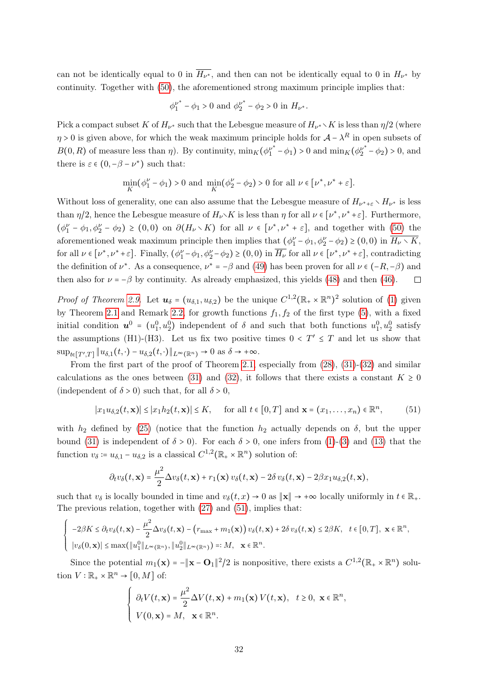can not be identically equal to 0 in  $H_{\nu^*}$ , and then can not be identically equal to 0 in  $H_{\nu^*}$  by continuity. Together with [\(50\)](#page-30-1), the aforementioned strong maximum principle implies that:

$$
\phi_1^{\nu^*} - \phi_1 > 0
$$
 and  $\phi_2^{\nu^*} - \phi_2 > 0$  in  $H_{\nu^*}$ .

Pick a compact subset K of  $H_{\nu^*}$  such that the Lebesgue measure of  $H_{\nu^*} \setminus K$  is less than  $\eta/2$  (where  $\eta > 0$  is given above, for which the weak maximum principle holds for  $\mathcal{A} - \lambda^R$  in open subsets of  $B(0, R)$  of measure less than  $\eta$ ). By continuity,  $\min_K(\phi_1^{\nu^*} - \phi_1) > 0$  and  $\min_K(\phi_2^{\nu^*} - \phi_2) > 0$ , and there is  $\varepsilon \in (0, -\beta - \nu^*)$  such that:

$$
\min_K\bigl(\phi_1^\nu-\phi_1\bigr)>0 \text{ and } \min_K\bigl(\phi_2^\nu-\phi_2\bigr)>0 \text{ for all }\nu\in[\nu^*,\nu^*+\varepsilon].
$$

Without loss of generality, one can also assume that the Lebesgue measure of  $H_{\nu^*+\varepsilon} \setminus H_{\nu^*}$  is less than  $\eta/2$ , hence the Lebesgue measure of  $H_{\nu}$  K is less than  $\eta$  for all  $\nu \in [\nu^*, \nu^* + \varepsilon]$ . Furthermore,  $(\phi_1^{\nu} - \phi_1, \phi_2^{\nu} - \phi_2) \ge (0, 0)$  on  $\partial(H_{\nu} \setminus K)$  for all  $\nu \in [\nu^*, \nu^* + \varepsilon]$ , and together with  $(50)$  the aforementioned weak maximum principle then implies that  $(\phi_1^{\nu} - \phi_1, \phi_2^{\nu} - \phi_2) \ge (0, 0)$  in  $\overline{H_{\nu} \setminus K}$ , for all  $\nu \in [\nu^*, \nu^* + \varepsilon]$ . Finally,  $(\phi_1^{\nu} - \phi_1, \phi_2^{\nu} - \phi_2) \ge (0, 0)$  in  $\overline{H_{\nu}}$  for all  $\nu \in [\nu^*, \nu^* + \varepsilon]$ , contradicting the definition of  $\nu^*$ . As a consequence,  $\nu^* = -\beta$  and [\(49\)](#page-30-0) has been proven for all  $\nu \in (-R, -\beta)$  and then also for  $\nu = -\beta$  by continuity. As already emphasized, this yields [\(48\)](#page-29-1) and then [\(46\)](#page-27-0).

*Proof of Theorem [2.9](#page-11-1).* Let  $u_{\delta} = (u_{\delta,1}, u_{\delta,2})$  be the unique  $C^{1,2}(\mathbb{R}_+ \times \mathbb{R}^n)^2$  solution of [\(1\)](#page-2-1) given by Theorem [2](#page-6-4).1 and Remark 2.2, for growth functions  $f_1, f_2$  of the first type [\(5\)](#page-2-2), with a fixed initial condition  $u^0 = (u_1^0, u_2^0)$  independent of  $\delta$  and such that both functions  $u_1^0, u_2^0$  satisfy the assumptions (H1)-(H3). Let us fix two positive times  $0 < T' \leq T$  and let us show that  $\sup_{t\in[T',T]}\|u_{\delta,1}(t,\cdot)-u_{\delta,2}(t,\cdot)\|_{L^{\infty}(\mathbb{R}^n)}\to 0 \text{ as } \delta\to+\infty.$ 

From the first part of the proof of Theorem [2.1,](#page-6-3) especially from [\(28\)](#page-14-2), [\(31\)](#page-15-1)-[\(32\)](#page-15-3) and similar calculations as the ones between [\(31\)](#page-15-1) and [\(32\)](#page-15-3), it follows that there exists a constant  $K \geq 0$ (independent of  $\delta > 0$ ) such that, for all  $\delta > 0$ ,

<span id="page-31-0"></span>
$$
|x_1 u_{\delta,2}(t,\mathbf{x})| \le |x_1 h_2(t,\mathbf{x})| \le K, \quad \text{ for all } t \in [0,T] \text{ and } \mathbf{x} = (x_1,\ldots,x_n) \in \mathbb{R}^n,
$$
 (51)

with  $h_2$  defined by [\(25\)](#page-14-0) (notice that the function  $h_2$  actually depends on  $\delta$ , but the upper bound [\(31\)](#page-15-1) is independent of  $\delta > 0$ . For each  $\delta > 0$ , one infers from [\(1\)](#page-2-1)-[\(3\)](#page-2-3) and [\(13\)](#page-5-4) that the function  $v_{\delta} := u_{\delta,1} - u_{\delta,2}$  is a classical  $C^{1,2}(\mathbb{R}_+ \times \mathbb{R}^n)$  solution of:

$$
\partial_t v_\delta(t,\mathbf{x}) = \frac{\mu^2}{2} \Delta v_\delta(t,\mathbf{x}) + r_1(\mathbf{x}) v_\delta(t,\mathbf{x}) - 2\delta v_\delta(t,\mathbf{x}) - 2\beta x_1 u_{\delta,2}(t,\mathbf{x}),
$$

such that  $v_{\delta}$  is locally bounded in time and  $v_{\delta}(t, x) \to 0$  as  $\|\mathbf{x}\| \to +\infty$  locally uniformly in  $t \in \mathbb{R}_{+}$ . The previous relation, together with [\(27\)](#page-14-3) and [\(51\)](#page-31-0), implies that:

$$
-2\beta K \leq \partial_t v_\delta(t, \mathbf{x}) - \frac{\mu^2}{2} \Delta v_\delta(t, \mathbf{x}) - \left(r_{\text{max}} + m_1(\mathbf{x})\right) v_\delta(t, \mathbf{x}) + 2\delta v_\delta(t, \mathbf{x}) \leq 2\beta K, \quad t \in [0, T], \ \mathbf{x} \in \mathbb{R}^n,
$$
  

$$
|v_\delta(0, \mathbf{x})| \leq \max(\|u_1^0\|_{L^\infty(\mathbb{R}^n)}, \|u_2^0\|_{L^\infty(\mathbb{R}^n)}) =: M, \quad \mathbf{x} \in \mathbb{R}^n.
$$

 $\sqrt{ }$ ⎨  $\overline{\mathcal{L}}$ 

Since the potential  $m_1(\mathbf{x}) = -\|\mathbf{x} - \mathbf{O}_1\|^2/2$  is nonpositive, there exists a  $C^{1,2}(\mathbb{R}_+ \times \mathbb{R}^n)$  solution  $V : \mathbb{R}_+ \times \mathbb{R}^n \to [0, M]$  of:

$$
\begin{cases}\n\partial_t V(t, \mathbf{x}) = \frac{\mu^2}{2} \Delta V(t, \mathbf{x}) + m_1(\mathbf{x}) V(t, \mathbf{x}), \quad t \ge 0, \ \mathbf{x} \in \mathbb{R}^n, \\
V(0, \mathbf{x}) = M, \ \mathbf{x} \in \mathbb{R}^n.\n\end{cases}
$$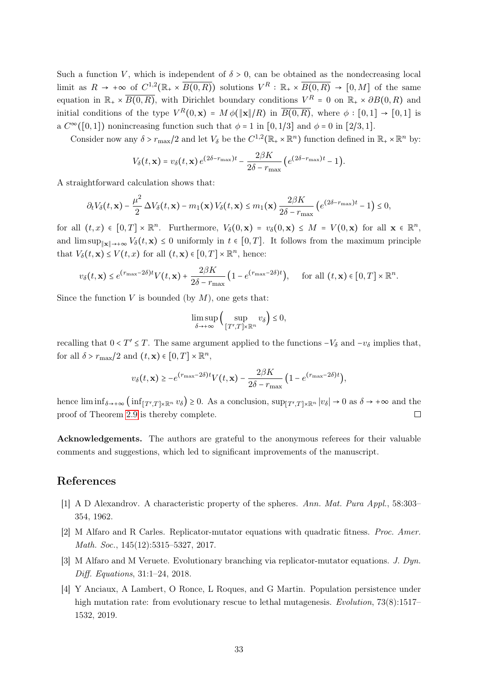Such a function V, which is independent of  $\delta > 0$ , can be obtained as the nondecreasing local limit as  $R \to +\infty$  of  $C^{1,2}(\mathbb{R}_+ \times \overline{B(0,R)})$  solutions  $V^R : \mathbb{R}_+ \times \overline{B(0,R)} \to [0,M]$  of the same equation in  $\mathbb{R}_+ \times \overline{B(0,R)}$ , with Dirichlet boundary conditions  $V^R = 0$  on  $\mathbb{R}_+ \times \partial B(0,R)$  and initial conditions of the type  $V^R(0, \mathbf{x}) = M \phi(\|\mathbf{x}\|/R)$  in  $\overline{B(0, R)}$ , where  $\phi : [0, 1] \to [0, 1]$  is a  $C^{\infty}([0,1])$  nonincreasing function such that  $\phi = 1$  in  $[0,1/3]$  and  $\phi = 0$  in  $[2/3,1]$ .

Consider now any  $\delta > r_{\text{max}}/2$  and let  $V_{\delta}$  be the  $C^{1,2}(\mathbb{R}_+ \times \mathbb{R}^n)$  function defined in  $\mathbb{R}_+ \times \mathbb{R}^n$  by:

$$
V_{\delta}(t, \mathbf{x}) = v_{\delta}(t, \mathbf{x}) e^{(2\delta - r_{\max})t} - \frac{2\beta K}{2\delta - r_{\max}} \left( e^{(2\delta - r_{\max})t} - 1 \right).
$$

A straightforward calculation shows that:

$$
\partial_t V_\delta(t,\mathbf{x}) - \frac{\mu^2}{2} \Delta V_\delta(t,\mathbf{x}) - m_1(\mathbf{x}) V_\delta(t,\mathbf{x}) \le m_1(\mathbf{x}) \frac{2\beta K}{2\delta - r_{\max}} \left( e^{(2\delta - r_{\max})t} - 1 \right) \le 0,
$$

for all  $(t, x) \in [0, T] \times \mathbb{R}^n$ . Furthermore,  $V_\delta(0, \mathbf{x}) = v_\delta(0, \mathbf{x}) \leq M = V(0, \mathbf{x})$  for all  $\mathbf{x} \in \mathbb{R}^n$ , and  $\limsup_{\|\mathbf{x}\| \to +\infty} V_{\delta}(t,\mathbf{x}) \leq 0$  uniformly in  $t \in [0,T]$ . It follows from the maximum principle that  $V_{\delta}(t, \mathbf{x}) \leq V(t, x)$  for all  $(t, \mathbf{x}) \in [0, T] \times \mathbb{R}^{n}$ , hence:

$$
v_{\delta}(t, \mathbf{x}) \leq e^{(r_{\max} - 2\delta)t} V(t, \mathbf{x}) + \frac{2\beta K}{2\delta - r_{\max}} \left( 1 - e^{(r_{\max} - 2\delta)t} \right), \quad \text{ for all } (t, \mathbf{x}) \in [0, T] \times \mathbb{R}^n.
$$

Since the function  $V$  is bounded (by  $M$ ), one gets that:

$$
\limsup_{\delta \to +\infty} \Big( \sup_{[T',T] \times \mathbb{R}^n} v_\delta \Big) \leq 0,
$$

recalling that  $0 < T' \leq T$ . The same argument applied to the functions  $-V_{\delta}$  and  $-v_{\delta}$  implies that, for all  $\delta > r_{\text{max}}/2$  and  $(t, \mathbf{x}) \in [0, T] \times \mathbb{R}^n$ ,

$$
v_{\delta}(t, \mathbf{x}) \ge -e^{(r_{\max}-2\delta)t}V(t, \mathbf{x}) - \frac{2\beta K}{2\delta - r_{\max}}\left(1 - e^{(r_{\max}-2\delta)t}\right),
$$

hence  $\liminf_{\delta \to +\infty} (\inf_{[T',T]\times \mathbb{R}^n} v_{\delta}) \geq 0$ . As a conclusion,  $\sup_{[T',T]\times \mathbb{R}^n} |v_{\delta}| \to 0$  as  $\delta \to +\infty$  and the proof of Theorem [2.9](#page-11-1) is thereby complete.

Acknowledgements. The authors are grateful to the anonymous referees for their valuable comments and suggestions, which led to significant improvements of the manuscript.

## References

- <span id="page-32-3"></span>[1] A D Alexandrov. A characteristic property of the spheres. Ann. Mat. Pura Appl., 58:303– 354, 1962.
- <span id="page-32-0"></span>[2] M Alfaro and R Carles. Replicator-mutator equations with quadratic fitness. Proc. Amer. Math. Soc., 145(12):5315–5327, 2017.
- <span id="page-32-1"></span>[3] M Alfaro and M Veruete. Evolutionary branching via replicator-mutator equations. J. Dyn. Diff. Equations, 31:1–24, 2018.
- <span id="page-32-2"></span>[4] Y Anciaux, A Lambert, O Ronce, L Roques, and G Martin. Population persistence under high mutation rate: from evolutionary rescue to lethal mutagenesis. Evolution, 73(8):1517– 1532, 2019.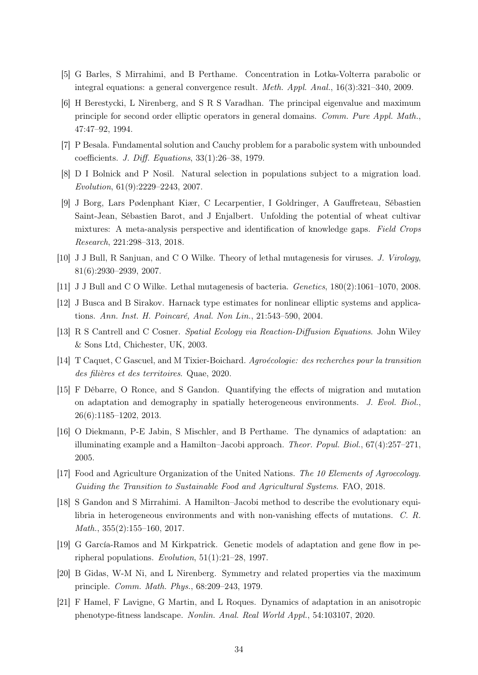- <span id="page-33-4"></span>[5] G Barles, S Mirrahimi, and B Perthame. Concentration in Lotka-Volterra parabolic or integral equations: a general convergence result. Meth. Appl. Anal., 16(3):321–340, 2009.
- <span id="page-33-15"></span>[6] H Berestycki, L Nirenberg, and S R S Varadhan. The principal eigenvalue and maximum principle for second order elliptic operators in general domains. Comm. Pure Appl. Math., 47:47–92, 1994.
- <span id="page-33-14"></span>[7] P Besala. Fundamental solution and Cauchy problem for a parabolic system with unbounded coefficients. J. Diff. Equations, 33(1):26–38, 1979.
- <span id="page-33-7"></span>[8] D I Bolnick and P Nosil. Natural selection in populations subject to a migration load. Evolution, 61(9):2229–2243, 2007.
- <span id="page-33-13"></span>[9] J Borg, Lars Pødenphant Kiær, C Lecarpentier, I Goldringer, A Gauffreteau, Sébastien Saint-Jean, Sébastien Barot, and J Enjalbert. Unfolding the potential of wheat cultivar mixtures: A meta-analysis perspective and identification of knowledge gaps. Field Crops Research, 221:298–313, 2018.
- <span id="page-33-1"></span>[10] J J Bull, R Sanjuan, and C O Wilke. Theory of lethal mutagenesis for viruses. J. Virology, 81(6):2930–2939, 2007.
- <span id="page-33-2"></span>[11] J J Bull and C O Wilke. Lethal mutagenesis of bacteria. Genetics, 180(2):1061–1070, 2008.
- <span id="page-33-11"></span>[12] J Busca and B Sirakov. Harnack type estimates for nonlinear elliptic systems and applications. Ann. Inst. H. Poincaré, Anal. Non Lin., 21:543–590, 2004.
- <span id="page-33-10"></span>[13] R S Cantrell and C Cosner. Spatial Ecology via Reaction-Diffusion Equations. John Wiley & Sons Ltd, Chichester, UK, 2003.
- <span id="page-33-3"></span>[14] T Caquet, C Gascuel, and M Tixier-Boichard. Agroécologie: des recherches pour la transition des filières et des territoires. Quae, 2020.
- <span id="page-33-9"></span>[15] F Débarre, O Ronce, and S Gandon. Quantifying the effects of migration and mutation on adaptation and demography in spatially heterogeneous environments. J. Evol. Biol., 26(6):1185–1202, 2013.
- <span id="page-33-5"></span>[16] O Diekmann, P-E Jabin, S Mischler, and B Perthame. The dynamics of adaptation: an illuminating example and a Hamilton–Jacobi approach. *Theor. Popul. Biol.*,  $67(4):257-271$ , 2005.
- <span id="page-33-12"></span>[17] Food and Agriculture Organization of the United Nations. The 10 Elements of Agroecology. Guiding the Transition to Sustainable Food and Agricultural Systems. FAO, 2018.
- <span id="page-33-6"></span>[18] S Gandon and S Mirrahimi. A Hamilton–Jacobi method to describe the evolutionary equilibria in heterogeneous environments and with non-vanishing effects of mutations. C. R. Math., 355(2):155–160, 2017.
- <span id="page-33-8"></span>[19] G García-Ramos and M Kirkpatrick. Genetic models of adaptation and gene flow in peripheral populations. Evolution, 51(1):21–28, 1997.
- <span id="page-33-16"></span>[20] B Gidas, W-M Ni, and L Nirenberg. Symmetry and related properties via the maximum principle. Comm. Math. Phys., 68:209–243, 1979.
- <span id="page-33-0"></span>[21] F Hamel, F Lavigne, G Martin, and L Roques. Dynamics of adaptation in an anisotropic phenotype-fitness landscape. Nonlin. Anal. Real World Appl., 54:103107, 2020.